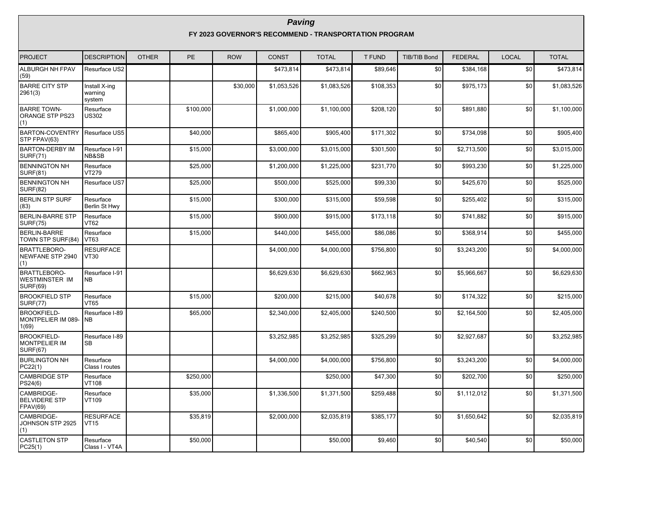| <b>PROJECT</b>                                                | <b>DESCRIPTION</b>                 | <b>OTHER</b> | PE        | <b>ROW</b> | <b>CONST</b> | <b>TOTAL</b> | <b>T FUND</b> | <b>TIB/TIB Bond</b> | <b>FEDERAL</b> | <b>LOCAL</b>    | <b>TOTAL</b> |
|---------------------------------------------------------------|------------------------------------|--------------|-----------|------------|--------------|--------------|---------------|---------------------|----------------|-----------------|--------------|
| ALBURGH NH FPAV<br>(59)                                       | Resurface US2                      |              |           |            | \$473,814    | \$473,814    | \$89,646      | \$0                 | \$384,168      | $\overline{50}$ | \$473,814    |
| <b>BARRE CITY STP</b><br>2961(3)                              | Install X-ing<br>warning<br>system |              |           | \$30,000   | \$1,053,526  | \$1,083,526  | \$108,353     | \$0                 | \$975,173      | \$0             | \$1,083,526  |
| <b>BARRE TOWN-</b><br>ORANGE STP PS23<br>(1)                  | Resurface<br><b>US302</b>          |              | \$100,000 |            | \$1,000,000  | \$1,100,000  | \$208,120     | \$0                 | \$891,880      | \$0             | \$1,100,000  |
| <b>BARTON-COVENTRY</b><br>STP FPAV(63)                        | Resurface US5                      |              | \$40,000  |            | \$865,400    | \$905.400    | \$171,302     | \$0                 | \$734,098      | \$0             | \$905,400    |
| <b>BARTON-DERBY IM</b><br><b>SURF(71)</b>                     | Resurface I-91<br><b>NB&amp;SB</b> |              | \$15,000  |            | \$3,000,000  | \$3,015,000  | \$301,500     | \$0                 | \$2,713,500    | \$0             | \$3,015,000  |
| <b>BENNINGTON NH</b><br><b>SURF(81)</b>                       | Resurface<br>VT279                 |              | \$25,000  |            | \$1,200,000  | \$1,225,000  | \$231,770     | \$0                 | \$993,230      | \$0             | \$1,225,000  |
| <b>BENNINGTON NH</b><br><b>SURF(82)</b>                       | Resurface US7                      |              | \$25,000  |            | \$500,000    | \$525,000    | \$99,330      | \$0                 | \$425,670      | \$0             | \$525,000    |
| <b>BERLIN STP SURF</b><br>(83)                                | Resurface<br>Berlin St Hwy         |              | \$15,000  |            | \$300,000    | \$315,000    | \$59,598      | \$0                 | \$255,402      | \$0             | \$315,000    |
| <b>BERLIN-BARRE STP</b><br><b>SURF(75)</b>                    | Resurface<br><b>VT62</b>           |              | \$15,000  |            | \$900,000    | \$915,000    | \$173,118     | \$0                 | \$741,882      | \$0             | \$915,000    |
| <b>BERLIN-BARRE</b><br>TOWN STP SURF(84)                      | Resurface<br><b>VT63</b>           |              | \$15,000  |            | \$440.000    | \$455,000    | \$86,086      | \$0                 | \$368.914      | \$0             | \$455,000    |
| <b>BRATTLEBORO-</b><br>NEWFANE STP 2940<br>(1)                | <b>RESURFACE</b><br><b>VT30</b>    |              |           |            | \$4,000,000  | \$4,000,000  | \$756,800     | \$0                 | \$3,243,200    | \$0             | \$4,000,000  |
| BRATTLEBORO-<br><b>WESTMINSTER IM</b><br><b>SURF(69)</b>      | Resurface I-91<br><b>NB</b>        |              |           |            | \$6,629,630  | \$6,629,630  | \$662,963     | \$0                 | \$5,966,667    | \$0             | \$6,629,630  |
| <b>BROOKFIELD STP</b><br><b>SURF(77)</b>                      | Resurface<br>VT65                  |              | \$15,000  |            | \$200,000    | \$215,000    | \$40,678      | \$0                 | \$174,322      | \$0             | \$215,000    |
| <b>BROOKFIELD-</b><br>MONTPELIER IM 089-<br>1(69)             | Resurface I-89<br><b>NB</b>        |              | \$65,000  |            | \$2,340,000  | \$2,405,000  | \$240,500     | \$0                 | \$2,164,500    | \$0             | \$2,405,000  |
| <b>BROOKFIELD-</b><br><b>MONTPELIER IM</b><br><b>SURF(67)</b> | Resurface I-89<br><b>SB</b>        |              |           |            | \$3,252,985  | \$3,252,985  | \$325,299     | \$0                 | \$2,927,687    | \$0             | \$3,252,985  |
| <b>BURLINGTON NH</b><br>PC22(1)                               | Resurface<br>Class I routes        |              |           |            | \$4,000,000  | \$4,000,000  | \$756,800     | \$0                 | \$3,243,200    | \$0             | \$4,000,000  |
| <b>CAMBRIDGE STP</b><br>PS24(6)                               | Resurface<br>VT108                 |              | \$250,000 |            |              | \$250,000    | \$47,300      | \$0                 | \$202,700      | \$0             | \$250,000    |
| CAMBRIDGE-<br><b>BELVIDERE STP</b><br>FPAV(69)                | Resurface<br>VT109                 |              | \$35,000  |            | \$1,336,500  | \$1,371,500  | \$259,488     | \$0                 | \$1,112,012    | \$0             | \$1,371,500  |
| CAMBRIDGE-<br>JOHNSON STP 2925<br>(1)                         | <b>RESURFACE</b><br><b>VT15</b>    |              | \$35,819  |            | \$2,000,000  | \$2,035,819  | \$385,177     | \$0                 | \$1,650,642    | \$0             | \$2,035,819  |
| <b>CASTLETON STP</b><br>PC25(1)                               | Resurface<br>Class I - VT4A        |              | \$50,000  |            |              | \$50,000     | \$9.460       | \$0                 | \$40,540       | \$0             | \$50,000     |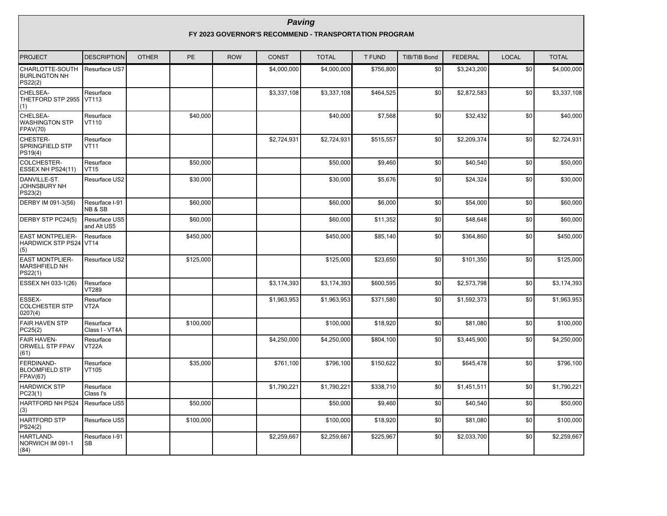| <b>PROJECT</b>                                                  | <b>DESCRIPTION</b>             | <b>OTHER</b> | PE        | <b>ROW</b> | <b>CONST</b> | <b>TOTAL</b> | T FUND    | <b>TIB/TIB Bond</b> | <b>FEDERAL</b> | <b>LOCAL</b> | <b>TOTAL</b> |
|-----------------------------------------------------------------|--------------------------------|--------------|-----------|------------|--------------|--------------|-----------|---------------------|----------------|--------------|--------------|
| CHARLOTTE-SOUTH<br><b>BURLINGTON NH</b><br>PS22(2)              | Resurface US7                  |              |           |            | \$4,000,000  | \$4,000,000  | \$756,800 | \$0                 | \$3,243,200    | \$0          | \$4,000,000  |
| CHELSEA-<br>THETFORD STP 2955<br>(1)                            | Resurface<br><b>VT113</b>      |              |           |            | \$3,337,108  | \$3,337,108  | \$464,525 | \$0                 | \$2,872,583    | \$0          | \$3,337,108  |
| CHELSEA-<br><b>WASHINGTON STP</b><br><b>FPAV(70)</b>            | Resurface<br>VT110             |              | \$40,000  |            |              | \$40,000     | \$7,568   | \$0                 | \$32,432       | \$0          | \$40,000     |
| CHESTER-<br><b>SPRINGFIELD STP</b><br>PS19(4)                   | Resurface<br><b>VT11</b>       |              |           |            | \$2,724,931  | \$2,724,931  | \$515,557 | \$0                 | \$2,209,374    | \$0          | \$2,724,931  |
| COLCHESTER-<br>ESSEX NH PS24(11)                                | Resurface<br><b>VT15</b>       |              | \$50,000  |            |              | \$50,000     | \$9,460   | \$0                 | \$40,540       | \$0          | \$50,000     |
| DANVILLE-ST.<br>JOHNSBURY NH<br>PS23(2)                         | Resurface US2                  |              | \$30,000  |            |              | \$30,000     | \$5,676   | \$0                 | \$24,324       | \$0          | \$30,000     |
| DERBY IM 091-3(56)                                              | Resurface I-91<br>NB & SB      |              | \$60,000  |            |              | \$60,000     | \$6,000   | \$0                 | \$54,000       | \$0          | \$60,000     |
| DERBY STP PC24(5)                                               | Resurface US5<br>and Alt US5   |              | \$60,000  |            |              | \$60,000     | \$11,352  | \$0                 | \$48,648       | \$0          | \$60,000     |
| <b>EAST MONTPELIER-</b><br><b>HARDWICK STP PS24 VT14</b><br>(5) | Resurface                      |              | \$450,000 |            |              | \$450,000    | \$85,140  | \$0                 | \$364,860      | \$0          | \$450,000    |
| <b>EAST MONTPLIER-</b><br><b>MARSHFIELD NH</b><br>PS22(1)       | Resurface US2                  |              | \$125,000 |            |              | \$125,000    | \$23,650  | \$0                 | \$101,350      | \$0          | \$125,000    |
| ESSEX NH 033-1(26)                                              | Resurface<br><b>VT289</b>      |              |           |            | \$3,174,393  | \$3,174,393  | \$600,595 | \$0                 | \$2,573,798    | \$0          | \$3,174,393  |
| <b>ESSEX-</b><br><b>COLCHESTER STP</b><br>0207(4)               | Resurface<br>VT <sub>2</sub> A |              |           |            | \$1,963,953  | \$1,963,953  | \$371,580 | \$0                 | \$1,592,373    | \$0          | \$1,963,953  |
| <b>FAIR HAVEN STP</b><br>PC25(2)                                | Resurface<br>Class I - VT4A    |              | \$100,000 |            |              | \$100,000    | \$18,920  | \$0                 | \$81,080       | \$0          | \$100,000    |
| <b>FAIR HAVEN-</b><br>ORWELL STP FPAV<br>(61)                   | Resurface<br>VT22A             |              |           |            | \$4,250,000  | \$4,250,000  | \$804,100 | \$0                 | \$3,445,900    | \$0          | \$4,250,000  |
| FERDINAND-<br><b>BLOOMFIELD STP</b><br><b>FPAV(67)</b>          | Resurface<br>VT105             |              | \$35,000  |            | \$761,100    | \$796,100    | \$150,622 | \$0                 | \$645,478      | \$0          | \$796,100    |
| <b>HARDWICK STP</b><br>PC23(1)                                  | Resurface<br>Class I's         |              |           |            | \$1,790,221  | \$1,790,221  | \$338,710 | \$0                 | \$1,451,511    | \$0          | \$1,790,221  |
| <b>HARTFORD NH PS24</b><br>(3)                                  | Resurface US5                  |              | \$50,000  |            |              | \$50,000     | \$9,460   | \$0                 | \$40,540       | \$0          | \$50,000     |
| <b>HARTFORD STP</b><br>PS24(2)                                  | Resurface US5                  |              | \$100,000 |            |              | \$100,000    | \$18,920  | \$0                 | \$81,080       | \$0          | \$100,000    |
| HARTLAND-<br>NORWICH IM 091-1<br>(84)                           | Resurface I-91<br>SB           |              |           |            | \$2,259,667  | \$2,259,667  | \$225,967 | \$0                 | \$2,033,700    | \$0          | \$2,259,667  |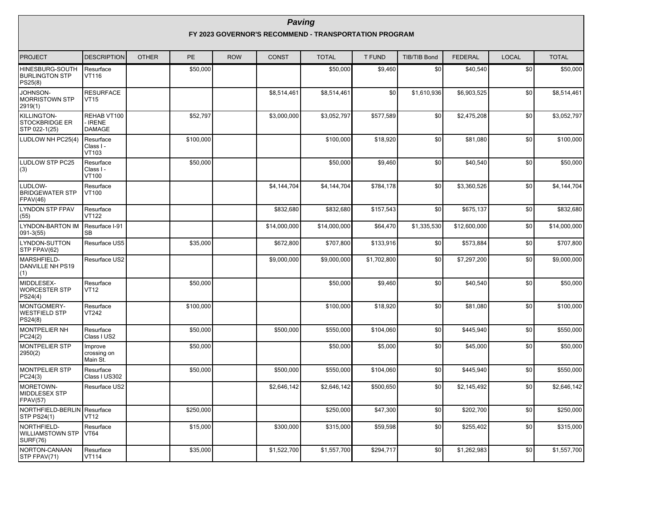| <b>PROJECT</b>                                        | <b>DESCRIPTION</b>                           | <b>OTHER</b> | <b>PE</b> | <b>ROW</b> | <b>CONST</b> | <b>TOTAL</b> | <b>T FUND</b> | <b>TIB/TIB Bond</b> | <b>FEDERAL</b> | <b>LOCAL</b> | <b>TOTAL</b> |
|-------------------------------------------------------|----------------------------------------------|--------------|-----------|------------|--------------|--------------|---------------|---------------------|----------------|--------------|--------------|
| HINESBURG-SOUTH<br><b>BURLINGTON STP</b><br>PS25(8)   | Resurface<br>VT116                           |              | \$50,000  |            |              | \$50,000     | \$9,460       | \$0                 | \$40.540       | \$0          | \$50,000     |
| JOHNSON-<br><b>MORRISTOWN STP</b><br>2919(1)          | <b>RESURFACE</b><br><b>VT15</b>              |              |           |            | \$8,514,461  | \$8,514,461  | \$0           | \$1,610,936         | \$6,903,525    | \$0          | \$8,514,461  |
| KILLINGTON-<br><b>STOCKBRIDGE ER</b><br>STP 022-1(25) | REHAB VT100<br><b>IRENE</b><br><b>DAMAGE</b> |              | \$52,797  |            | \$3,000,000  | \$3,052,797  | \$577,589     | \$0                 | \$2,475,208    | \$0          | \$3,052,797  |
| LUDLOW NH PC25(4)                                     | Resurface<br>Class I -<br>VT103              |              | \$100,000 |            |              | \$100,000    | \$18,920      | \$0                 | \$81,080       | \$0          | \$100,000    |
| <b>LUDLOW STP PC25</b><br>(3)                         | Resurface<br>Class I -<br>VT100              |              | \$50,000  |            |              | \$50,000     | \$9,460       | \$0                 | \$40,540       | \$0          | \$50,000     |
| LUDLOW-<br><b>BRIDGEWATER STP</b><br>FPAV(46)         | Resurface<br>VT100                           |              |           |            | \$4,144,704  | \$4,144,704  | \$784,178     | \$0                 | \$3,360,526    | \$0          | \$4,144,704  |
| <b>LYNDON STP FPAV</b><br>(55)                        | Resurface<br><b>VT122</b>                    |              |           |            | \$832,680    | \$832,680    | \$157,543     | \$0                 | \$675,137      | \$0          | \$832,680    |
| <b>LYNDON-BARTON IM</b><br>$091 - 3(55)$              | Resurface I-91<br><b>SB</b>                  |              |           |            | \$14,000,000 | \$14,000,000 | \$64,470      | \$1,335,530         | \$12,600,000   | \$0          | \$14,000,000 |
| LYNDON-SUTTON<br>STP FPAV(62)                         | Resurface US5                                |              | \$35,000  |            | \$672,800    | \$707,800    | \$133,916     | \$0                 | \$573,884      | \$0          | \$707,800    |
| MARSHFIELD-<br>DANVILLE NH PS19<br>(1)                | Resurface US2                                |              |           |            | \$9,000,000  | \$9,000,000  | \$1,702,800   | \$0                 | \$7,297,200    | \$0          | \$9,000,000  |
| MIDDLESEX-<br><b>WORCESTER STP</b><br>PS24(4)         | Resurface<br><b>VT12</b>                     |              | \$50,000  |            |              | \$50,000     | \$9,460       | \$0                 | \$40,540       | \$0          | \$50,000     |
| MONTGOMERY-<br><b>WESTFIELD STP</b><br>PS24(8)        | Resurface<br><b>VT242</b>                    |              | \$100,000 |            |              | \$100,000    | \$18,920      | \$0                 | \$81.080       | \$0          | \$100,000    |
| <b>MONTPELIER NH</b><br>PC24(2)                       | Resurface<br>Class I US2                     |              | \$50,000  |            | \$500,000    | \$550,000    | \$104,060     | \$0                 | \$445,940      | \$0          | \$550,000    |
| <b>MONTPELIER STP</b><br>2950(2)                      | Improve<br>crossing on<br>Main St.           |              | \$50,000  |            |              | \$50,000     | \$5,000       | \$0                 | \$45,000       | \$0          | \$50,000     |
| <b>MONTPELIER STP</b><br>PC24(3)                      | Resurface<br>Class I US302                   |              | \$50,000  |            | \$500,000    | \$550,000    | \$104,060     | \$0                 | \$445,940      | \$0          | \$550,000    |
| MORETOWN-<br>MIDDLESEX STP<br><b>FPAV(57)</b>         | Resurface US2                                |              |           |            | \$2,646,142  | \$2,646,142  | \$500,650     | \$0                 | \$2,145,492    | \$0          | \$2,646,142  |
| NORTHFIELD-BERLIN<br><b>STP PS24(1)</b>               | Resurface<br><b>VT12</b>                     |              | \$250,000 |            |              | \$250,000    | \$47,300      | \$0                 | \$202,700      | \$0          | \$250,000    |
| NORTHFIELD-<br>WILLIAMSTOWN STP<br><b>SURF(76)</b>    | Resurface<br><b>VT64</b>                     |              | \$15,000  |            | \$300,000    | \$315,000    | \$59,598      | \$0                 | \$255,402      | \$0          | \$315,000    |
| NORTON-CANAAN<br>STP FPAV(71)                         | Resurface<br><b>VT114</b>                    |              | \$35,000  |            | \$1,522,700  | \$1,557,700  | \$294,717     | \$0                 | \$1,262,983    | \$0          | \$1,557,700  |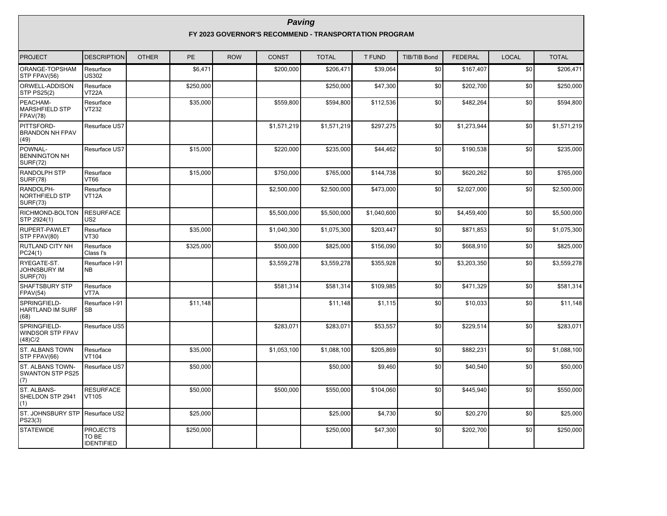| <b>PROJECT</b>                                            | <b>DESCRIPTION</b>                            | <b>OTHER</b> | <b>PE</b> | <b>ROW</b> | <b>CONST</b> | <b>TOTAL</b> | <b>T FUND</b> | <b>TIB/TIB Bond</b> | <b>FEDERAL</b> | <b>LOCAL</b>    | <b>TOTAL</b> |
|-----------------------------------------------------------|-----------------------------------------------|--------------|-----------|------------|--------------|--------------|---------------|---------------------|----------------|-----------------|--------------|
| ORANGE-TOPSHAM<br>STP FPAV(56)                            | Resurface<br><b>US302</b>                     |              | \$6,471   |            | \$200,000    | \$206,471    | \$39,064      | \$0                 | \$167,407      | $\overline{50}$ | \$206,471    |
| ORWELL-ADDISON<br><b>STP PS25(2)</b>                      | Resurface<br>VT22A                            |              | \$250,000 |            |              | \$250,000    | \$47,300      | \$0                 | \$202,700      | \$0             | \$250,000    |
| PEACHAM-<br><b>MARSHFIELD STP</b><br><b>FPAV(78)</b>      | Resurface<br>VT232                            |              | \$35,000  |            | \$559,800    | \$594,800    | \$112,536     | \$0                 | \$482,264      | \$0             | \$594,800    |
| PITTSFORD-<br><b>BRANDON NH FPAV</b><br>(49)              | Resurface US7                                 |              |           |            | \$1,571,219  | \$1,571,219  | \$297,275     | \$0                 | \$1,273,944    | \$0             | \$1,571,219  |
| POWNAL-<br><b>BENNINGTON NH</b><br><b>SURF(72)</b>        | Resurface US7                                 |              | \$15,000  |            | \$220,000    | \$235,000    | \$44,462      | \$0                 | \$190,538      | \$0             | \$235,000    |
| <b>RANDOLPH STP</b><br><b>SURF(78)</b>                    | Resurface<br><b>NT66</b>                      |              | \$15,000  |            | \$750,000    | \$765,000    | \$144,738     | \$0                 | \$620,262      | \$0             | \$765,000    |
| RANDOLPH-<br>NORTHFIELD STP<br><b>SURF(73)</b>            | Resurface<br><b>VT12A</b>                     |              |           |            | \$2,500,000  | \$2,500,000  | \$473,000     | \$0                 | \$2,027,000    | \$0             | \$2,500,000  |
| RICHMOND-BOLTON<br>STP 2924(1)                            | <b>RESURFACE</b><br>US <sub>2</sub>           |              |           |            | \$5,500,000  | \$5,500,000  | \$1,040,600   | \$0                 | \$4,459,400    | \$0             | \$5,500,000  |
| RUPERT-PAWLET<br>STP FPAV(80)                             | Resurface<br><b>VT30</b>                      |              | \$35,000  |            | \$1,040,300  | \$1,075,300  | \$203,447     | \$0                 | \$871,853      | \$0             | \$1,075,300  |
| <b>RUTLAND CITY NH</b><br>PC24(1)                         | Resurface<br>Class I's                        |              | \$325,000 |            | \$500,000    | \$825,000    | \$156,090     | \$0                 | \$668,910      | \$0             | \$825,000    |
| RYEGATE-ST.<br><b>JOHNSBURY IM</b><br><b>SURF(70)</b>     | Resurface I-91<br><b>NB</b>                   |              |           |            | \$3,559,278  | \$3,559,278  | \$355,928     | \$0                 | \$3,203,350    | \$0             | \$3,559,278  |
| <b>SHAFTSBURY STP</b><br>FPAV(54)                         | Resurface<br>VT7A                             |              |           |            | \$581,314    | \$581.314    | \$109.985     | \$0                 | \$471,329      | \$0             | \$581.314    |
| SPRINGFIELD-<br><b>HARTLAND IM SURF</b><br>(68)           | Resurface I-91<br>SB                          |              | \$11,148  |            |              | \$11,148     | \$1,115       | \$0                 | \$10,033       | \$0             | \$11,148     |
| SPRINGFIELD-<br><b>WINDSOR STP FPAV</b><br>(48)C/2        | Resurface US5                                 |              |           |            | \$283,071    | \$283,071    | \$53,557      | \$0                 | \$229,514      | \$0             | \$283,071    |
| <b>ST. ALBANS TOWN</b><br>STP FPAV(66)                    | Resurface<br>VT104                            |              | \$35,000  |            | \$1.053.100  | \$1.088.100  | \$205.869     | \$0                 | \$882.231      | \$0             | \$1,088,100  |
| <b>ST. ALBANS TOWN-</b><br><b>SWANTON STP PS25</b><br>(7) | Resurface US7                                 |              | \$50,000  |            |              | \$50,000     | \$9,460       | \$0                 | \$40,540       | \$0             | \$50,000     |
| ST. ALBANS-<br>SHELDON STP 2941<br>(1)                    | <b>RESURFACE</b><br>VT105                     |              | \$50,000  |            | \$500,000    | \$550,000    | \$104,060     | \$0                 | \$445,940      | \$0             | \$550,000    |
| ST. JOHNSBURY STP<br>PS23(3)                              | Resurface US2                                 |              | \$25,000  |            |              | \$25,000     | \$4,730       | \$0                 | \$20,270       | \$0             | \$25,000     |
| <b>STATEWIDE</b>                                          | <b>PROJECTS</b><br>TO BE<br><b>IDENTIFIED</b> |              | \$250,000 |            |              | \$250,000    | \$47,300      | \$0                 | \$202,700      | \$0             | \$250,000    |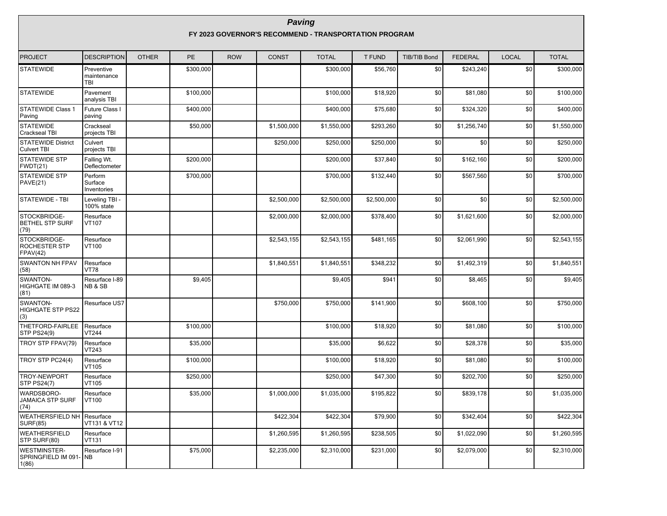| <b>PROJECT</b>                                          | <b>DESCRIPTION</b>                      | <b>OTHER</b> | <b>PE</b> | <b>ROW</b> | <b>CONST</b> | <b>TOTAL</b> | <b>T FUND</b> | <b>TIB/TIB Bond</b> | <b>FEDERAL</b> | <b>LOCAL</b> | <b>TOTAL</b> |
|---------------------------------------------------------|-----------------------------------------|--------------|-----------|------------|--------------|--------------|---------------|---------------------|----------------|--------------|--------------|
| <b>STATEWIDE</b>                                        | Preventive<br>maintenance<br><b>TBI</b> |              | \$300,000 |            |              | \$300,000    | \$56,760      | \$0                 | \$243,240      | \$0          | \$300,000    |
| <b>STATEWIDE</b>                                        | Pavement<br>analysis TBI                |              | \$100,000 |            |              | \$100,000    | \$18,920      | \$0                 | \$81,080       | \$0          | \$100,000    |
| <b>STATEWIDE Class 1</b><br>Paving                      | Future Class I<br>paving                |              | \$400,000 |            |              | \$400,000    | \$75,680      | \$0                 | \$324,320      | \$0          | \$400,000    |
| <b>STATEWIDE</b><br>Crackseal TBI                       | Crackseal<br>projects TBI               |              | \$50,000  |            | \$1,500,000  | \$1,550,000  | \$293,260     | \$0                 | \$1,256,740    | \$0          | \$1,550,000  |
| <b>STATEWIDE District</b><br><b>Culvert TBI</b>         | Culvert<br>projects TBI                 |              |           |            | \$250,000    | \$250,000    | \$250,000     | \$0                 | \$0            | \$0          | \$250,000    |
| <b>STATEWIDE STP</b><br>FWDT(21)                        | Falling Wt.<br>Deflectometer            |              | \$200,000 |            |              | \$200,000    | \$37,840      | \$0                 | \$162,160      | \$0          | \$200,000    |
| <b>STATEWIDE STP</b><br>PAVE(21)                        | Perform<br>Surface<br>Inventories       |              | \$700,000 |            |              | \$700,000    | \$132,440     | \$0                 | \$567,560      | \$0          | \$700,000    |
| STATEWIDE - TBI                                         | Leveling TBI -<br>100% state            |              |           |            | \$2,500,000  | \$2,500,000  | \$2,500,000   | \$0                 | \$0            | \$0          | \$2,500,000  |
| STOCKBRIDGE-<br><b>BETHEL STP SURF</b><br>(79)          | Resurface<br>VT107                      |              |           |            | \$2,000,000  | \$2,000,000  | \$378,400     | \$0                 | \$1,621,600    | \$0          | \$2,000,000  |
| STOCKBRIDGE-<br><b>ROCHESTER STP</b><br><b>FPAV(42)</b> | Resurface<br>VT100                      |              |           |            | \$2,543,155  | \$2,543,155  | \$481,165     | \$0                 | \$2,061,990    | \$0          | \$2,543,155  |
| <b>SWANTON NH FPAV</b><br>(58)                          | Resurface<br><b>VT78</b>                |              |           |            | \$1,840,551  | \$1,840,551  | \$348,232     | \$0                 | \$1,492,319    | \$0          | \$1,840,551  |
| SWANTON-<br>HIGHGATE IM 089-3<br>(81)                   | Resurface I-89<br>NB & SB               |              | \$9,405   |            |              | \$9,405      | \$941         | \$0                 | \$8,465        | \$0          | \$9,405      |
| SWANTON-<br><b>HIGHGATE STP PS22</b><br>(3)             | Resurface US7                           |              |           |            | \$750,000    | \$750,000    | \$141,900     | \$0                 | \$608,100      | \$0          | \$750,000    |
| THETFORD-FAIRLEE<br><b>STP PS24(9)</b>                  | Resurface<br>VT244                      |              | \$100,000 |            |              | \$100,000    | \$18,920      | \$0                 | \$81,080       | \$0          | \$100,000    |
| TROY STP FPAV(79)                                       | Resurface<br>VT243                      |              | \$35,000  |            |              | \$35,000     | \$6,622       | \$0                 | \$28,378       | \$0          | \$35,000     |
| TROY STP PC24(4)                                        | Resurface<br>VT105                      |              | \$100,000 |            |              | \$100,000    | \$18,920      | \$0                 | \$81,080       | \$0          | \$100,000    |
| TROY-NEWPORT<br><b>STP PS24(7)</b>                      | Resurface<br>VT105                      |              | \$250,000 |            |              | \$250,000    | \$47,300      | \$0                 | \$202,700      | \$0          | \$250,000    |
| <b>WARDSBORO-</b><br><b>JAMAICA STP SURF</b><br>(74)    | Resurface<br>VT100                      |              | \$35,000  |            | \$1,000,000  | \$1,035,000  | \$195,822     | \$0                 | \$839.178      | \$0          | \$1,035,000  |
| <b>WEATHERSFIELD NH</b><br><b>SURF(85)</b>              | Resurface<br>VT131 & VT12               |              |           |            | \$422,304    | \$422,304    | \$79,900      | \$0                 | \$342,404      | \$0          | \$422,304    |
| WEATHERSFIELD<br>STP SURF(80)                           | Resurface<br>VT131                      |              |           |            | \$1,260,595  | \$1,260,595  | \$238,505     | \$0                 | \$1,022,090    | \$0          | \$1,260,595  |
| <b>WESTMINSTER-</b><br>SPRINGFIELD IM 091- INB<br>1(86) | Resurface I-91                          |              | \$75,000  |            | \$2,235,000  | \$2,310,000  | \$231,000     | \$0                 | \$2,079,000    | \$0          | \$2,310,000  |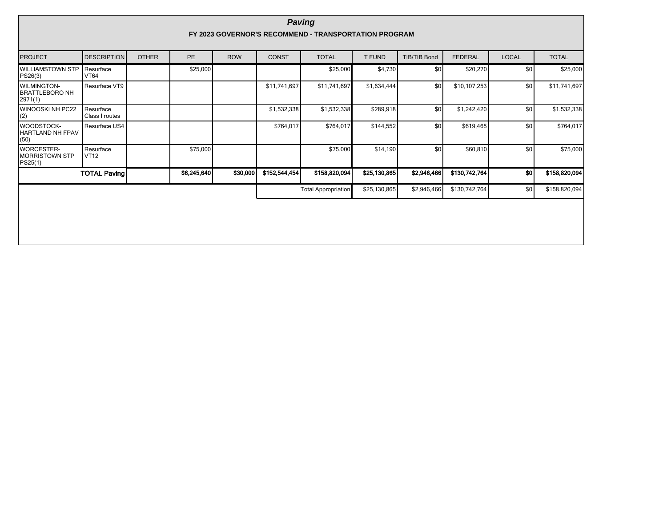|                                                        | <b>Paving</b><br>FY 2023 GOVERNOR'S RECOMMEND - TRANSPORTATION PROGRAM |              |             |            |               |                            |              |                     |                |              |               |  |
|--------------------------------------------------------|------------------------------------------------------------------------|--------------|-------------|------------|---------------|----------------------------|--------------|---------------------|----------------|--------------|---------------|--|
| <b>PROJECT</b>                                         | <b>DESCRIPTION</b>                                                     | <b>OTHER</b> | <b>PE</b>   | <b>ROW</b> | <b>CONST</b>  | <b>TOTAL</b>               | T FUND       | <b>TIB/TIB Bond</b> | <b>FEDERAL</b> | <b>LOCAL</b> | <b>TOTAL</b>  |  |
| <b>WILLIAMSTOWN STP</b><br>PS26(3)                     | Resurface<br><b>VT64</b>                                               |              | \$25,000    |            |               | \$25,000                   | \$4,730      | \$0                 | \$20,270       | \$0          | \$25,000      |  |
| <b>WILMINGTON-</b><br><b>BRATTLEBORO NH</b><br>2971(1) | Resurface VT9                                                          |              |             |            | \$11,741,697  | \$11,741,697               | \$1,634,444  | \$0                 | \$10,107,253   | \$0          | \$11,741,697  |  |
| WINOOSKI NH PC22<br>(2)                                | Resurface<br>Class I routes                                            |              |             |            | \$1,532,338   | \$1,532,338                | \$289,918    | \$0                 | \$1,242,420    | \$0          | \$1,532,338   |  |
| <b>WOODSTOCK-</b><br><b>HARTLAND NH FPAV</b><br>(50)   | Resurface US4                                                          |              |             |            | \$764,017     | \$764,017                  | \$144,552    | \$0                 | \$619,465      | \$0          | \$764,017     |  |
| <b>WORCESTER-</b><br><b>MORRISTOWN STP</b><br>PS25(1)  | Resurface<br><b>VT12</b>                                               |              | \$75,000    |            |               | \$75,000                   | \$14,190     | \$0                 | \$60,810       | \$0          | \$75,000      |  |
|                                                        | <b>TOTAL Paving</b>                                                    |              | \$6,245,640 | \$30,000   | \$152,544,454 | \$158,820,094              | \$25,130,865 | \$2,946,466         | \$130,742,764  | SO           | \$158,820,094 |  |
|                                                        |                                                                        |              |             |            |               | <b>Total Appropriation</b> | \$25,130,865 | \$2,946,466         | \$130,742,764  | \$0          | \$158,820,094 |  |
|                                                        |                                                                        |              |             |            |               |                            |              |                     |                |              |               |  |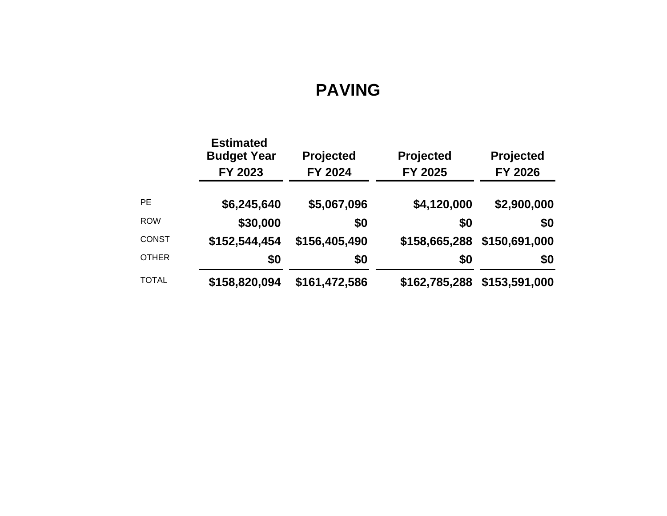# **PAVING**

|              | <b>Estimated</b><br><b>Budget Year</b><br>FY 2023 | <b>Projected</b><br>FY 2024 | Projected<br>FY 2025 | Projected<br>FY 2026 |
|--------------|---------------------------------------------------|-----------------------------|----------------------|----------------------|
| <b>PE</b>    | \$6,245,640                                       | \$5,067,096                 | \$4,120,000          | \$2,900,000          |
| <b>ROW</b>   | \$30,000                                          | \$0                         | \$0                  | \$0                  |
| <b>CONST</b> | \$152,544,454                                     | \$156,405,490               | \$158,665,288        | \$150,691,000        |
| <b>OTHER</b> | \$0                                               | \$0                         | \$0                  | \$0                  |
| <b>TOTAL</b> | \$158,820,094                                     | \$161,472,586               | \$162,785,288        | \$153,591,000        |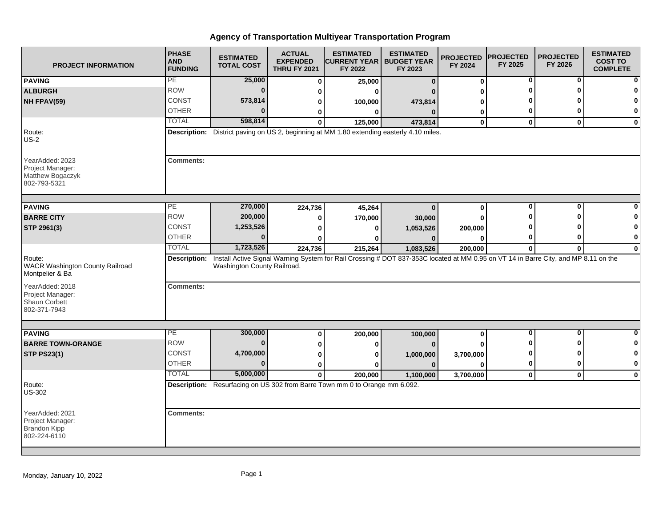| <b>PROJECT INFORMATION</b>                                                 | <b>PHASE</b><br><b>AND</b><br><b>FUNDING</b> | <b>ESTIMATED</b><br><b>TOTAL COST</b>                                                                                                                              | <b>ACTUAL</b><br><b>EXPENDED</b><br><b>THRU FY 2021</b> | <b>ESTIMATED</b><br><b>CURRENT YEAR   BUDGET YEAR</b><br>FY 2022 | <b>ESTIMATED</b><br>FY 2023 | <b>PROJECTED</b><br>FY 2024 | <b>PROJECTED</b><br>FY 2025 | <b>PROJECTED</b><br>FY 2026 | <b>ESTIMATED</b><br><b>COST TO</b><br><b>COMPLETE</b> |
|----------------------------------------------------------------------------|----------------------------------------------|--------------------------------------------------------------------------------------------------------------------------------------------------------------------|---------------------------------------------------------|------------------------------------------------------------------|-----------------------------|-----------------------------|-----------------------------|-----------------------------|-------------------------------------------------------|
| <b>PAVING</b>                                                              | PE                                           | 25,000                                                                                                                                                             | $\mathbf{0}$                                            | 25,000                                                           | $\bf{0}$                    | 0                           | 0                           | 0                           |                                                       |
| <b>ALBURGH</b>                                                             | <b>ROW</b>                                   | $\bf{0}$                                                                                                                                                           | 0                                                       | O                                                                |                             |                             |                             | Λ                           |                                                       |
| NH FPAV(59)                                                                | <b>CONST</b>                                 | 573,814                                                                                                                                                            | 0                                                       | 100,000                                                          | 473,814                     |                             |                             |                             |                                                       |
|                                                                            | <b>OTHER</b>                                 | $\Omega$                                                                                                                                                           | 0                                                       | $\bf{0}$                                                         | $\mathbf{0}$                | 0                           | 0                           | 0                           |                                                       |
|                                                                            | <b>TOTAL</b>                                 | 598,814                                                                                                                                                            | $\mathbf{0}$                                            | 125,000                                                          | 473,814                     | $\mathbf 0$                 | $\mathbf 0$                 | $\mathbf{0}$                | $\bf{0}$                                              |
| Route:<br>$US-2$                                                           |                                              | Description: District paving on US 2, beginning at MM 1.80 extending easterly 4.10 miles.                                                                          |                                                         |                                                                  |                             |                             |                             |                             |                                                       |
| YearAdded: 2023<br>Project Manager:<br>Matthew Bogaczyk<br>802-793-5321    | <b>Comments:</b>                             |                                                                                                                                                                    |                                                         |                                                                  |                             |                             |                             |                             |                                                       |
| <b>PAVING</b>                                                              | PE                                           | 270,000                                                                                                                                                            | 224,736                                                 | 45,264                                                           | $\mathbf{0}$                | 0                           | $\bf{0}$                    | $\overline{0}$              |                                                       |
| <b>BARRE CITY</b>                                                          | <b>ROW</b>                                   | 200,000                                                                                                                                                            | 0                                                       | 170,000                                                          | 30,000                      | O                           |                             |                             |                                                       |
| STP 2961(3)                                                                | <b>CONST</b>                                 | 1,253,526                                                                                                                                                          | 0                                                       | 0                                                                | 1,053,526                   | 200,000                     |                             |                             |                                                       |
|                                                                            | <b>OTHER</b>                                 | $\bf{0}$                                                                                                                                                           | 0                                                       | O                                                                | $\Omega$                    |                             |                             | 0                           | 0                                                     |
|                                                                            | <b>TOTAL</b>                                 | 1,723,526                                                                                                                                                          | 224,736                                                 | 215,264                                                          | 1,083,526                   | 200,000                     | $\bf{0}$                    | $\mathbf{0}$                | $\bf{0}$                                              |
| Route:<br><b>WACR Washington County Railroad</b><br>Montpelier & Ba        | Description:                                 | Install Active Signal Warning System for Rail Crossing # DOT 837-353C located at MM 0.95 on VT 14 in Barre City, and MP 8.11 on the<br>Washington County Railroad. |                                                         |                                                                  |                             |                             |                             |                             |                                                       |
| YearAdded: 2018<br>Project Manager:<br>Shaun Corbett<br>802-371-7943       | <b>Comments:</b>                             |                                                                                                                                                                    |                                                         |                                                                  |                             |                             |                             |                             |                                                       |
| <b>PAVING</b>                                                              | PE                                           | 300,000                                                                                                                                                            | 0                                                       | 200,000                                                          |                             | 0                           | $\bf{0}$                    | $\overline{0}$              | $\Omega$                                              |
| <b>BARRE TOWN-ORANGE</b>                                                   | <b>ROW</b>                                   | n                                                                                                                                                                  | 0                                                       | 0                                                                | 100,000<br>$\bf{0}$         |                             |                             |                             | n                                                     |
| <b>STP PS23(1)</b>                                                         | <b>CONST</b>                                 | 4,700,000                                                                                                                                                          | 0                                                       | 0                                                                | 1,000,000                   | 3,700,000                   |                             | n                           | 0                                                     |
|                                                                            | <b>OTHER</b>                                 | $\bf{0}$                                                                                                                                                           | 0                                                       |                                                                  | $\mathbf{0}$                |                             | 0                           | 0                           | $\bf{0}$                                              |
|                                                                            | <b>TOTAL</b>                                 | 5,000,000                                                                                                                                                          | $\mathbf{0}$                                            | 200.000                                                          | 1,100,000                   | 3,700,000                   | $\mathbf{0}$                | $\mathbf{0}$                | $\mathbf 0$                                           |
| Route:<br><b>US-302</b>                                                    |                                              | Description: Resurfacing on US 302 from Barre Town mm 0 to Orange mm 6.092.                                                                                        |                                                         |                                                                  |                             |                             |                             |                             |                                                       |
| YearAdded: 2021<br>Project Manager:<br><b>Brandon Kipp</b><br>802-224-6110 | <b>Comments:</b>                             |                                                                                                                                                                    |                                                         |                                                                  |                             |                             |                             |                             |                                                       |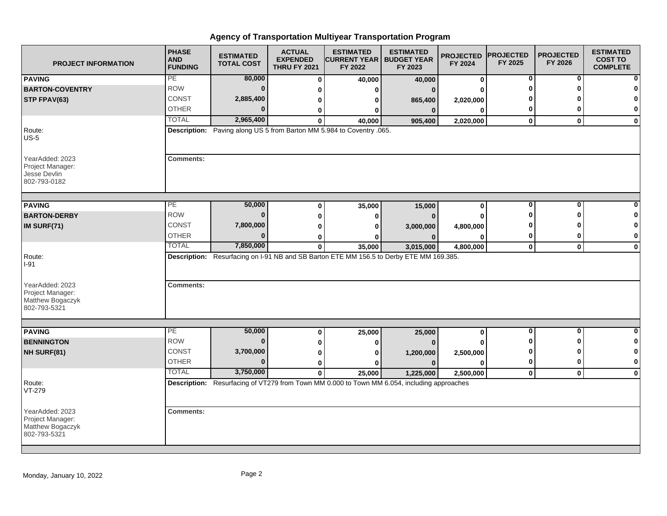| <b>PROJECT INFORMATION</b>                                              | <b>PHASE</b><br><b>AND</b><br><b>FUNDING</b> | <b>ESTIMATED</b><br><b>TOTAL COST</b> | <b>ACTUAL</b><br><b>EXPENDED</b><br><b>THRU FY 2021</b> | <b>ESTIMATED</b><br><b>CURRENT YEAR   BUDGET YEAR</b><br>FY 2022                            | <b>ESTIMATED</b><br>FY 2023 | <b>PROJECTED</b><br>FY 2024 | <b>PROJECTED</b><br>FY 2025 | <b>PROJECTED</b><br>FY 2026 | <b>ESTIMATED</b><br><b>COST TO</b><br><b>COMPLETE</b> |
|-------------------------------------------------------------------------|----------------------------------------------|---------------------------------------|---------------------------------------------------------|---------------------------------------------------------------------------------------------|-----------------------------|-----------------------------|-----------------------------|-----------------------------|-------------------------------------------------------|
| <b>PAVING</b>                                                           | PE                                           | 80,000                                | $\bf{0}$                                                | 40,000                                                                                      | 40,000                      | 0                           | 0                           | 0                           |                                                       |
| <b>BARTON-COVENTRY</b>                                                  | <b>ROW</b>                                   | $\bf{0}$                              | 0                                                       | 0                                                                                           |                             | ŋ                           |                             | ŋ                           |                                                       |
| STP FPAV(63)                                                            | <b>CONST</b>                                 | 2,885,400                             | 0                                                       | 0                                                                                           | 865,400                     | 2,020,000                   |                             |                             |                                                       |
|                                                                         | <b>OTHER</b>                                 | $\Omega$                              | 0                                                       | 0                                                                                           | $\bf{0}$                    | 0                           | 0                           | O                           | $\bf{0}$                                              |
|                                                                         | <b>TOTAL</b>                                 | 2,965,400                             | $\bf{0}$                                                | 40,000                                                                                      | 905,400                     | 2,020,000                   | $\mathbf 0$                 | $\mathbf{0}$                | $\mathbf 0$                                           |
| Route:<br>$US-5$                                                        |                                              |                                       |                                                         | Description: Paving along US 5 from Barton MM 5.984 to Coventry .065.                       |                             |                             |                             |                             |                                                       |
| YearAdded: 2023<br>Project Manager:<br>Jesse Devlin<br>802-793-0182     | <b>Comments:</b>                             |                                       |                                                         |                                                                                             |                             |                             |                             |                             |                                                       |
| <b>PAVING</b>                                                           | PЕ                                           | 50,000                                | 0                                                       | 35,000                                                                                      | 15,000                      | 0                           | $\bf{0}$                    | $\bf{0}$                    |                                                       |
| <b>BARTON-DERBY</b>                                                     | <b>ROW</b>                                   | $\mathbf{0}$                          | 0                                                       | 0                                                                                           | O                           | $\bf{0}$                    | ŋ                           | ∩                           |                                                       |
| IM SURF(71)                                                             | CONST                                        | 7,800,000                             | 0                                                       | 0                                                                                           |                             | 4,800,000                   |                             |                             | 0                                                     |
|                                                                         | <b>OTHER</b>                                 | $\Omega$                              |                                                         | ŋ                                                                                           | 3,000,000<br>$\Omega$       | $\bf{0}$                    | 0                           | 0                           | 0                                                     |
|                                                                         | <b>TOTAL</b>                                 | 7,850,000                             | 0<br>$\mathbf{0}$                                       | 35,000                                                                                      | 3,015,000                   | 4,800,000                   | $\mathbf{0}$                | $\mathbf 0$                 | $\mathbf 0$                                           |
| Route:<br>I-91<br>YearAdded: 2023                                       | <b>Comments:</b>                             |                                       |                                                         | Description: Resurfacing on I-91 NB and SB Barton ETE MM 156.5 to Derby ETE MM 169.385.     |                             |                             |                             |                             |                                                       |
| Project Manager:<br>Matthew Bogaczyk<br>802-793-5321                    |                                              |                                       |                                                         |                                                                                             |                             |                             |                             |                             |                                                       |
| <b>PAVING</b>                                                           | РE                                           | 50,000                                | 0                                                       | 25,000                                                                                      | 25,000                      | 0                           | 0                           | 0                           | $\bf{0}$                                              |
| <b>BENNINGTON</b>                                                       | <b>ROW</b>                                   | $\bf{0}$                              | 0                                                       | 0                                                                                           |                             |                             |                             | ŋ                           | 0                                                     |
| NH SURF(81)                                                             | CONST                                        | 3,700,000                             | 0                                                       | 0                                                                                           | 1,200,000                   | 2,500,000                   | O                           | ŋ                           | 0                                                     |
|                                                                         | <b>OTHER</b>                                 | $\Omega$                              | 0                                                       | ŋ                                                                                           | $\Omega$                    | 0                           | $\bf{0}$                    | $\bf{0}$                    | $\mathbf 0$                                           |
|                                                                         | <b>TOTAL</b>                                 | 3,750,000                             | $\mathbf{0}$                                            | 25,000                                                                                      | 1,225,000                   | 2,500,000                   | 0                           | $\mathbf 0$                 | $\mathbf 0$                                           |
| Route:<br>VT-279                                                        |                                              |                                       |                                                         | Description: Resurfacing of VT279 from Town MM 0.000 to Town MM 6.054, including approaches |                             |                             |                             |                             |                                                       |
| YearAdded: 2023<br>Project Manager:<br>Matthew Bogaczyk<br>802-793-5321 | <b>Comments:</b>                             |                                       |                                                         |                                                                                             |                             |                             |                             |                             |                                                       |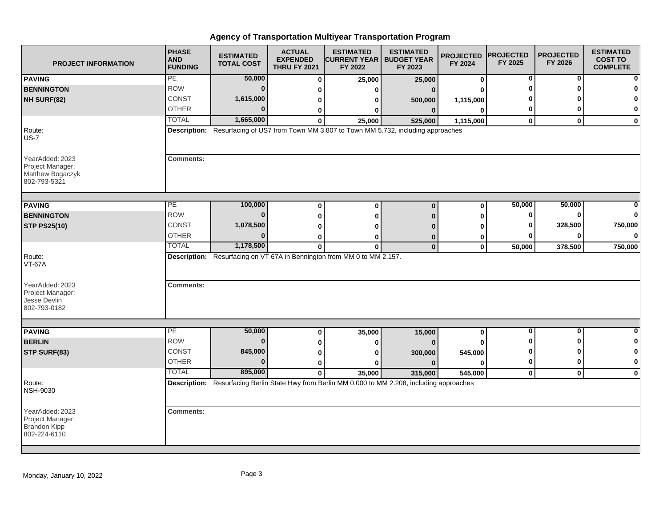| <b>PROJECT INFORMATION</b>                                              | <b>PHASE</b><br><b>AND</b><br><b>FUNDING</b> | <b>ESTIMATED</b><br><b>TOTAL COST</b> | <b>ACTUAL</b><br><b>EXPENDED</b><br><b>THRU FY 2021</b> | <b>ESTIMATED</b><br><b>CURRENT YEAR   BUDGET YEAR</b><br>FY 2022        | <b>ESTIMATED</b><br>FY 2023                                                                                 | <b>PROJECTED</b><br>FY 2024 | <b>PROJECTED</b><br>FY 2025 | <b>PROJECTED</b><br>FY 2026 | <b>ESTIMATED</b><br><b>COST TO</b><br><b>COMPLETE</b> |
|-------------------------------------------------------------------------|----------------------------------------------|---------------------------------------|---------------------------------------------------------|-------------------------------------------------------------------------|-------------------------------------------------------------------------------------------------------------|-----------------------------|-----------------------------|-----------------------------|-------------------------------------------------------|
| <b>PAVING</b>                                                           | PE                                           | 50,000                                | $\bf{0}$                                                | 25,000                                                                  | 25,000                                                                                                      | $\bf{0}$                    | 0                           | 0                           |                                                       |
| <b>BENNINGTON</b>                                                       | <b>ROW</b>                                   | $\bf{0}$                              | 0                                                       | U                                                                       | $\Omega$                                                                                                    | U                           | O                           | ŋ                           |                                                       |
| NH SURF(82)                                                             | CONST                                        | 1,615,000                             | 0                                                       | 0                                                                       | 500,000                                                                                                     | 1,115,000                   |                             |                             |                                                       |
|                                                                         | <b>OTHER</b>                                 | $\Omega$                              | 0                                                       | 0                                                                       | $\mathbf{0}$                                                                                                | $\bf{0}$                    | 0                           | O                           | 0                                                     |
|                                                                         | <b>TOTAL</b>                                 | 1,665,000                             | $\bf{0}$                                                | 25,000                                                                  | 525,000                                                                                                     | 1,115,000                   | $\mathbf 0$                 | $\mathbf{0}$                | $\mathbf 0$                                           |
| Route:<br>$US-7$                                                        |                                              |                                       |                                                         |                                                                         | Description: Resurfacing of US7 from Town MM 3.807 to Town MM 5.732, including approaches                   |                             |                             |                             |                                                       |
| YearAdded: 2023<br>Project Manager:<br>Matthew Bogaczyk<br>802-793-5321 | <b>Comments:</b>                             |                                       |                                                         |                                                                         |                                                                                                             |                             |                             |                             |                                                       |
|                                                                         | PE                                           | 100,000                               |                                                         |                                                                         |                                                                                                             |                             | 50,000                      | 50,000                      | n                                                     |
| <b>PAVING</b><br><b>BENNINGTON</b>                                      | <b>ROW</b>                                   | $\bf{0}$                              | $\bf{0}$                                                | $\bf{0}$                                                                | $\bf{0}$                                                                                                    | $\bf{0}$                    | 0                           | $\bf{0}$                    | $\bf{0}$                                              |
|                                                                         | CONST                                        | 1,078,500                             | 0                                                       | $\bf{0}$                                                                | n                                                                                                           | 0                           | 0                           | 328,500                     | 750,000                                               |
| <b>STP PS25(10)</b>                                                     | <b>OTHER</b>                                 | 0                                     | 0                                                       | ŋ                                                                       |                                                                                                             | O                           | 0                           | 0                           | $\bf{0}$                                              |
|                                                                         | <b>TOTAL</b>                                 | 1,178,500                             | 0<br>$\mathbf{0}$                                       | 0<br>$\bf{0}$                                                           | $\Omega$<br>$\bf{0}$                                                                                        | 0<br>$\mathbf{0}$           | 50,000                      | 378,500                     | 750,000                                               |
| Route:<br><b>VT-67A</b>                                                 |                                              |                                       |                                                         | Description: Resurfacing on VT 67A in Bennington from MM 0 to MM 2.157. |                                                                                                             |                             |                             |                             |                                                       |
| YearAdded: 2023<br>Project Manager:<br>Jesse Devlin<br>802-793-0182     | <b>Comments:</b>                             |                                       |                                                         |                                                                         |                                                                                                             |                             |                             |                             |                                                       |
|                                                                         |                                              |                                       |                                                         |                                                                         |                                                                                                             |                             |                             |                             |                                                       |
| <b>PAVING</b>                                                           | PE<br><b>ROW</b>                             | 50,000<br>$\bf{0}$                    | 0                                                       | 35,000                                                                  | 15,000                                                                                                      | 0                           | 0<br>ŋ                      | 0<br>ŋ                      | 0<br>0                                                |
| <b>BERLIN</b>                                                           | <b>CONST</b>                                 | 845,000                               | 0                                                       | 0                                                                       |                                                                                                             |                             | 0                           | ŋ                           | 0                                                     |
| STP SURF(83)                                                            | <b>OTHER</b>                                 | $\Omega$                              | 0                                                       | 0                                                                       | 300,000                                                                                                     | 545,000                     | $\mathbf 0$                 | $\bf{0}$                    | $\mathbf{0}$                                          |
|                                                                         | <b>TOTAL</b>                                 | 895,000                               | 0                                                       | ŋ                                                                       | n                                                                                                           | $\bf{0}$                    |                             |                             |                                                       |
| Route:                                                                  |                                              |                                       | $\mathbf{0}$                                            | 35,000                                                                  | 315,000<br>Description: Resurfacing Berlin State Hwy from Berlin MM 0.000 to MM 2.208, including approaches | 545,000                     | 0                           | $\mathbf 0$                 | $\bf{0}$                                              |
| <b>NSH-9030</b>                                                         |                                              |                                       |                                                         |                                                                         |                                                                                                             |                             |                             |                             |                                                       |
| YearAdded: 2023<br>Project Manager:<br>Brandon Kipp<br>802-224-6110     | <b>Comments:</b>                             |                                       |                                                         |                                                                         |                                                                                                             |                             |                             |                             |                                                       |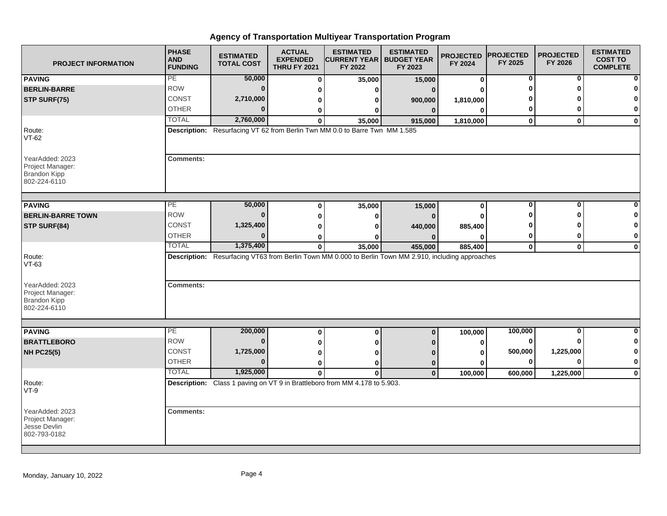| <b>PROJECT INFORMATION</b>                                                 | <b>PHASE</b><br><b>AND</b><br><b>FUNDING</b> | <b>ESTIMATED</b><br><b>TOTAL COST</b> | <b>ACTUAL</b><br><b>EXPENDED</b><br><b>THRU FY 2021</b> | <b>ESTIMATED</b><br><b>CURRENT YEAR   BUDGET YEAR</b><br>FY 2022                                      | <b>ESTIMATED</b><br>FY 2023 | <b>PROJECTED</b><br>FY 2024 | <b>PROJECTED</b><br>FY 2025 | <b>PROJECTED</b><br>FY 2026 | <b>ESTIMATED</b><br><b>COST TO</b><br><b>COMPLETE</b> |
|----------------------------------------------------------------------------|----------------------------------------------|---------------------------------------|---------------------------------------------------------|-------------------------------------------------------------------------------------------------------|-----------------------------|-----------------------------|-----------------------------|-----------------------------|-------------------------------------------------------|
| <b>PAVING</b>                                                              | PE                                           | 50,000                                | 0                                                       | 35,000                                                                                                | 15,000                      | 0                           | 0                           | 0                           |                                                       |
| <b>BERLIN-BARRE</b>                                                        | <b>ROW</b>                                   | $\Omega$                              | 0                                                       | ŋ                                                                                                     | $\Omega$                    | O                           | Ω                           | O                           |                                                       |
| STP SURF(75)                                                               | <b>CONST</b>                                 | 2,710,000                             | 0                                                       | ŋ                                                                                                     | 900,000                     | 1,810,000                   |                             |                             |                                                       |
|                                                                            | <b>OTHER</b>                                 | $\Omega$                              | ŋ                                                       | n                                                                                                     | n                           | $\Omega$                    | 0                           | 0                           | $\mathbf 0$                                           |
|                                                                            | <b>TOTAL</b>                                 | 2,760,000                             | 0                                                       | 35,000                                                                                                | 915,000                     | 1,810,000                   | $\mathbf 0$                 | $\mathbf 0$                 | $\mathbf 0$                                           |
| Route:<br><b>VT-62</b>                                                     |                                              |                                       |                                                         | Description: Resurfacing VT 62 from Berlin Twn MM 0.0 to Barre Twn MM 1.585                           |                             |                             |                             |                             |                                                       |
| YearAdded: 2023<br>Project Manager:<br>Brandon Kipp<br>802-224-6110        | <b>Comments:</b>                             |                                       |                                                         |                                                                                                       |                             |                             |                             |                             |                                                       |
| <b>PAVING</b>                                                              | PE                                           | 50,000                                | $\bf{0}$                                                | 35,000                                                                                                | 15,000                      | $\bf{0}$                    | $\bf{0}$                    | 0                           |                                                       |
| <b>BERLIN-BARRE TOWN</b>                                                   | <b>ROW</b>                                   | $\bf{0}$                              | ŋ                                                       | n                                                                                                     |                             | $\bf{0}$                    | Λ                           | ŋ                           |                                                       |
| STP SURF(84)                                                               | CONST                                        | 1,325,400                             | Ω                                                       |                                                                                                       | 440,000                     | 885,400                     |                             |                             |                                                       |
|                                                                            | <b>OTHER</b>                                 | $\Omega$                              | 0                                                       |                                                                                                       |                             | 0                           | 0                           | 0                           | $\mathbf 0$                                           |
|                                                                            | <b>TOTAL</b>                                 | 1,375,400                             | $\mathbf 0$                                             | 35,000                                                                                                | 455,000                     | 885,400                     | $\mathbf{0}$                | $\mathbf{0}$                | $\bf{0}$                                              |
| Route:<br>$VT-63$                                                          |                                              |                                       |                                                         | Description: Resurfacing VT63 from Berlin Town MM 0.000 to Berlin Town MM 2.910, including approaches |                             |                             |                             |                             |                                                       |
| YearAdded: 2023<br>Project Manager:<br><b>Brandon Kipp</b><br>802-224-6110 | <b>Comments:</b>                             |                                       |                                                         |                                                                                                       |                             |                             |                             |                             |                                                       |
|                                                                            |                                              |                                       |                                                         |                                                                                                       |                             |                             |                             |                             |                                                       |
| <b>PAVING</b>                                                              | PE<br><b>ROW</b>                             | 200,000<br>$\bf{0}$                   | $\bf{0}$                                                | $\bf{0}$                                                                                              | $\mathbf 0$                 | 100,000                     | 100,000                     | $\bf{0}$<br>ŋ               | $\Omega$                                              |
| <b>BRATTLEBORO</b>                                                         |                                              |                                       | 0                                                       |                                                                                                       |                             | 0                           | 0                           |                             | $\mathbf{0}$                                          |
| <b>NH PC25(5)</b>                                                          | <b>CONST</b>                                 | 1,725,000                             | 0                                                       |                                                                                                       |                             | 0                           | 500,000                     | 1,225,000                   | $\mathbf 0$                                           |
|                                                                            | <b>OTHER</b>                                 | $\Omega$                              | 0                                                       | 0                                                                                                     | $\mathbf 0$                 | 0                           | 0                           | $\bf{0}$                    | $\bf{0}$                                              |
|                                                                            | <b>TOTAL</b>                                 | 1,925,000                             | $\mathbf{0}$                                            | $\bf{0}$                                                                                              | $\mathbf{0}$                | 100,000                     | 600,000                     | 1,225,000                   | $\mathbf 0$                                           |
| Route:<br>$VT-9$                                                           |                                              |                                       |                                                         | Description: Class 1 paving on VT 9 in Brattleboro from MM 4.178 to 5.903.                            |                             |                             |                             |                             |                                                       |
| YearAdded: 2023<br>Project Manager:<br>Jesse Devlin<br>802-793-0182        | <b>Comments:</b>                             |                                       |                                                         |                                                                                                       |                             |                             |                             |                             |                                                       |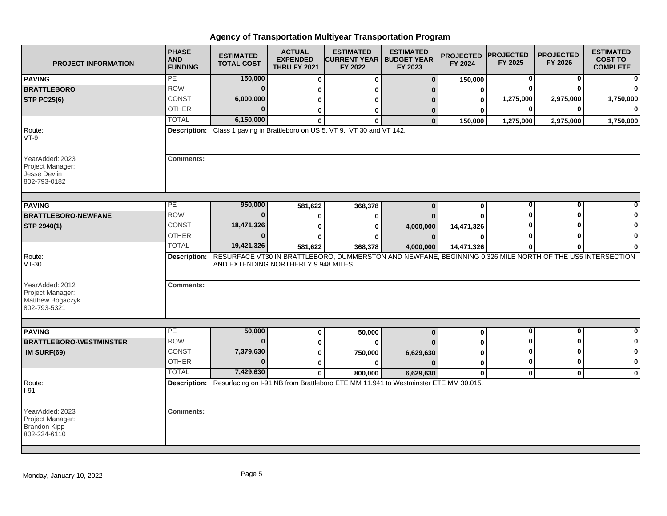| <b>PROJECT INFORMATION</b>                                              | <b>PHASE</b><br><b>AND</b><br><b>FUNDING</b> | <b>ESTIMATED</b><br><b>TOTAL COST</b>                                       | <b>ACTUAL</b><br><b>EXPENDED</b><br><b>THRU FY 2021</b> | <b>ESTIMATED</b><br><b>CURRENT YEAR   BUDGET YEAR</b><br>FY 2022 | <b>ESTIMATED</b><br>FY 2023                                                                                            | <b>PROJECTED</b><br>FY 2024 | <b>PROJECTED</b><br>FY 2025 | <b>PROJECTED</b><br>FY 2026 | <b>ESTIMATED</b><br><b>COST TO</b><br><b>COMPLETE</b> |
|-------------------------------------------------------------------------|----------------------------------------------|-----------------------------------------------------------------------------|---------------------------------------------------------|------------------------------------------------------------------|------------------------------------------------------------------------------------------------------------------------|-----------------------------|-----------------------------|-----------------------------|-------------------------------------------------------|
| <b>PAVING</b>                                                           | PE                                           | 150,000                                                                     | $\Omega$                                                | $\bf{0}$                                                         | $\Omega$                                                                                                               | 150,000                     | 0                           | 0                           | 0                                                     |
| <b>BRATTLEBORO</b>                                                      | <b>ROW</b>                                   | $\bf{0}$                                                                    | U                                                       |                                                                  |                                                                                                                        | 0                           |                             |                             | 0                                                     |
| <b>STP PC25(6)</b>                                                      | CONST                                        | 6,000,000                                                                   | ŋ                                                       |                                                                  |                                                                                                                        | 0                           | 1,275,000                   | 2,975,000                   | 1,750,000                                             |
|                                                                         | <b>OTHER</b>                                 | ŋ                                                                           | 0                                                       | 0                                                                | 0                                                                                                                      |                             | $\bf{0}$                    |                             | $\Omega$                                              |
|                                                                         | <b>TOTAL</b>                                 | 6,150,000                                                                   | $\Omega$                                                | O                                                                | $\bf{0}$                                                                                                               | 150,000                     | 1,275,000                   | 2,975,000                   | 1,750,000                                             |
| Route:<br>$VT-9$                                                        |                                              | Description: Class 1 paving in Brattleboro on US 5, VT 9, VT 30 and VT 142. |                                                         |                                                                  |                                                                                                                        |                             |                             |                             |                                                       |
| YearAdded: 2023<br>Project Manager:<br>Jesse Devlin<br>802-793-0182     | <b>Comments:</b>                             |                                                                             |                                                         |                                                                  |                                                                                                                        |                             |                             |                             |                                                       |
| <b>PAVING</b>                                                           | PE                                           | 950,000                                                                     | 581,622                                                 | 368,378                                                          | $\Omega$                                                                                                               | $\bf{0}$                    | 0                           |                             | 0                                                     |
| <b>BRATTLEBORO-NEWFANE</b>                                              | <b>ROW</b>                                   | $\bf{0}$                                                                    |                                                         | o                                                                |                                                                                                                        |                             |                             |                             | 0                                                     |
| STP 2940(1)                                                             | CONST                                        | 18,471,326                                                                  | O                                                       |                                                                  | 4,000,000                                                                                                              | 14,471,326                  |                             |                             | 0                                                     |
|                                                                         | <b>OTHER</b>                                 | $\bf{0}$                                                                    |                                                         |                                                                  |                                                                                                                        |                             |                             |                             | $\mathbf{0}$                                          |
|                                                                         | <b>TOTAL</b>                                 | 19,421,326                                                                  | 581,622                                                 | 368,378                                                          | 4,000,000                                                                                                              | 14,471,326                  | $\mathbf 0$                 | 0                           | $\mathbf{0}$                                          |
| Route:<br>$VT-30$                                                       |                                              | AND EXTENDING NORTHERLY 9.948 MILES.                                        |                                                         |                                                                  | Description: RESURFACE VT30 IN BRATTLEBORO, DUMMERSTON AND NEWFANE, BEGINNING 0.326 MILE NORTH OF THE US5 INTERSECTION |                             |                             |                             |                                                       |
| YearAdded: 2012<br>Project Manager:<br>Matthew Bogaczyk<br>802-793-5321 | <b>Comments:</b>                             |                                                                             |                                                         |                                                                  |                                                                                                                        |                             |                             |                             |                                                       |
| <b>PAVING</b>                                                           | PE                                           | 50,000                                                                      | 0                                                       | 50,000                                                           | $\Omega$                                                                                                               | 0                           | $\bf{0}$                    | 0                           | $\mathbf{0}$                                          |
| <b>BRATTLEBORO-WESTMINSTER</b>                                          | <b>ROW</b>                                   | $\bf{0}$                                                                    | 0                                                       |                                                                  |                                                                                                                        |                             |                             |                             | $\mathbf{0}$                                          |
| IM SURF(69)                                                             | <b>CONST</b>                                 | 7,379,630                                                                   | 0                                                       | 750,000                                                          | 6,629,630                                                                                                              |                             |                             |                             | $\mathbf{0}$                                          |
|                                                                         | <b>OTHER</b>                                 | $\Omega$                                                                    | 0                                                       |                                                                  |                                                                                                                        | 0                           | $\bf{0}$                    |                             | $\mathbf{0}$                                          |
|                                                                         | <b>TOTAL</b>                                 | 7,429,630                                                                   | $\mathbf{0}$                                            | 800,000                                                          | 6,629,630                                                                                                              | $\bf{0}$                    | $\mathbf 0$                 | $\mathbf{0}$                | $\mathbf{0}$                                          |
| Route:<br>$I-91$                                                        |                                              |                                                                             |                                                         |                                                                  | Description: Resurfacing on I-91 NB from Brattleboro ETE MM 11.941 to Westminster ETE MM 30.015.                       |                             |                             |                             |                                                       |
| YearAdded: 2023<br>Project Manager:<br>Brandon Kipp<br>802-224-6110     | <b>Comments:</b>                             |                                                                             |                                                         |                                                                  |                                                                                                                        |                             |                             |                             |                                                       |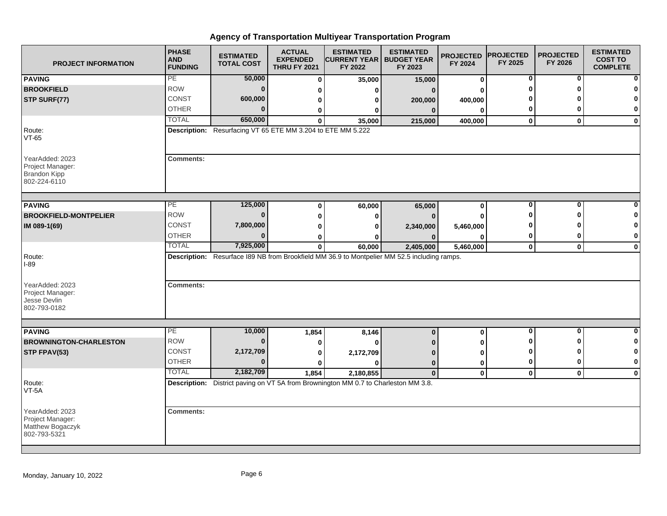| <b>PROJECT INFORMATION</b>                                                 | <b>PHASE</b><br><b>AND</b><br><b>FUNDING</b> | <b>ESTIMATED</b><br><b>TOTAL COST</b>                       | <b>ACTUAL</b><br><b>EXPENDED</b><br><b>THRU FY 2021</b> | <b>ESTIMATED</b><br><b>CURRENT YEAR   BUDGET YEAR</b><br>FY 2022                                 | <b>ESTIMATED</b><br>FY 2023 | <b>PROJECTED</b><br>FY 2024 | <b>PROJECTED</b><br>FY 2025 | <b>PROJECTED</b><br>FY 2026 | <b>ESTIMATED</b><br><b>COST TO</b><br><b>COMPLETE</b> |
|----------------------------------------------------------------------------|----------------------------------------------|-------------------------------------------------------------|---------------------------------------------------------|--------------------------------------------------------------------------------------------------|-----------------------------|-----------------------------|-----------------------------|-----------------------------|-------------------------------------------------------|
| <b>PAVING</b>                                                              | PE                                           | 50,000                                                      | $\bf{0}$                                                | 35,000                                                                                           | 15,000                      | 0                           | 0                           | 0                           | ŋ                                                     |
| <b>BROOKFIELD</b>                                                          | <b>ROW</b>                                   | $\bf{0}$                                                    | 0                                                       | 0                                                                                                | $\Omega$                    | 0                           | ŋ                           | ŋ                           |                                                       |
| STP SURF(77)                                                               | <b>CONST</b>                                 | 600,000                                                     | 0                                                       | 0                                                                                                | 200,000                     | 400,000                     |                             |                             | O                                                     |
|                                                                            | <b>OTHER</b>                                 | $\Omega$                                                    | 0                                                       | 0                                                                                                | $\bf{0}$                    | 0                           | 0                           | 0                           | 0                                                     |
|                                                                            | <b>TOTAL</b>                                 | 650,000                                                     | $\bf{0}$                                                | 35,000                                                                                           | 215,000                     | 400,000                     | $\mathbf 0$                 | $\mathbf{0}$                | $\mathbf 0$                                           |
| Route:<br>$VT-65$                                                          |                                              | Description: Resurfacing VT 65 ETE MM 3.204 to ETE MM 5.222 |                                                         |                                                                                                  |                             |                             |                             |                             |                                                       |
| YearAdded: 2023<br>Project Manager:<br><b>Brandon Kipp</b><br>802-224-6110 | <b>Comments:</b>                             |                                                             |                                                         |                                                                                                  |                             |                             |                             |                             |                                                       |
| <b>PAVING</b>                                                              | PЕ                                           | 125,000                                                     | $\bf{0}$                                                | 60,000                                                                                           | 65,000                      | 0                           | $\bf{0}$                    | $\bf{0}$                    |                                                       |
| <b>BROOKFIELD-MONTPELIER</b>                                               | <b>ROW</b>                                   | $\bf{0}$                                                    | 0                                                       | 0                                                                                                |                             | 0                           | ŋ                           | ŋ                           |                                                       |
| IM 089-1(69)                                                               | CONST                                        | 7,800,000                                                   | 0                                                       | 0                                                                                                | 2,340,000                   | 5,460,000                   |                             |                             | 0                                                     |
|                                                                            | <b>OTHER</b>                                 | $\Omega$                                                    | 0                                                       | o                                                                                                |                             | 0                           | 0                           | 0                           | 0                                                     |
|                                                                            | <b>TOTAL</b>                                 | 7,925,000                                                   | $\mathbf{0}$                                            | 60,000                                                                                           | 2,405,000                   | 5,460,000                   | $\mathbf{0}$                | $\mathbf 0$                 | $\mathbf 0$                                           |
| Route:<br>I-89                                                             |                                              |                                                             |                                                         | Description: Resurface I89 NB from Brookfield MM 36.9 to Montpelier MM 52.5 including ramps.     |                             |                             |                             |                             |                                                       |
| YearAdded: 2023<br>Project Manager:<br>Jesse Devlin<br>802-793-0182        | <b>Comments:</b>                             |                                                             |                                                         |                                                                                                  |                             |                             |                             |                             |                                                       |
|                                                                            | PE                                           |                                                             |                                                         |                                                                                                  |                             |                             | $\mathbf 0$                 | $\mathbf{0}$                | $\bf{0}$                                              |
| <b>PAVING</b>                                                              | <b>ROW</b>                                   | 10,000<br>$\bf{0}$                                          | 1,854                                                   | 8,146                                                                                            | $\bf{0}$                    | 0                           | O                           | ŋ                           | 0                                                     |
| <b>BROWNINGTON-CHARLESTON</b>                                              | <b>CONST</b>                                 | 2,172,709                                                   | 0                                                       | 0                                                                                                |                             | 0                           | ŋ                           | ŋ                           | 0                                                     |
| STP FPAV(53)                                                               | <b>OTHER</b>                                 | $\bf{0}$                                                    | 0                                                       | 2,172,709                                                                                        | n                           | 0                           | 0                           | 0                           | 0                                                     |
|                                                                            | <b>TOTAL</b>                                 | 2,182,709                                                   | $\bf{0}$                                                | $\bf{0}$                                                                                         | $\bf{0}$                    | 0                           |                             |                             |                                                       |
|                                                                            |                                              |                                                             | 1,854                                                   | 2,180,855<br>Description: District paving on VT 5A from Brownington MM 0.7 to Charleston MM 3.8. | $\mathbf{0}$                | 0                           | $\mathbf{0}$                | $\mathbf{0}$                | $\mathbf 0$                                           |
| Route:<br>VT-5A                                                            |                                              |                                                             |                                                         |                                                                                                  |                             |                             |                             |                             |                                                       |
| YearAdded: 2023<br>Project Manager:<br>Matthew Bogaczyk<br>802-793-5321    | <b>Comments:</b>                             |                                                             |                                                         |                                                                                                  |                             |                             |                             |                             |                                                       |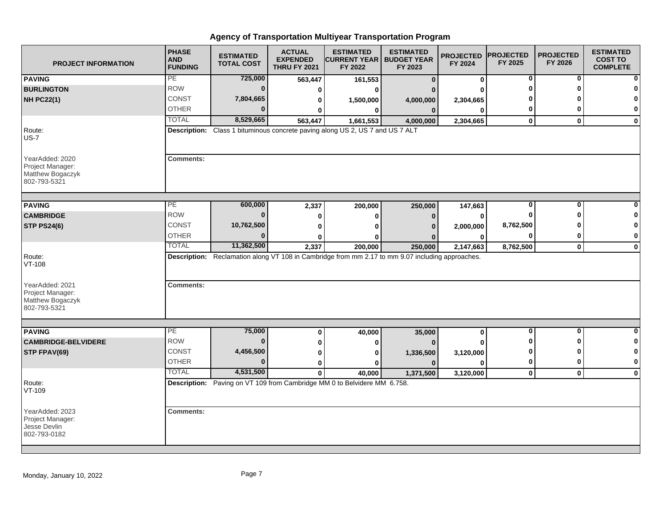| <b>PROJECT INFORMATION</b>                                              | <b>PHASE</b><br><b>AND</b><br><b>FUNDING</b> | <b>ESTIMATED</b><br><b>TOTAL COST</b> | <b>ACTUAL</b><br><b>EXPENDED</b><br><b>THRU FY 2021</b> | <b>ESTIMATED</b><br><b>CURRENT YEAR   BUDGET YEAR</b><br>FY 2022                                 | <b>ESTIMATED</b><br>FY 2023 | <b>PROJECTED</b><br>FY 2024 | <b>PROJECTED</b><br>FY 2025 | <b>PROJECTED</b><br>FY 2026 | <b>ESTIMATED</b><br><b>COST TO</b><br><b>COMPLETE</b> |
|-------------------------------------------------------------------------|----------------------------------------------|---------------------------------------|---------------------------------------------------------|--------------------------------------------------------------------------------------------------|-----------------------------|-----------------------------|-----------------------------|-----------------------------|-------------------------------------------------------|
| <b>PAVING</b>                                                           | PE                                           | 725,000                               | 563,447                                                 | 161,553                                                                                          | $\Omega$                    | $\bf{0}$                    | $\mathbf 0$                 | 0                           |                                                       |
| <b>BURLINGTON</b>                                                       | <b>ROW</b>                                   | $\bf{0}$                              | 0                                                       | 0                                                                                                |                             | O                           | ŋ                           | ŋ                           |                                                       |
| <b>NH PC22(1)</b>                                                       | CONST                                        | 7,804,665                             | 0                                                       | 1,500,000                                                                                        | 4,000,000                   | 2,304,665                   |                             |                             |                                                       |
|                                                                         | <b>OTHER</b>                                 | $\bf{0}$                              | 0                                                       | $\bf{0}$                                                                                         | $\mathbf{0}$                | $\bf{0}$                    | 0                           | 0                           | 0                                                     |
|                                                                         | <b>TOTAL</b>                                 | 8,529,665                             | 563,447                                                 | 1,661,553                                                                                        | 4,000,000                   | 2,304,665                   | $\mathbf{0}$                | $\mathbf{0}$                | $\mathbf{0}$                                          |
| Route:<br>$US-7$                                                        |                                              |                                       |                                                         | <b>Description:</b> Class 1 bituminous concrete paving along US 2, US 7 and US 7 ALT             |                             |                             |                             |                             |                                                       |
| YearAdded: 2020<br>Project Manager:<br>Matthew Bogaczyk<br>802-793-5321 | <b>Comments:</b>                             |                                       |                                                         |                                                                                                  |                             |                             |                             |                             |                                                       |
| <b>PAVING</b>                                                           | PE                                           | 600,000                               | 2,337                                                   | 200,000                                                                                          | 250,000                     | 147,663                     | 0                           | 0                           |                                                       |
| <b>CAMBRIDGE</b>                                                        | <b>ROW</b>                                   | 0                                     | 0                                                       | $\bf{0}$                                                                                         | $\Omega$                    | $\bf{0}$                    | 0                           | ŋ                           |                                                       |
| <b>STP PS24(6)</b>                                                      | CONST                                        | 10,762,500                            | O                                                       | U                                                                                                |                             | 2,000,000                   | 8,762,500                   |                             |                                                       |
|                                                                         | <b>OTHER</b>                                 | $\bf{0}$                              |                                                         | n                                                                                                |                             | 0                           | 0                           | 0                           | $\mathbf 0$                                           |
|                                                                         | <b>TOTAL</b>                                 | 11,362,500                            | 2,337                                                   | 200,000                                                                                          | 250,000                     | 2,147,663                   | 8,762,500                   | $\mathbf 0$                 | $\mathbf 0$                                           |
| Route:<br>$VT-108$<br>YearAdded: 2021<br>Project Manager:               | <b>Comments:</b>                             |                                       |                                                         | Description: Reclamation along VT 108 in Cambridge from mm 2.17 to mm 9.07 including approaches. |                             |                             |                             |                             |                                                       |
| Matthew Bogaczyk<br>802-793-5321                                        |                                              |                                       |                                                         |                                                                                                  |                             |                             |                             |                             |                                                       |
| <b>PAVING</b>                                                           | PE                                           | 75,000                                | $\bf{0}$                                                | 40,000                                                                                           | 35,000                      | $\mathbf{0}$                | $\mathbf 0$                 | $\mathbf{0}$                | $\bf{0}$                                              |
| <b>CAMBRIDGE-BELVIDERE</b>                                              | <b>ROW</b>                                   | $\bf{0}$                              | 0                                                       | 0                                                                                                |                             |                             | O                           | ŋ                           | 0                                                     |
| STP FPAV(69)                                                            | <b>CONST</b>                                 | 4,456,500                             | 0                                                       | 0                                                                                                | 1,336,500                   | 3,120,000                   | O                           | ŋ                           | $\mathbf 0$                                           |
|                                                                         | <b>OTHER</b>                                 | $\bf{0}$                              | 0                                                       | 0                                                                                                | $\Omega$                    | O                           | 0                           | 0                           | 0                                                     |
|                                                                         | <b>TOTAL</b>                                 | 4,531,500                             | $\mathbf{0}$                                            | 40,000                                                                                           | 1,371,500                   | 3,120,000                   | $\mathbf 0$                 | $\mathbf 0$                 | $\mathbf 0$                                           |
| Route:<br>VT-109                                                        |                                              |                                       |                                                         | Description: Paving on VT 109 from Cambridge MM 0 to Belvidere MM 6.758.                         |                             |                             |                             |                             |                                                       |
| YearAdded: 2023<br>Project Manager:<br>Jesse Devlin<br>802-793-0182     | <b>Comments:</b>                             |                                       |                                                         |                                                                                                  |                             |                             |                             |                             |                                                       |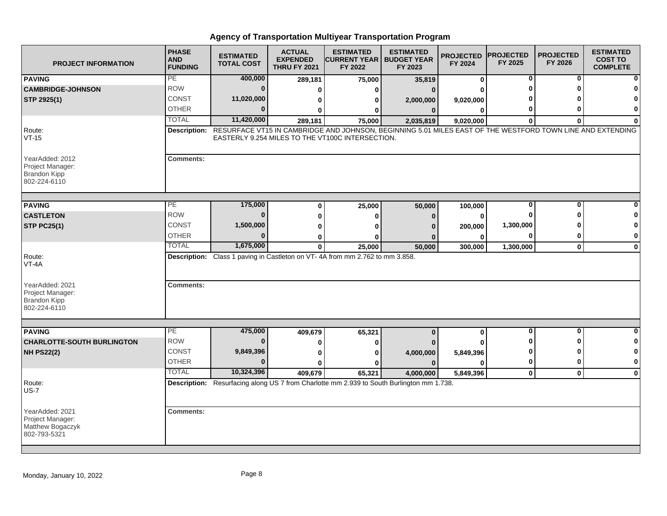| <b>PROJECT INFORMATION</b>                                                 | <b>PHASE</b><br><b>AND</b><br><b>FUNDING</b> | <b>ESTIMATED</b><br><b>TOTAL COST</b> | <b>ACTUAL</b><br><b>EXPENDED</b><br><b>THRU FY 2021</b> | <b>ESTIMATED</b><br><b>ICURRENT YEAR I BUDGET YEAR</b><br>FY 2022                                                                                                           | <b>ESTIMATED</b><br>FY 2023 | <b>PROJECTED</b><br>FY 2024 | <b>PROJECTED</b><br>FY 2025 | <b>PROJECTED</b><br>FY 2026 | <b>ESTIMATED</b><br><b>COST TO</b><br><b>COMPLETE</b> |
|----------------------------------------------------------------------------|----------------------------------------------|---------------------------------------|---------------------------------------------------------|-----------------------------------------------------------------------------------------------------------------------------------------------------------------------------|-----------------------------|-----------------------------|-----------------------------|-----------------------------|-------------------------------------------------------|
| <b>PAVING</b>                                                              | PE                                           | 400,000                               | 289,181                                                 | 75,000                                                                                                                                                                      | 35,819                      | 0                           | 0                           | 0                           |                                                       |
| <b>CAMBRIDGE-JOHNSON</b>                                                   | <b>ROW</b>                                   | $\bf{0}$                              | O                                                       | 0                                                                                                                                                                           | $\Omega$                    | ŋ                           |                             |                             |                                                       |
| STP 2925(1)                                                                | <b>CONST</b>                                 | 11,020,000                            | 0                                                       | 0                                                                                                                                                                           | 2,000,000                   | 9,020,000                   |                             |                             |                                                       |
|                                                                            | <b>OTHER</b>                                 | $\Omega$                              | 0                                                       | 0                                                                                                                                                                           | $\bf{0}$                    | 0                           | 0                           | n                           | $\bf{0}$                                              |
|                                                                            | <b>TOTAL</b>                                 | 11,420,000                            | 289,181                                                 | 75,000                                                                                                                                                                      | 2,035,819                   | 9,020,000                   | $\bf{0}$                    | $\bf{0}$                    | O                                                     |
| Route:<br>$VT-15$                                                          |                                              |                                       |                                                         | Description: RESURFACE VT15 IN CAMBRIDGE AND JOHNSON, BEGINNING 5.01 MILES EAST OF THE WESTFORD TOWN LINE AND EXTENDING<br>EASTERLY 9.254 MILES TO THE VT100C INTERSECTION. |                             |                             |                             |                             |                                                       |
| YearAdded: 2012<br>Project Manager:<br><b>Brandon Kipp</b><br>802-224-6110 | <b>Comments:</b>                             |                                       |                                                         |                                                                                                                                                                             |                             |                             |                             |                             |                                                       |
| <b>PAVING</b>                                                              | PЕ                                           | 175,000                               | 0                                                       | 25,000                                                                                                                                                                      | 50,000                      | 100,000                     | $\bf{0}$                    | $\bf{0}$                    |                                                       |
| <b>CASTLETON</b>                                                           | <b>ROW</b>                                   | $\bf{0}$                              | 0                                                       | 0                                                                                                                                                                           | 0                           | 0                           | ŋ                           | ∩                           |                                                       |
| <b>STP PC25(1)</b>                                                         | <b>CONST</b>                                 | 1,500,000                             | 0                                                       | O                                                                                                                                                                           |                             | 200,000                     | 1,300,000                   |                             | ŋ                                                     |
|                                                                            | <b>OTHER</b>                                 | $\Omega$                              | 0                                                       | ŋ                                                                                                                                                                           |                             | 0                           | 0                           | 0                           | 0                                                     |
|                                                                            | <b>TOTAL</b>                                 | 1,675,000                             | $\mathbf{0}$                                            | 25,000                                                                                                                                                                      | 50,000                      | 300,000                     | 1,300,000                   | $\mathbf 0$                 | $\mathbf 0$                                           |
| Route:<br>VT-4A<br>YearAdded: 2021                                         | <b>Comments:</b>                             |                                       |                                                         | Description: Class 1 paving in Castleton on VT-4A from mm 2.762 to mm 3.858.                                                                                                |                             |                             |                             |                             |                                                       |
| Project Manager:<br><b>Brandon Kipp</b><br>802-224-6110                    |                                              |                                       |                                                         |                                                                                                                                                                             |                             |                             |                             |                             |                                                       |
| <b>PAVING</b>                                                              | PE                                           | 475,000                               | 409,679                                                 | 65,321                                                                                                                                                                      | $\bf{0}$                    | 0                           | 0                           | 0                           | O                                                     |
| <b>CHARLOTTE-SOUTH BURLINGTON</b>                                          | <b>ROW</b>                                   | $\bf{0}$                              | 0                                                       | 0                                                                                                                                                                           |                             |                             |                             | ŋ                           | 0                                                     |
| <b>NH PS22(2)</b>                                                          | CONST                                        | 9,849,396                             | 0                                                       | 0                                                                                                                                                                           | 4,000,000                   | 5,849,396                   | O                           | ŋ                           | 0                                                     |
|                                                                            | <b>OTHER</b>                                 | $\Omega$                              | 0                                                       | ŋ                                                                                                                                                                           | $\Omega$                    | 0                           | $\mathbf 0$                 | $\bf{0}$                    | $\mathbf 0$                                           |
|                                                                            | <b>TOTAL</b>                                 | 10,324,396                            | 409,679                                                 | 65,321                                                                                                                                                                      | 4,000,000                   | 5,849,396                   | $\mathbf 0$                 | $\mathbf{0}$                | $\mathbf 0$                                           |
| Route:<br>$US-7$                                                           |                                              |                                       |                                                         | Description: Resurfacing along US 7 from Charlotte mm 2.939 to South Burlington mm 1.738.                                                                                   |                             |                             |                             |                             |                                                       |
| YearAdded: 2021<br>Project Manager:<br>Matthew Bogaczyk<br>802-793-5321    | <b>Comments:</b>                             |                                       |                                                         |                                                                                                                                                                             |                             |                             |                             |                             |                                                       |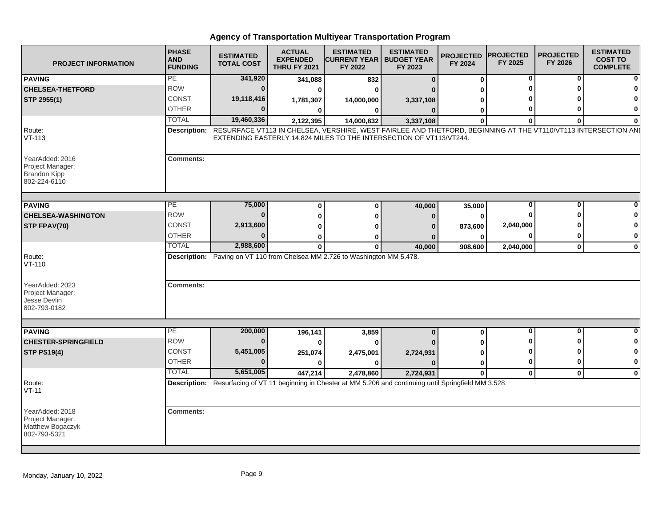| <b>PROJECT INFORMATION</b>                                                 | <b>PHASE</b><br><b>AND</b><br><b>FUNDING</b> | <b>ESTIMATED</b><br><b>TOTAL COST</b>                                                                          | <b>ACTUAL</b><br><b>EXPENDED</b><br><b>THRU FY 2021</b> | <b>ESTIMATED</b><br><b>CURRENT YEAR I</b><br>FY 2022                | <b>ESTIMATED</b><br><b>BUDGET YEAR</b><br>FY 2023 | <b>PROJECTED</b><br>FY 2024 | <b>PROJECTED</b><br>FY 2025 | <b>PROJECTED</b><br>FY 2026 | <b>ESTIMATED</b><br><b>COST TO</b><br><b>COMPLETE</b> |
|----------------------------------------------------------------------------|----------------------------------------------|----------------------------------------------------------------------------------------------------------------|---------------------------------------------------------|---------------------------------------------------------------------|---------------------------------------------------|-----------------------------|-----------------------------|-----------------------------|-------------------------------------------------------|
| <b>PAVING</b>                                                              | PE                                           | 341,920                                                                                                        | 341,088                                                 | 832                                                                 | $\bf{0}$                                          | $\Omega$                    | 0                           | 0                           | 0                                                     |
| <b>CHELSEA-THETFORD</b>                                                    | <b>ROW</b>                                   | n                                                                                                              | $\Omega$                                                | 0                                                                   |                                                   |                             | $\bf{0}$                    | O                           |                                                       |
| STP 2955(1)                                                                | <b>CONST</b>                                 | 19,118,416                                                                                                     | 1,781,307                                               | 14,000,000                                                          | 3,337,108                                         |                             | 0                           |                             |                                                       |
|                                                                            | <b>OTHER</b>                                 |                                                                                                                | 0                                                       | $\bf{0}$                                                            | $\Omega$                                          | O                           | 0                           | 0                           |                                                       |
|                                                                            | <b>TOTAL</b>                                 | 19,460,336                                                                                                     | 2,122,395                                               | 14,000,832                                                          | 3,337,108                                         | $\Omega$                    | $\Omega$                    | $\mathbf{0}$                |                                                       |
| Route:<br>$VT-113$                                                         | <b>Description:</b>                          | RESURFACE VT113 IN CHELSEA, VERSHIRE, WEST FAIRLEE AND THETFORD, BEGINNING AT THE VT110/VT113 INTERSECTION ANI |                                                         | EXTENDING EASTERLY 14.824 MILES TO THE INTERSECTION OF VT113/VT244. |                                                   |                             |                             |                             |                                                       |
| YearAdded: 2016<br>Project Manager:<br><b>Brandon Kipp</b><br>802-224-6110 | <b>Comments:</b>                             |                                                                                                                |                                                         |                                                                     |                                                   |                             |                             |                             |                                                       |
| <b>PAVING</b>                                                              | PE                                           | 75,000                                                                                                         | $\bf{0}$                                                | $\bf{0}$                                                            | 40,000                                            | 35,000                      | 0                           | $\bf{0}$                    |                                                       |
| <b>CHELSEA-WASHINGTON</b>                                                  | <b>ROW</b>                                   |                                                                                                                | ŋ                                                       | 0                                                                   | $\Omega$                                          | $\Omega$                    | 0                           | O                           |                                                       |
| STP FPAV(70)                                                               | CONST                                        | 2,913,600                                                                                                      |                                                         |                                                                     |                                                   | 873,600                     | 2,040,000                   |                             | 0                                                     |
|                                                                            | <b>OTHER</b>                                 |                                                                                                                | ŋ                                                       | 0                                                                   |                                                   | ŋ                           | 0                           | 0                           | 0                                                     |
|                                                                            | <b>TOTAL</b>                                 | 2,988,600                                                                                                      | $\bf{0}$                                                | $\mathbf 0$                                                         | 40,000                                            | 908,600                     | 2,040,000                   | $\mathbf{0}$                | $\mathbf 0$                                           |
| Route:<br>$VT-110$                                                         |                                              | Description: Paving on VT 110 from Chelsea MM 2.726 to Washington MM 5.478.                                    |                                                         |                                                                     |                                                   |                             |                             |                             |                                                       |
| YearAdded: 2023<br>Project Manager:<br>Jesse Devlin<br>802-793-0182        | <b>Comments:</b>                             |                                                                                                                |                                                         |                                                                     |                                                   |                             |                             |                             |                                                       |
|                                                                            |                                              |                                                                                                                |                                                         |                                                                     |                                                   |                             |                             |                             |                                                       |
| <b>PAVING</b>                                                              | PE<br><b>ROW</b>                             | 200,000                                                                                                        | 196,141                                                 | 3,859                                                               | $\bf{0}$                                          | $\bf{0}$                    | $\overline{\mathbf{0}}$     | $\mathbf 0$                 | U                                                     |
| <b>CHESTER-SPRINGFIELD</b>                                                 |                                              | n                                                                                                              | $\Omega$                                                | $\bf{0}$                                                            |                                                   |                             | 0                           | 0                           | 0                                                     |
| <b>STP PS19(4)</b>                                                         | CONST                                        | 5,451,005                                                                                                      | 251,074                                                 | 2,475,001                                                           | 2,724,931                                         |                             | 0                           | ŋ                           | 0                                                     |
|                                                                            | <b>OTHER</b>                                 |                                                                                                                | $\Omega$                                                | O                                                                   | $\Omega$                                          | $\bf{0}$                    | $\bf{0}$                    | 0                           | $\bf{0}$                                              |
|                                                                            | <b>TOTAL</b>                                 | 5,651,005                                                                                                      | 447,214                                                 | 2,478,860                                                           | 2,724,931                                         | $\mathbf{0}$                | $\mathbf{0}$                | $\mathbf 0$                 | $\bf{0}$                                              |
| Route:<br>$VT-11$                                                          |                                              | Description: Resurfacing of VT 11 beginning in Chester at MM 5.206 and continuing until Springfield MM 3.528.  |                                                         |                                                                     |                                                   |                             |                             |                             |                                                       |
| YearAdded: 2018<br>Project Manager:<br>Matthew Bogaczyk<br>802-793-5321    | <b>Comments:</b>                             |                                                                                                                |                                                         |                                                                     |                                                   |                             |                             |                             |                                                       |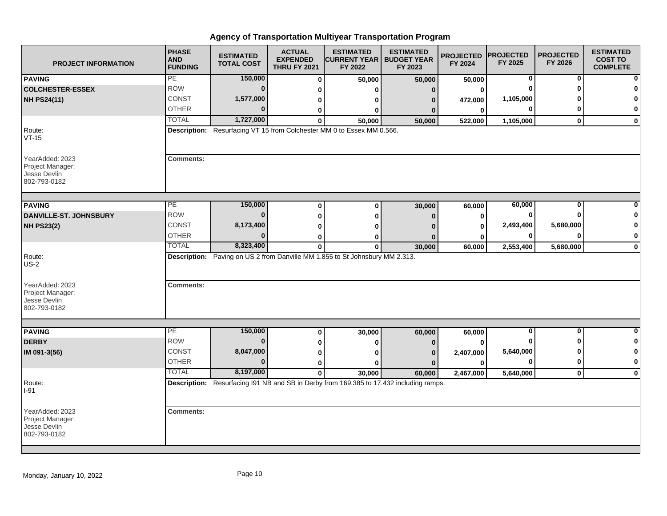| <b>PROJECT INFORMATION</b>                                          | <b>PHASE</b><br><b>AND</b><br><b>FUNDING</b> | <b>ESTIMATED</b><br><b>TOTAL COST</b> | <b>ACTUAL</b><br><b>EXPENDED</b><br><b>THRU FY 2021</b> | <b>ESTIMATED</b><br><b>CURRENT YEAR   BUDGET YEAR</b><br>FY 2022                        | <b>ESTIMATED</b><br>FY 2023 | <b>PROJECTED</b><br>FY 2024 | <b>PROJECTED</b><br>FY 2025 | <b>PROJECTED</b><br>FY 2026 | <b>ESTIMATED</b><br><b>COST TO</b><br><b>COMPLETE</b> |
|---------------------------------------------------------------------|----------------------------------------------|---------------------------------------|---------------------------------------------------------|-----------------------------------------------------------------------------------------|-----------------------------|-----------------------------|-----------------------------|-----------------------------|-------------------------------------------------------|
| <b>PAVING</b>                                                       | PE                                           | 150,000                               | 0                                                       | 50,000                                                                                  | 50,000                      | 50,000                      | 0                           | 0                           | n                                                     |
| <b>COLCHESTER-ESSEX</b>                                             | <b>ROW</b>                                   | $\bf{0}$                              | 0                                                       | U                                                                                       | $\mathbf{0}$                | 0                           | $\Omega$                    | O                           |                                                       |
| <b>NH PS24(11)</b>                                                  | <b>CONST</b>                                 | 1,577,000                             | 0                                                       | 0                                                                                       | n                           | 472,000                     | 1,105,000                   |                             | O                                                     |
|                                                                     | <b>OTHER</b>                                 | $\bf{0}$                              | 0                                                       | 0                                                                                       |                             | $\bf{0}$                    | $\bf{0}$                    | 0                           | 0                                                     |
|                                                                     | <b>TOTAL</b>                                 | 1,727,000                             | 0                                                       | 50,000                                                                                  | 50,000                      | 522,000                     | 1,105,000                   | $\mathbf{0}$                | $\mathbf 0$                                           |
| Route:<br>$VT-15$                                                   |                                              |                                       |                                                         | Description: Resurfacing VT 15 from Colchester MM 0 to Essex MM 0.566.                  |                             |                             |                             |                             |                                                       |
| YearAdded: 2023<br>Project Manager:<br>Jesse Devlin<br>802-793-0182 | <b>Comments:</b>                             |                                       |                                                         |                                                                                         |                             |                             |                             |                             |                                                       |
| <b>PAVING</b>                                                       | PE                                           | 150,000                               |                                                         | $\bf{0}$                                                                                |                             |                             | 60,000                      | 0                           |                                                       |
| DANVILLE-ST. JOHNSBURY                                              | <b>ROW</b>                                   | $\bf{0}$                              | $\bf{0}$                                                |                                                                                         | 30,000                      | 60,000                      | 0                           | $\bf{0}$                    |                                                       |
|                                                                     | CONST                                        | 8,173,400                             | $\bf{0}$                                                | $\bf{0}$                                                                                | n                           | $\mathbf 0$                 | 2,493,400                   | 5,680,000                   | O                                                     |
| <b>NH PS23(2)</b>                                                   | <b>OTHER</b>                                 | $\bf{0}$                              | $\bf{0}$                                                | ŋ                                                                                       |                             | $\mathbf 0$                 | 0                           | $\bf{0}$                    | 0                                                     |
|                                                                     | <b>TOTAL</b>                                 | 8,323,400                             | 0<br>$\bf{0}$                                           | 0<br>$\bf{0}$                                                                           | 30,000                      | 0<br>60,000                 | 2,553,400                   | 5,680,000                   | $\mathbf 0$                                           |
| Route:<br>$US-2$                                                    |                                              |                                       |                                                         | Description: Paving on US 2 from Danville MM 1.855 to St Johnsbury MM 2.313.            |                             |                             |                             |                             |                                                       |
| YearAdded: 2023<br>Project Manager:<br>Jesse Devlin<br>802-793-0182 | <b>Comments:</b>                             |                                       |                                                         |                                                                                         |                             |                             |                             |                             |                                                       |
| <b>PAVING</b>                                                       | PE                                           | 150,000                               |                                                         |                                                                                         |                             |                             | $\mathbf 0$                 | $\mathbf{0}$                | $\bf{0}$                                              |
| <b>DERBY</b>                                                        | <b>ROW</b>                                   | $\bf{0}$                              | $\bf{0}$                                                | 30,000                                                                                  | 60,000                      | 60,000                      | ŋ                           | ŋ                           | 0                                                     |
|                                                                     | <b>CONST</b>                                 | 8,047,000                             | 0                                                       | 0                                                                                       |                             | $\bf{0}$                    | 5,640,000                   | ŋ                           | 0                                                     |
| IM 091-3(56)                                                        | <b>OTHER</b>                                 | $\Omega$                              | 0                                                       | 0                                                                                       |                             | 2,407,000                   | $\mathbf 0$                 | $\bf{0}$                    | $\bf{0}$                                              |
|                                                                     | <b>TOTAL</b>                                 | 8,197,000                             | 0                                                       | ŋ                                                                                       | $\Omega$                    | $\bf{0}$                    |                             |                             |                                                       |
|                                                                     |                                              |                                       | $\mathbf{0}$                                            | 30,000                                                                                  | 60,000                      | 2,467,000                   | 5,640,000                   | $\mathbf 0$                 | $\mathbf 0$                                           |
| Route:<br>I-91                                                      |                                              |                                       |                                                         | Description: Resurfacing I91 NB and SB in Derby from 169.385 to 17.432 including ramps. |                             |                             |                             |                             |                                                       |
| YearAdded: 2023<br>Project Manager:<br>Jesse Devlin<br>802-793-0182 | <b>Comments:</b>                             |                                       |                                                         |                                                                                         |                             |                             |                             |                             |                                                       |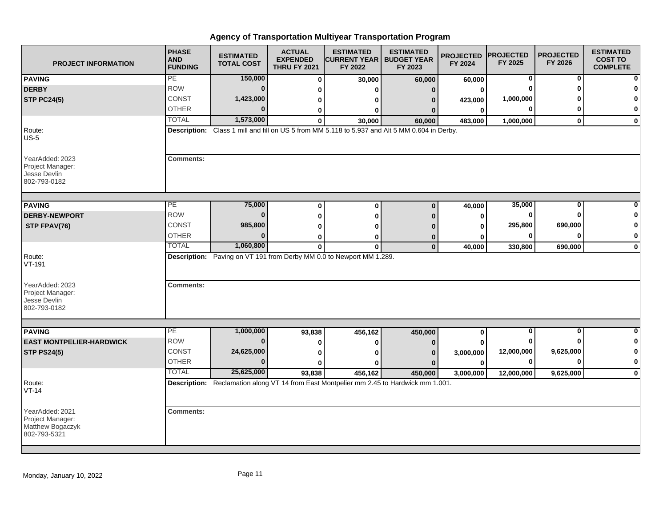| <b>PROJECT INFORMATION</b>                                              | <b>PHASE</b><br><b>AND</b><br><b>FUNDING</b> | <b>ESTIMATED</b><br><b>TOTAL COST</b> | <b>ACTUAL</b><br><b>EXPENDED</b><br><b>THRU FY 2021</b> | <b>ESTIMATED</b><br><b>CURRENT YEAR   BUDGET YEAR</b><br>FY 2022                               | <b>ESTIMATED</b><br>FY 2023 | <b>PROJECTED</b><br>FY 2024 | <b>PROJECTED</b><br>FY 2025 | <b>PROJECTED</b><br>FY 2026 | <b>ESTIMATED</b><br><b>COST TO</b><br><b>COMPLETE</b> |
|-------------------------------------------------------------------------|----------------------------------------------|---------------------------------------|---------------------------------------------------------|------------------------------------------------------------------------------------------------|-----------------------------|-----------------------------|-----------------------------|-----------------------------|-------------------------------------------------------|
| <b>PAVING</b>                                                           | PE                                           | 150,000                               | $\bf{0}$                                                | 30,000                                                                                         | 60,000                      | 60,000                      | 0                           | 0                           |                                                       |
| <b>DERBY</b>                                                            | <b>ROW</b>                                   | $\bf{0}$                              | 0                                                       | ŋ                                                                                              | $\mathbf{0}$                | 0                           | O                           | ŋ                           |                                                       |
| <b>STP PC24(5)</b>                                                      | <b>CONST</b>                                 | 1,423,000                             | 0                                                       | ŋ                                                                                              | n                           | 423,000                     | 1,000,000                   |                             |                                                       |
|                                                                         | <b>OTHER</b>                                 | $\Omega$                              | 0                                                       | 0                                                                                              |                             | 0                           | 0                           | ŋ                           | 0                                                     |
|                                                                         | <b>TOTAL</b>                                 | 1,573,000                             | $\mathbf{0}$                                            | 30,000                                                                                         | 60,000                      | 483,000                     | 1,000,000                   | $\mathbf{0}$                | $\mathbf{0}$                                          |
| Route:<br>$US-5$                                                        |                                              |                                       |                                                         | Description: Class 1 mill and fill on US 5 from MM 5.118 to 5.937 and Alt 5 MM 0.604 in Derby. |                             |                             |                             |                             |                                                       |
| YearAdded: 2023<br>Project Manager:<br>Jesse Devlin<br>802-793-0182     | <b>Comments:</b>                             |                                       |                                                         |                                                                                                |                             |                             |                             |                             |                                                       |
|                                                                         | PE                                           | 75,000                                |                                                         |                                                                                                |                             |                             | 35,000                      |                             |                                                       |
| <b>PAVING</b>                                                           |                                              |                                       | 0                                                       | $\bf{0}$                                                                                       | $\Omega$                    | 40,000                      |                             | 0                           |                                                       |
| <b>DERBY-NEWPORT</b>                                                    | <b>ROW</b>                                   | $\bf{0}$                              | $\bf{0}$                                                | 0                                                                                              | n                           | 0                           | 0                           | $\bf{0}$                    | n                                                     |
| STP FPAV(76)                                                            | <b>CONST</b>                                 | 985,800                               | 0                                                       | 0                                                                                              |                             | 0                           | 295,800                     | 690,000                     | 0                                                     |
|                                                                         | <b>OTHER</b>                                 | $\Omega$                              | 0                                                       | 0                                                                                              | $\bf{0}$                    | O                           | 0                           | $\bf{0}$                    | 0                                                     |
|                                                                         | <b>TOTAL</b>                                 | 1,060,800                             | $\mathbf{0}$                                            | $\bf{0}$                                                                                       | $\mathbf{0}$                | 40,000                      | 330,800                     | 690,000                     | $\mathbf 0$                                           |
| Route:<br>VT-191                                                        |                                              |                                       |                                                         | Description: Paving on VT 191 from Derby MM 0.0 to Newport MM 1.289.                           |                             |                             |                             |                             |                                                       |
| YearAdded: 2023<br>Project Manager:<br>Jesse Devlin<br>802-793-0182     | <b>Comments:</b>                             |                                       |                                                         |                                                                                                |                             |                             |                             |                             |                                                       |
|                                                                         | $\overline{PE}$                              |                                       |                                                         |                                                                                                |                             |                             | 0                           | $\bf{0}$                    |                                                       |
| <b>PAVING</b>                                                           | <b>ROW</b>                                   | 1,000,000<br>$\bf{0}$                 | 93,838                                                  | 456,162                                                                                        | 450,000                     | $\bf{0}$                    | 0                           |                             | 0                                                     |
| <b>EAST MONTPELIER-HARDWICK</b>                                         | CONST                                        |                                       | 0                                                       | 0                                                                                              | 0                           |                             |                             |                             |                                                       |
| <b>STP PS24(5)</b>                                                      |                                              | 24,625,000<br>$\Omega$                | 0                                                       | 0                                                                                              |                             | 3,000,000                   | 12,000,000                  | 9,625,000<br>$\bf{0}$       | 0<br>$\bf{0}$                                         |
|                                                                         | <b>OTHER</b><br><b>TOTAL</b>                 |                                       | U                                                       |                                                                                                |                             | 0                           | 0                           |                             |                                                       |
|                                                                         |                                              | 25,625,000                            | 93,838                                                  | 456,162                                                                                        | 450,000                     | 3,000,000                   | 12,000,000                  | 9,625,000                   | $\mathbf 0$                                           |
| Route:<br>VT-14                                                         |                                              |                                       |                                                         | Description: Reclamation along VT 14 from East Montpelier mm 2.45 to Hardwick mm 1.001.        |                             |                             |                             |                             |                                                       |
| YearAdded: 2021<br>Project Manager:<br>Matthew Bogaczyk<br>802-793-5321 | <b>Comments:</b>                             |                                       |                                                         |                                                                                                |                             |                             |                             |                             |                                                       |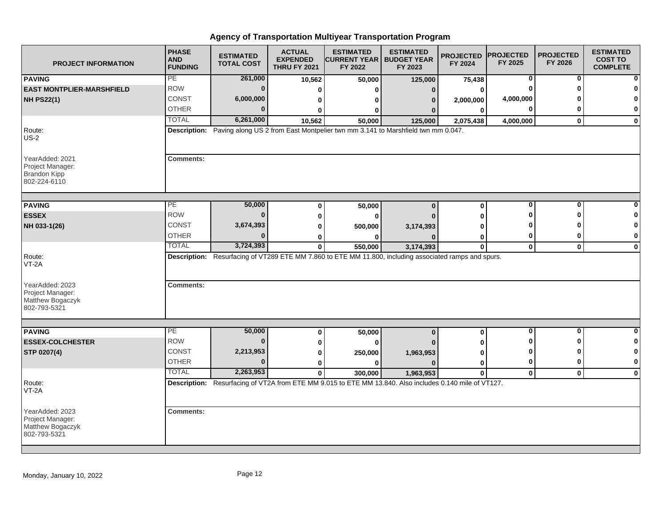| <b>PROJECT INFORMATION</b>                                                 | <b>PHASE</b><br><b>AND</b><br><b>FUNDING</b> | <b>ESTIMATED</b><br><b>TOTAL COST</b> | <b>ACTUAL</b><br><b>EXPENDED</b><br><b>THRU FY 2021</b> | <b>ESTIMATED</b><br><b>CURRENT YEAR   BUDGET YEAR</b><br>FY 2022                                        | <b>ESTIMATED</b><br>FY 2023 | <b>PROJECTED</b><br>FY 2024 | <b>PROJECTED</b><br>FY 2025 | <b>PROJECTED</b><br>FY 2026 | <b>ESTIMATED</b><br><b>COST TO</b><br><b>COMPLETE</b> |
|----------------------------------------------------------------------------|----------------------------------------------|---------------------------------------|---------------------------------------------------------|---------------------------------------------------------------------------------------------------------|-----------------------------|-----------------------------|-----------------------------|-----------------------------|-------------------------------------------------------|
| <b>PAVING</b>                                                              | PE                                           | 261,000                               | 10,562                                                  | 50,000                                                                                                  | 125,000                     | 75,438                      | 0                           | 0                           |                                                       |
| <b>EAST MONTPLIER-MARSHFIELD</b>                                           | <b>ROW</b>                                   | $\bf{0}$                              | 0                                                       | ŋ                                                                                                       | $\Omega$                    | 0                           |                             | ŋ                           |                                                       |
| <b>NH PS22(1)</b>                                                          | <b>CONST</b>                                 | 6,000,000                             | 0                                                       | 0                                                                                                       | 0                           | 2,000,000                   | 4,000,000                   |                             |                                                       |
|                                                                            | <b>OTHER</b>                                 | $\Omega$                              | 0                                                       | 0                                                                                                       |                             | 0                           | $\bf{0}$                    | ŋ                           | 0                                                     |
|                                                                            | <b>TOTAL</b>                                 | 6,261,000                             | 10,562                                                  | 50,000                                                                                                  | 125,000                     | 2,075,438                   | 4,000,000                   | $\mathbf{0}$                | $\mathbf 0$                                           |
| Route:<br>$US-2$                                                           |                                              |                                       |                                                         | Description: Paving along US 2 from East Montpelier twn mm 3.141 to Marshfield twn mm 0.047.            |                             |                             |                             |                             |                                                       |
| YearAdded: 2021<br>Project Manager:<br><b>Brandon Kipp</b><br>802-224-6110 | <b>Comments:</b>                             |                                       |                                                         |                                                                                                         |                             |                             |                             |                             |                                                       |
| <b>PAVING</b>                                                              | PE                                           | 50,000                                | 0                                                       | 50,000                                                                                                  | $\bf{0}$                    | 0                           | 0                           | 0                           |                                                       |
| <b>ESSEX</b>                                                               | <b>ROW</b>                                   | $\bf{0}$                              | $\bf{0}$                                                | 0                                                                                                       |                             | O                           | ŋ                           | ŋ                           | n                                                     |
| NH 033-1(26)                                                               | CONST                                        | 3,674,393                             | $\bf{0}$                                                | 500,000                                                                                                 | 3,174,393                   | ŋ                           | ŋ                           |                             | 0                                                     |
|                                                                            | <b>OTHER</b>                                 | $\bf{0}$                              | 0                                                       | n                                                                                                       |                             | 0                           | 0                           | 0                           | 0                                                     |
|                                                                            | <b>TOTAL</b>                                 | 3,724,393                             | $\mathbf 0$                                             | 550,000                                                                                                 | 3,174,393                   | $\mathbf 0$                 | $\mathbf 0$                 | $\mathbf 0$                 | $\mathbf 0$                                           |
| Route:<br>$VT-2A$                                                          |                                              |                                       |                                                         | Description: Resurfacing of VT289 ETE MM 7.860 to ETE MM 11.800, including associated ramps and spurs.  |                             |                             |                             |                             |                                                       |
| YearAdded: 2023<br>Project Manager:<br>Matthew Bogaczyk<br>802-793-5321    | <b>Comments:</b>                             |                                       |                                                         |                                                                                                         |                             |                             |                             |                             |                                                       |
|                                                                            |                                              |                                       |                                                         |                                                                                                         |                             |                             |                             |                             |                                                       |
| <b>PAVING</b>                                                              | PE                                           | 50,000                                | 0                                                       | 50,000                                                                                                  | $\bf{0}$                    | 0                           | $\overline{\mathbf{0}}$     | $\overline{\mathbf{0}}$     | $\bf{0}$                                              |
| <b>ESSEX-COLCHESTER</b>                                                    | <b>ROW</b>                                   | $\bf{0}$                              | 0                                                       | 0                                                                                                       |                             | U                           | n                           | ŋ                           | 0                                                     |
| STP 0207(4)                                                                | CONST                                        | 2,213,953                             | 0                                                       | 250,000                                                                                                 | 1,963,953                   | 0                           | ŋ                           | ŋ                           | 0                                                     |
|                                                                            | <b>OTHER</b>                                 | $\bf{0}$                              | $\bf{0}$                                                | $\bf{0}$                                                                                                | n                           | $\bf{0}$                    | 0                           | 0                           | $\mathbf 0$                                           |
|                                                                            | <b>TOTAL</b>                                 | 2,263,953                             | $\mathbf 0$                                             | 300,000                                                                                                 | 1,963,953                   | 0                           | $\mathbf 0$                 | $\mathbf 0$                 | $\mathbf 0$                                           |
| Route:<br>$VT-2A$                                                          |                                              |                                       |                                                         | Description: Resurfacing of VT2A from ETE MM 9.015 to ETE MM 13.840. Also includes 0.140 mile of VT127. |                             |                             |                             |                             |                                                       |
| YearAdded: 2023<br>Project Manager:<br>Matthew Bogaczyk<br>802-793-5321    | <b>Comments:</b>                             |                                       |                                                         |                                                                                                         |                             |                             |                             |                             |                                                       |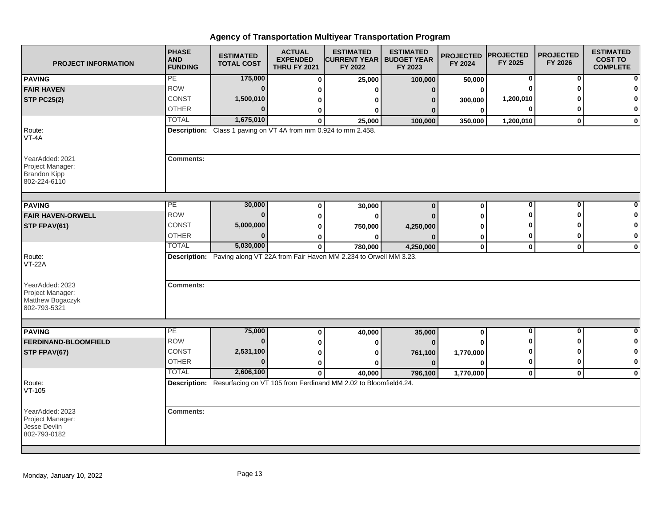| <b>PROJECT INFORMATION</b>                                                 | <b>PHASE</b><br><b>AND</b><br><b>FUNDING</b> | <b>ESTIMATED</b><br><b>TOTAL COST</b>                           | <b>ACTUAL</b><br><b>EXPENDED</b><br><b>THRU FY 2021</b> | <b>ESTIMATED</b><br><b>CURRENT YEAR   BUDGET YEAR</b><br>FY 2022                       | <b>ESTIMATED</b><br>FY 2023 | <b>PROJECTED</b><br>FY 2024 | <b>PROJECTED</b><br>FY 2025 | <b>PROJECTED</b><br>FY 2026 | <b>ESTIMATED</b><br><b>COST TO</b><br><b>COMPLETE</b> |
|----------------------------------------------------------------------------|----------------------------------------------|-----------------------------------------------------------------|---------------------------------------------------------|----------------------------------------------------------------------------------------|-----------------------------|-----------------------------|-----------------------------|-----------------------------|-------------------------------------------------------|
| <b>PAVING</b>                                                              | PE                                           | 175,000                                                         | 0                                                       | 25,000                                                                                 | 100,000                     | 50,000                      | 0                           | 0                           |                                                       |
| <b>FAIR HAVEN</b>                                                          | ROW                                          | $\Omega$                                                        | U                                                       | ŋ                                                                                      | $\Omega$                    | $\bf{0}$                    | O                           | ŋ                           |                                                       |
| <b>STP PC25(2)</b>                                                         | CONST                                        | 1,500,010                                                       | 0                                                       | o                                                                                      | n                           | 300,000                     | 1,200,010                   |                             |                                                       |
|                                                                            | <b>OTHER</b>                                 | $\Omega$                                                        | 0                                                       | 0                                                                                      |                             | 0                           | 0                           | O                           | 0                                                     |
|                                                                            | <b>TOTAL</b>                                 | 1,675,010                                                       | $\bf{0}$                                                | 25,000                                                                                 | 100,000                     | 350,000                     | 1,200,010                   | $\mathbf 0$                 | $\mathbf 0$                                           |
| Route:<br>VT-4A                                                            |                                              | Description: Class 1 paving on VT 4A from mm 0.924 to mm 2.458. |                                                         |                                                                                        |                             |                             |                             |                             |                                                       |
| YearAdded: 2021<br>Project Manager:<br><b>Brandon Kipp</b><br>802-224-6110 | <b>Comments:</b>                             |                                                                 |                                                         |                                                                                        |                             |                             |                             |                             |                                                       |
| <b>PAVING</b>                                                              | PE                                           | 30,000                                                          | $\bf{0}$                                                | 30,000                                                                                 | $\bf{0}$                    | $\bf{0}$                    | $\bf{0}$                    | $\bf{0}$                    |                                                       |
| <b>FAIR HAVEN-ORWELL</b>                                                   | <b>ROW</b>                                   | $\Omega$                                                        | 0                                                       | 0                                                                                      |                             | 0                           | Ω                           | ∩                           | n                                                     |
| STP FPAV(61)                                                               | CONST                                        | 5,000,000                                                       | 0                                                       | 750,000                                                                                | 4,250,000                   | O                           |                             |                             | 0                                                     |
|                                                                            | <b>OTHER</b>                                 | $\Omega$                                                        | 0                                                       |                                                                                        |                             | $\bf{0}$                    | 0                           | 0                           | 0                                                     |
|                                                                            | <b>TOTAL</b>                                 | 5,030,000                                                       | $\mathbf 0$                                             | 780,000                                                                                | 4,250,000                   | $\mathbf 0$                 | $\mathbf{0}$                | $\mathbf 0$                 | $\mathbf 0$                                           |
| Route:<br><b>VT-22A</b>                                                    |                                              |                                                                 |                                                         | Description: Paving along VT 22A from Fair Haven MM 2.234 to Orwell MM 3.23.           |                             |                             |                             |                             |                                                       |
| YearAdded: 2023<br>Project Manager:<br>Matthew Bogaczyk<br>802-793-5321    | <b>Comments:</b>                             |                                                                 |                                                         |                                                                                        |                             |                             |                             |                             |                                                       |
|                                                                            | PE                                           |                                                                 |                                                         |                                                                                        |                             |                             | 0                           | 0                           | 0                                                     |
| <b>PAVING</b>                                                              | <b>ROW</b>                                   | 75,000<br>$\bf{0}$                                              | 0                                                       | 40,000                                                                                 | 35,000                      | 0                           | ŋ                           | ŋ                           | 0                                                     |
| <b>FERDINAND-BLOOMFIELD</b>                                                | <b>CONST</b>                                 | 2,531,100                                                       | 0                                                       |                                                                                        | $\Omega$                    |                             | 0                           | ŋ                           | 0                                                     |
| STP FPAV(67)                                                               | <b>OTHER</b>                                 | $\Omega$                                                        | 0                                                       | o                                                                                      | 761,100                     | 1,770,000                   | $\bf{0}$                    | $\bf{0}$                    | $\mathbf{0}$                                          |
|                                                                            | <b>TOTAL</b>                                 | 2,606,100                                                       | 0                                                       |                                                                                        | n                           | O                           |                             |                             |                                                       |
|                                                                            |                                              |                                                                 | $\mathbf{0}$                                            | 40,000<br>Description: Resurfacing on VT 105 from Ferdinand MM 2.02 to Bloomfield4.24. | 796,100                     | 1,770,000                   | $\mathbf 0$                 | $\mathbf 0$                 | $\bf{0}$                                              |
| Route:<br>$VT-105$                                                         |                                              |                                                                 |                                                         |                                                                                        |                             |                             |                             |                             |                                                       |
| YearAdded: 2023<br>Project Manager:<br>Jesse Devlin<br>802-793-0182        | <b>Comments:</b>                             |                                                                 |                                                         |                                                                                        |                             |                             |                             |                             |                                                       |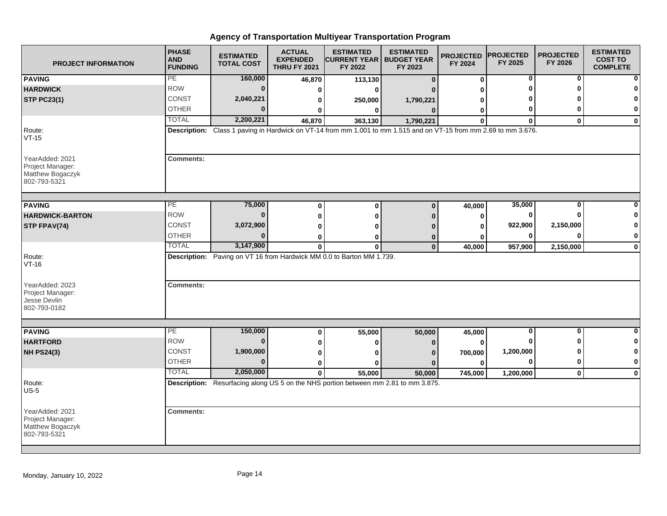| <b>PROJECT INFORMATION</b>                                              | <b>PHASE</b><br><b>AND</b><br><b>FUNDING</b> | <b>ESTIMATED</b><br><b>TOTAL COST</b> | <b>ACTUAL</b><br><b>EXPENDED</b><br><b>THRU FY 2021</b> | <b>ESTIMATED</b><br><b>CURRENT YEAR   BUDGET YEAR</b><br>FY 2022                                                  | <b>ESTIMATED</b><br>FY 2023 | <b>PROJECTED</b><br>FY 2024 | <b>PROJECTED</b><br>FY 2025 | <b>PROJECTED</b><br>FY 2026 | <b>ESTIMATED</b><br><b>COST TO</b><br><b>COMPLETE</b> |
|-------------------------------------------------------------------------|----------------------------------------------|---------------------------------------|---------------------------------------------------------|-------------------------------------------------------------------------------------------------------------------|-----------------------------|-----------------------------|-----------------------------|-----------------------------|-------------------------------------------------------|
| <b>PAVING</b>                                                           | PE                                           | 160,000                               | 46,870                                                  | 113,130                                                                                                           | $\bf{0}$                    | 0                           | 0                           | 0                           | 0                                                     |
| <b>HARDWICK</b>                                                         | <b>ROW</b>                                   | $\bf{0}$                              | 0                                                       | O                                                                                                                 |                             |                             |                             |                             | 0                                                     |
| <b>STP PC23(1)</b>                                                      | <b>CONST</b>                                 | 2,040,221                             | 0                                                       | 250,000                                                                                                           | 1,790,221                   |                             |                             |                             | $\mathbf 0$                                           |
|                                                                         | <b>OTHER</b>                                 | $\Omega$                              | 0                                                       | 0                                                                                                                 | $\bf{0}$                    | 0                           | 0                           | ŋ                           | 0                                                     |
|                                                                         | <b>TOTAL</b>                                 | 2,200,221                             | 46,870                                                  | 363,130                                                                                                           | 1,790,221                   | $\bf{0}$                    | $\bf{0}$                    | $\bf{0}$                    | 0                                                     |
| Route:<br>$VT-15$                                                       |                                              |                                       |                                                         | Description: Class 1 paving in Hardwick on VT-14 from mm 1.001 to mm 1.515 and on VT-15 from mm 2.69 to mm 3.676. |                             |                             |                             |                             |                                                       |
| YearAdded: 2021<br>Project Manager:<br>Matthew Bogaczyk<br>802-793-5321 | <b>Comments:</b>                             |                                       |                                                         |                                                                                                                   |                             |                             |                             |                             |                                                       |
|                                                                         | PE                                           | 75,000                                |                                                         |                                                                                                                   |                             |                             | 35,000                      | 0                           |                                                       |
| <b>PAVING</b>                                                           | <b>ROW</b>                                   | $\bf{0}$                              | $\bf{0}$                                                | $\bf{0}$                                                                                                          | $\bf{0}$                    | 40,000                      | 0                           | ŋ                           | 0                                                     |
| <b>HARDWICK-BARTON</b>                                                  | CONST                                        |                                       | $\bf{0}$                                                | 0                                                                                                                 | $\Omega$                    | 0                           |                             |                             | 0                                                     |
| STP FPAV(74)                                                            | <b>OTHER</b>                                 | 3,072,900<br>$\bf{0}$                 | 0                                                       | O                                                                                                                 |                             | $\bf{0}$                    | 922,900                     | 2,150,000<br>$\Omega$       | 0                                                     |
|                                                                         | <b>TOTAL</b>                                 | 3,147,900                             | 0                                                       | ŋ                                                                                                                 | $\bf{0}$<br>$\mathbf 0$     | ŋ                           | 0                           |                             |                                                       |
| Route:<br>$VT-16$                                                       |                                              |                                       | $\mathbf 0$                                             | $\bf{0}$<br>Description: Paving on VT 16 from Hardwick MM 0.0 to Barton MM 1.739.                                 |                             | 40,000                      | 957,900                     | 2,150,000                   | $\pmb{0}$                                             |
| YearAdded: 2023<br>Project Manager:<br>Jesse Devlin<br>802-793-0182     | <b>Comments:</b>                             |                                       |                                                         |                                                                                                                   |                             |                             |                             |                             |                                                       |
| <b>PAVING</b>                                                           | PE                                           | 150,000                               | 0                                                       | 55,000                                                                                                            | 50,000                      | 45,000                      | $\overline{\mathbf{0}}$     | $\Omega$                    | 0                                                     |
| <b>HARTFORD</b>                                                         | <b>ROW</b>                                   | $\bf{0}$                              | 0                                                       | 0                                                                                                                 |                             | $\bf{0}$                    |                             | ŋ                           | 0                                                     |
| <b>NH PS24(3)</b>                                                       | <b>CONST</b>                                 | 1,900,000                             | 0                                                       | O                                                                                                                 |                             | 700,000                     | 1,200,000                   | ŋ                           | 0                                                     |
|                                                                         | <b>OTHER</b>                                 | $\bf{0}$                              | $\bf{0}$                                                | 0                                                                                                                 | $\mathbf{0}$                | $\bf{0}$                    | 0                           | $\mathbf 0$                 | 0                                                     |
|                                                                         | <b>TOTAL</b>                                 | 2,050,000                             | $\mathbf 0$                                             | 55,000                                                                                                            | 50,000                      | 745,000                     | 1,200,000                   | $\mathbf 0$                 | $\mathbf 0$                                           |
| Route:<br>$US-5$                                                        |                                              |                                       |                                                         | Description: Resurfacing along US 5 on the NHS portion between mm 2.81 to mm 3.875.                               |                             |                             |                             |                             |                                                       |
| YearAdded: 2021<br>Project Manager:<br>Matthew Bogaczyk<br>802-793-5321 | <b>Comments:</b>                             |                                       |                                                         |                                                                                                                   |                             |                             |                             |                             |                                                       |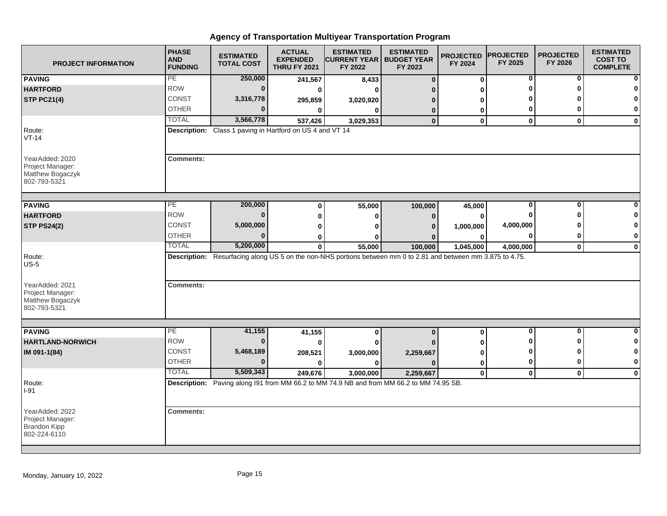| <b>PROJECT INFORMATION</b>                                              | <b>PHASE</b><br><b>AND</b><br><b>FUNDING</b> | <b>ESTIMATED</b><br><b>TOTAL COST</b>                     | <b>ACTUAL</b><br><b>EXPENDED</b><br><b>THRU FY 2021</b> | <b>ESTIMATED</b><br><b>CURRENT YEAR   BUDGET YEAR</b><br>FY 2022                                               | <b>ESTIMATED</b><br>FY 2023 | <b>PROJECTED</b><br>FY 2024 | <b>PROJECTED</b><br>FY 2025 | <b>PROJECTED</b><br>FY 2026 | <b>ESTIMATED</b><br><b>COST TO</b><br><b>COMPLETE</b> |
|-------------------------------------------------------------------------|----------------------------------------------|-----------------------------------------------------------|---------------------------------------------------------|----------------------------------------------------------------------------------------------------------------|-----------------------------|-----------------------------|-----------------------------|-----------------------------|-------------------------------------------------------|
| <b>PAVING</b>                                                           | PE                                           | 250,000                                                   | 241,567                                                 | 8,433                                                                                                          | $\bf{0}$                    | $\bf{0}$                    | 0                           | 0                           |                                                       |
| <b>HARTFORD</b>                                                         | <b>ROW</b>                                   | $\bf{0}$                                                  | 0                                                       | $\bf{0}$                                                                                                       |                             | ŋ                           | O                           | ŋ                           |                                                       |
| <b>STP PC21(4)</b>                                                      | <b>CONST</b>                                 | 3,316,778                                                 | 295,859                                                 | 3,020,920                                                                                                      |                             | U                           |                             |                             | O                                                     |
|                                                                         | <b>OTHER</b>                                 | $\Omega$                                                  | 0                                                       | $\bf{0}$                                                                                                       | 0                           | 0                           | 0                           | 0                           | 0                                                     |
|                                                                         | <b>TOTAL</b>                                 | 3,566,778                                                 | 537,426                                                 | 3,029,353                                                                                                      | $\mathbf{0}$                | $\mathbf 0$                 | $\mathbf 0$                 | $\mathbf{0}$                | $\mathbf 0$                                           |
| Route:<br>$VT-14$                                                       |                                              | Description: Class 1 paving in Hartford on US 4 and VT 14 |                                                         |                                                                                                                |                             |                             |                             |                             |                                                       |
| YearAdded: 2020<br>Project Manager:<br>Matthew Bogaczyk<br>802-793-5321 | <b>Comments:</b>                             |                                                           |                                                         |                                                                                                                |                             |                             |                             |                             |                                                       |
| <b>PAVING</b>                                                           | PE                                           | 200,000                                                   | $\bf{0}$                                                | 55,000                                                                                                         | 100,000                     | 45,000                      | 0                           | 0                           |                                                       |
| <b>HARTFORD</b>                                                         | <b>ROW</b>                                   | 0                                                         | $\bf{0}$                                                | $\bf{0}$                                                                                                       | $\Omega$                    | $\bf{0}$                    | 0                           | O                           |                                                       |
| <b>STP PS24(2)</b>                                                      | <b>CONST</b>                                 | 5,000,000                                                 | 0                                                       | ŋ                                                                                                              |                             | 1,000,000                   | 4,000,000                   |                             | 0                                                     |
|                                                                         | <b>OTHER</b>                                 | $\bf{0}$                                                  | 0                                                       | ŋ                                                                                                              |                             | 0                           | $\bf{0}$                    | 0                           | 0                                                     |
|                                                                         | <b>TOTAL</b>                                 | 5,200,000                                                 | $\bf{0}$                                                | 55,000                                                                                                         | 100,000                     | 1,045,000                   | 4,000,000                   | $\mathbf 0$                 | $\mathbf 0$                                           |
| Route:<br>$US-5$                                                        |                                              |                                                           |                                                         | Description: Resurfacing along US 5 on the non-NHS portions between mm 0 to 2.81 and between mm 3.875 to 4.75. |                             |                             |                             |                             |                                                       |
| YearAdded: 2021<br>Project Manager:<br>Matthew Bogaczyk<br>802-793-5321 | <b>Comments:</b>                             |                                                           |                                                         |                                                                                                                |                             |                             |                             |                             |                                                       |
| <b>PAVING</b>                                                           | PE                                           | 41,155                                                    | 41,155                                                  | $\bf{0}$                                                                                                       | $\bf{0}$                    | 0                           | $\overline{\mathbf{0}}$     | $\mathbf{0}$                | 0                                                     |
| <b>HARTLAND-NORWICH</b>                                                 | <b>ROW</b>                                   | $\bf{0}$                                                  |                                                         | 0                                                                                                              |                             | 0                           | ŋ                           | <sup>0</sup>                | 0                                                     |
| IM 091-1(84)                                                            | <b>CONST</b>                                 | 5,468,189                                                 | 208,521                                                 | 3,000,000                                                                                                      | 2,259,667                   | 0                           | ŋ                           | ŋ                           | 0                                                     |
|                                                                         | <b>OTHER</b>                                 | $\bf{0}$                                                  | $\bf{0}$                                                | $\bf{0}$                                                                                                       | n                           | $\mathbf 0$                 | 0                           | 0                           | $\mathbf 0$                                           |
|                                                                         | <b>TOTAL</b>                                 | 5,509,343                                                 | 249,676                                                 | 3,000,000                                                                                                      | 2,259,667                   | $\mathbf{0}$                | $\mathbf 0$                 | $\mathbf{0}$                | $\mathbf 0$                                           |
| Route:<br>$I-91$                                                        |                                              |                                                           |                                                         | Description: Paving along I91 from MM 66.2 to MM 74.9 NB and from MM 66.2 to MM 74.95 SB.                      |                             |                             |                             |                             |                                                       |
| YearAdded: 2022<br>Project Manager:<br>Brandon Kipp<br>802-224-6110     | <b>Comments:</b>                             |                                                           |                                                         |                                                                                                                |                             |                             |                             |                             |                                                       |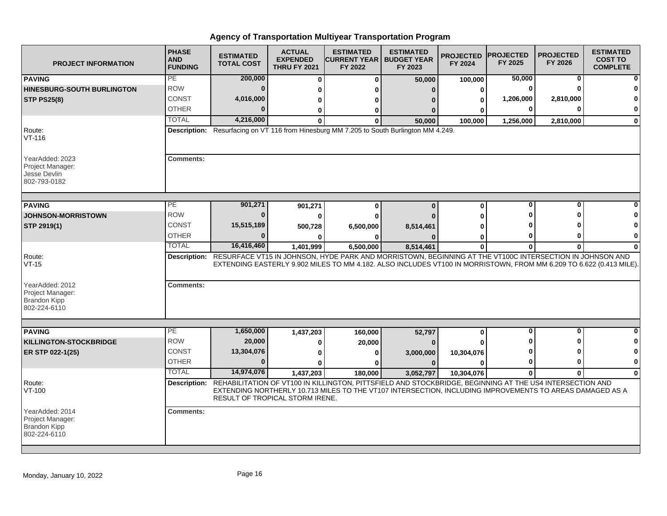| <b>PROJECT INFORMATION</b>                                                 | <b>PHASE</b><br><b>AND</b><br><b>FUNDING</b> | <b>ESTIMATED</b><br><b>TOTAL COST</b> | <b>ACTUAL</b><br><b>EXPENDED</b><br><b>THRU FY 2021</b> | <b>ESTIMATED</b><br><b>ICURRENT YEAR   BUDGET YEAR</b><br>FY 2022                                                                                                                                                                            | <b>ESTIMATED</b><br>FY 2023 | <b>PROJECTED</b><br>FY 2024 | <b>PROJECTED</b><br>FY 2025 | <b>PROJECTED</b><br>FY 2026 | <b>ESTIMATED</b><br><b>COST TO</b><br><b>COMPLETE</b> |
|----------------------------------------------------------------------------|----------------------------------------------|---------------------------------------|---------------------------------------------------------|----------------------------------------------------------------------------------------------------------------------------------------------------------------------------------------------------------------------------------------------|-----------------------------|-----------------------------|-----------------------------|-----------------------------|-------------------------------------------------------|
| <b>PAVING</b>                                                              | PE                                           | 200,000                               | $\bf{0}$                                                | $\bf{0}$                                                                                                                                                                                                                                     | 50,000                      | 100,000                     | 50,000                      | 0                           |                                                       |
| <b>HINESBURG-SOUTH BURLINGTON</b>                                          | <b>ROW</b>                                   | $\Omega$                              | 0                                                       | Λ                                                                                                                                                                                                                                            |                             | 0                           | $\bf{0}$                    |                             |                                                       |
| <b>STP PS25(8)</b>                                                         | <b>CONST</b>                                 | 4,016,000                             | 0                                                       | o                                                                                                                                                                                                                                            |                             | 0                           | 1,206,000                   | 2,810,000                   |                                                       |
|                                                                            | <b>OTHER</b>                                 | U                                     | 0                                                       | 0                                                                                                                                                                                                                                            |                             |                             | 0                           | ŋ                           | 0                                                     |
|                                                                            | <b>TOTAL</b>                                 | 4,216,000                             | O.                                                      | 0                                                                                                                                                                                                                                            | 50,000                      | 100,000                     | 1,256,000                   | 2,810,000                   | $\bf{0}$                                              |
| Route:<br>VT-116                                                           |                                              |                                       |                                                         | Description: Resurfacing on VT 116 from Hinesburg MM 7.205 to South Burlington MM 4.249.                                                                                                                                                     |                             |                             |                             |                             |                                                       |
| YearAdded: 2023<br>Project Manager:<br>Jesse Devlin<br>802-793-0182        | <b>Comments:</b>                             |                                       |                                                         |                                                                                                                                                                                                                                              |                             |                             |                             |                             |                                                       |
| <b>PAVING</b>                                                              | PЕ                                           | 901,271                               | 901,271                                                 | $\bf{0}$                                                                                                                                                                                                                                     | $\Omega$                    | $\bf{0}$                    | $\bf{0}$                    | $\bf{0}$                    |                                                       |
| JOHNSON-MORRISTOWN                                                         | <b>ROW</b>                                   | $\bf{0}$                              | 0                                                       | 0                                                                                                                                                                                                                                            |                             | ŋ                           |                             |                             |                                                       |
| STP 2919(1)                                                                | CONST                                        | 15,515,189                            | 500,728                                                 | 6,500,000                                                                                                                                                                                                                                    | 8,514,461                   |                             |                             |                             |                                                       |
|                                                                            | <b>OTHER</b>                                 |                                       |                                                         |                                                                                                                                                                                                                                              |                             | 0                           | 0                           | o                           | 0                                                     |
|                                                                            | <b>TOTAL</b>                                 | 16,416,460                            | 1,401,999                                               | 6,500,000                                                                                                                                                                                                                                    | 8,514,461                   | $\mathbf{0}$                | $\bf{0}$                    | $\mathbf{0}$                | $\Omega$                                              |
| Route:<br>$VT-15$                                                          |                                              |                                       |                                                         | Description: RESURFACE VT15 IN JOHNSON, HYDE PARK AND MORRISTOWN, BEGINNING AT THE VT100C INTERSECTION IN JOHNSON AND<br>EXTENDING EASTERLY 9.902 MILES TO MM 4.182. ALSO INCLUDES VT100 IN MORRISTOWN, FROM MM 6.209 TO 6.622 (0.413 MILE). |                             |                             |                             |                             |                                                       |
| YearAdded: 2012<br>Project Manager:<br><b>Brandon Kipp</b><br>802-224-6110 | <b>Comments:</b>                             |                                       |                                                         |                                                                                                                                                                                                                                              |                             |                             |                             |                             |                                                       |
|                                                                            |                                              |                                       |                                                         |                                                                                                                                                                                                                                              |                             |                             |                             |                             |                                                       |
| <b>PAVING</b>                                                              | PE<br><b>ROW</b>                             | 1,650,000                             | 1,437,203                                               | 160,000                                                                                                                                                                                                                                      | 52,797                      | 0                           | $\bf{0}$                    | $\mathbf{0}$<br>Λ           |                                                       |
| <b>KILLINGTON-STOCKBRIDGE</b>                                              |                                              | 20,000                                | 0                                                       | 20,000                                                                                                                                                                                                                                       |                             |                             |                             |                             |                                                       |
| ER STP 022-1(25)                                                           | CONST                                        | 13,304,076                            | ŋ                                                       | 0                                                                                                                                                                                                                                            | 3,000,000                   | 10,304,076                  |                             |                             |                                                       |
|                                                                            | OTHER                                        | $\bf{0}$                              | 0                                                       | 0                                                                                                                                                                                                                                            | $\Omega$                    | $\bf{0}$                    | 0                           | 0                           | 0                                                     |
|                                                                            | <b>TOTAL</b>                                 | 14,974,076                            | 1,437,203                                               | 180,000                                                                                                                                                                                                                                      | 3,052,797                   | 10,304,076                  | $\mathbf{0}$                | $\bf{0}$                    | $\Omega$                                              |
| Route:<br>VT-100                                                           |                                              | RESULT OF TROPICAL STORM IRENE.       |                                                         | Description: REHABILITATION OF VT100 IN KILLINGTON, PITTSFIELD AND STOCKBRIDGE, BEGINNING AT THE US4 INTERSECTION AND<br>EXTENDING NORTHERLY 10.713 MILES TO THE VT107 INTERSECTION, INCLUDING IMPROVEMENTS TO AREAS DAMAGED AS A            |                             |                             |                             |                             |                                                       |
| YearAdded: 2014<br>Project Manager:<br><b>Brandon Kipp</b><br>802-224-6110 | <b>Comments:</b>                             |                                       |                                                         |                                                                                                                                                                                                                                              |                             |                             |                             |                             |                                                       |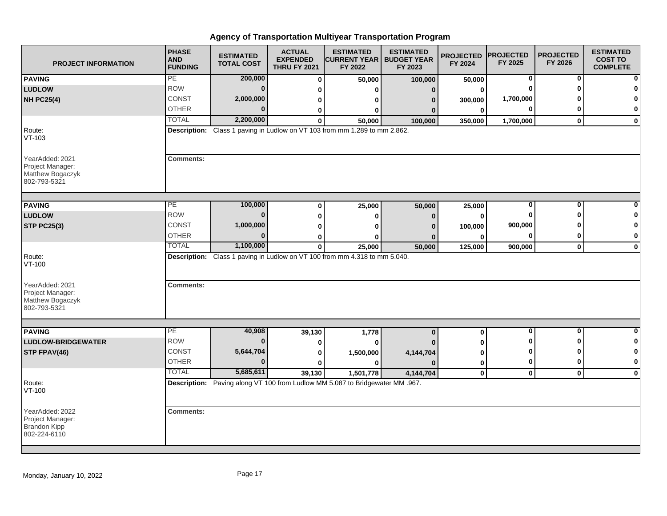| <b>PROJECT INFORMATION</b>                                                 | <b>PHASE</b><br><b>AND</b><br><b>FUNDING</b> | <b>ESTIMATED</b><br><b>TOTAL COST</b> | <b>ACTUAL</b><br><b>EXPENDED</b><br><b>THRU FY 2021</b> | <b>ESTIMATED</b><br><b>CURRENT YEAR   BUDGET YEAR</b><br>FY 2022              | <b>ESTIMATED</b><br>FY 2023 | <b>PROJECTED</b><br>FY 2024 | <b>PROJECTED</b><br>FY 2025 | <b>PROJECTED</b><br>FY 2026 | <b>ESTIMATED</b><br><b>COST TO</b><br><b>COMPLETE</b> |
|----------------------------------------------------------------------------|----------------------------------------------|---------------------------------------|---------------------------------------------------------|-------------------------------------------------------------------------------|-----------------------------|-----------------------------|-----------------------------|-----------------------------|-------------------------------------------------------|
| <b>PAVING</b>                                                              | PE                                           | 200,000                               | $\bf{0}$                                                | 50,000                                                                        | 100,000                     | 50,000                      | 0                           | 0                           | n                                                     |
| <b>LUDLOW</b>                                                              | <b>ROW</b>                                   | $\bf{0}$                              | 0                                                       | ŋ                                                                             | $\Omega$                    | 0                           | $\bf{0}$                    | O                           |                                                       |
| <b>NH PC25(4)</b>                                                          | <b>CONST</b>                                 | 2,000,000                             | 0                                                       | 0                                                                             | 0                           | 300,000                     | 1,700,000                   |                             | O                                                     |
|                                                                            | <b>OTHER</b>                                 | $\Omega$                              | 0                                                       | $\bf{0}$                                                                      |                             | $\bf{0}$                    | 0                           | ŋ                           | 0                                                     |
|                                                                            | <b>TOTAL</b>                                 | 2,200,000                             | $\bf{0}$                                                | 50,000                                                                        | 100,000                     | 350,000                     | 1,700,000                   | $\mathbf{0}$                | $\mathbf 0$                                           |
| Route:<br>$VT-103$                                                         |                                              |                                       |                                                         | Description: Class 1 paving in Ludlow on VT 103 from mm 1.289 to mm 2.862.    |                             |                             |                             |                             |                                                       |
| YearAdded: 2021<br>Project Manager:<br>Matthew Bogaczyk<br>802-793-5321    | <b>Comments:</b>                             |                                       |                                                         |                                                                               |                             |                             |                             |                             |                                                       |
| <b>PAVING</b>                                                              | PE                                           | 100,000                               | $\bf{0}$                                                | 25,000                                                                        | 50,000                      | 25,000                      | 0                           | 0                           |                                                       |
| <b>LUDLOW</b>                                                              | <b>ROW</b>                                   | $\bf{0}$                              | $\bf{0}$                                                | $\bf{0}$                                                                      | $\Omega$                    | $\bf{0}$                    | 0                           | ŋ                           | n                                                     |
| <b>STP PC25(3)</b>                                                         | CONST                                        | 1,000,000                             | $\bf{0}$                                                | U                                                                             |                             | 100,000                     | 900,000                     |                             | 0                                                     |
|                                                                            | <b>OTHER</b>                                 | $\bf{0}$                              | 0                                                       | ŋ                                                                             |                             | 0                           | 0                           | 0                           | 0                                                     |
|                                                                            | <b>TOTAL</b>                                 | 1,100,000                             | $\bf{0}$                                                | 25,000                                                                        | 50,000                      | 125,000                     | 900,000                     | $\mathbf 0$                 | $\mathbf 0$                                           |
| Route:<br>VT-100<br>YearAdded: 2021                                        | <b>Comments:</b>                             |                                       |                                                         | Description: Class 1 paving in Ludlow on VT 100 from mm 4.318 to mm 5.040.    |                             |                             |                             |                             |                                                       |
| Project Manager:<br>Matthew Bogaczyk<br>802-793-5321                       |                                              |                                       |                                                         |                                                                               |                             |                             |                             |                             |                                                       |
| <b>PAVING</b>                                                              | PE                                           | 40,908                                | 39,130                                                  | 1,778                                                                         | $\bf{0}$                    | $\bf{0}$                    | $\overline{\mathbf{0}}$     | $\overline{\mathbf{0}}$     | $\bf{0}$                                              |
| <b>LUDLOW-BRIDGEWATER</b>                                                  | <b>ROW</b>                                   | $\bf{0}$                              | 0                                                       | 0                                                                             |                             | 0                           | 0                           | ŋ                           | 0                                                     |
| STP FPAV(46)                                                               | <b>CONST</b>                                 | 5,644,704                             | 0                                                       | 1,500,000                                                                     | 4,144,704                   | 0                           | 0                           | O                           | 0                                                     |
|                                                                            | <b>OTHER</b>                                 | $\bf{0}$                              | $\mathbf{0}$                                            | $\bf{0}$                                                                      |                             | $\mathbf 0$                 | $\mathbf 0$                 | 0                           | $\bf{0}$                                              |
|                                                                            | <b>TOTAL</b>                                 | 5,685,611                             | 39,130                                                  | 1,501,778                                                                     | 4,144,704                   | $\pmb{0}$                   | $\mathbf 0$                 | $\mathbf 0$                 | $\mathbf 0$                                           |
| Route:<br>VT-100                                                           |                                              |                                       |                                                         | Description: Paving along VT 100 from Ludlow MM 5.087 to Bridgewater MM .967. |                             |                             |                             |                             |                                                       |
| YearAdded: 2022<br>Project Manager:<br><b>Brandon Kipp</b><br>802-224-6110 | <b>Comments:</b>                             |                                       |                                                         |                                                                               |                             |                             |                             |                             |                                                       |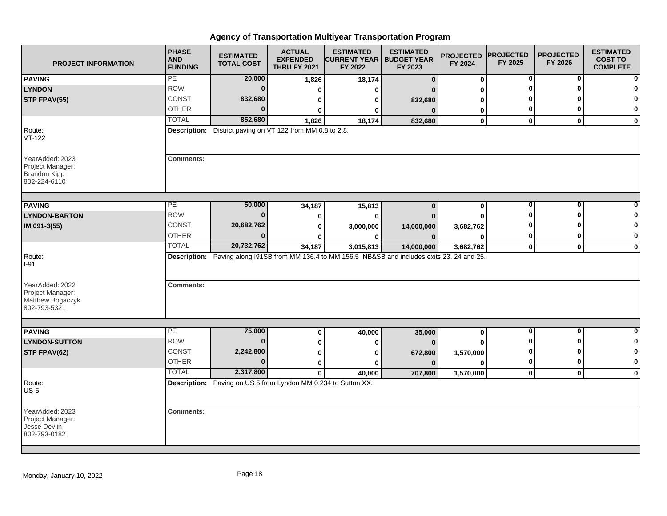| <b>PROJECT INFORMATION</b>                                                 | <b>PHASE</b><br><b>AND</b><br><b>FUNDING</b> | <b>ESTIMATED</b><br><b>TOTAL COST</b>                          | <b>ACTUAL</b><br><b>EXPENDED</b><br><b>THRU FY 2021</b> | <b>ESTIMATED</b><br><b>CURRENT YEAR   BUDGET YEAR</b><br>FY 2022                                  | <b>ESTIMATED</b><br>FY 2023 | <b>PROJECTED</b><br>FY 2024 | <b>PROJECTED</b><br>FY 2025  | <b>PROJECTED</b><br>FY 2026  | <b>ESTIMATED</b><br><b>COST TO</b><br><b>COMPLETE</b> |
|----------------------------------------------------------------------------|----------------------------------------------|----------------------------------------------------------------|---------------------------------------------------------|---------------------------------------------------------------------------------------------------|-----------------------------|-----------------------------|------------------------------|------------------------------|-------------------------------------------------------|
| <b>PAVING</b>                                                              | PE                                           | 20,000                                                         | 1,826                                                   | 18,174                                                                                            | $\Omega$                    | $\bf{0}$                    | 0                            | 0                            | n                                                     |
| <b>LYNDON</b>                                                              | <b>ROW</b>                                   | $\bf{0}$                                                       | $\bf{0}$                                                | $\bf{0}$                                                                                          |                             | ŋ                           | O                            | O                            | O                                                     |
| STP FPAV(55)                                                               | <b>CONST</b>                                 | 832,680                                                        | 0                                                       | 0                                                                                                 | 832,680                     | ŋ                           |                              |                              | 0                                                     |
|                                                                            | <b>OTHER</b>                                 | $\Omega$                                                       | ŋ                                                       | 0                                                                                                 | $\Omega$                    | 0                           | 0                            | 0                            | 0                                                     |
|                                                                            | <b>TOTAL</b>                                 | 852,680                                                        | 1,826                                                   | 18,174                                                                                            | 832,680                     | $\mathbf 0$                 | $\mathbf 0$                  | $\mathbf{0}$                 | $\mathbf 0$                                           |
| Route:<br>$VT-122$                                                         |                                              | Description: District paving on VT 122 from MM 0.8 to 2.8.     |                                                         |                                                                                                   |                             |                             |                              |                              |                                                       |
| YearAdded: 2023<br>Project Manager:<br><b>Brandon Kipp</b><br>802-224-6110 | <b>Comments:</b>                             |                                                                |                                                         |                                                                                                   |                             |                             |                              |                              |                                                       |
| <b>PAVING</b>                                                              | PE                                           | 50,000                                                         | 34,187                                                  | 15,813                                                                                            | $\bf{0}$                    | $\bf{0}$                    | 0                            | 0                            |                                                       |
| <b>LYNDON-BARTON</b>                                                       | <b>ROW</b>                                   | $\bf{0}$                                                       | 0                                                       | $\bf{0}$                                                                                          |                             | O                           | ŋ                            | O                            |                                                       |
| IM 091-3(55)                                                               | <b>CONST</b>                                 | 20,682,762                                                     | 0                                                       | 3,000,000                                                                                         | 14,000,000                  | 3,682,762                   |                              |                              | 0                                                     |
|                                                                            | <b>OTHER</b>                                 | $\bf{0}$                                                       |                                                         | ŋ                                                                                                 |                             | U                           | 0                            | 0                            | 0                                                     |
|                                                                            | <b>TOTAL</b>                                 | 20,732,762                                                     | 34,187                                                  | 3,015,813                                                                                         | 14,000,000                  | 3,682,762                   | $\mathbf 0$                  | $\mathbf 0$                  | $\mathbf 0$                                           |
| Route:<br>$I-91$                                                           |                                              |                                                                |                                                         | Description: Paving along I91SB from MM 136.4 to MM 156.5 NB&SB and includes exits 23, 24 and 25. |                             |                             |                              |                              |                                                       |
| YearAdded: 2022<br>Project Manager:<br>Matthew Bogaczyk<br>802-793-5321    | <b>Comments:</b>                             |                                                                |                                                         |                                                                                                   |                             |                             |                              |                              |                                                       |
|                                                                            |                                              |                                                                |                                                         |                                                                                                   |                             |                             |                              |                              |                                                       |
| <b>PAVING</b>                                                              | PE<br><b>ROW</b>                             | 75,000<br>$\bf{0}$                                             | 0                                                       | 40,000                                                                                            | 35,000                      | 0                           | $\overline{\mathbf{0}}$<br>ŋ | $\mathbf{0}$<br><sup>0</sup> | 0                                                     |
| <b>LYNDON-SUTTON</b>                                                       |                                              |                                                                | 0                                                       | 0                                                                                                 | $\Omega$                    |                             |                              |                              | 0                                                     |
| STP FPAV(62)                                                               | <b>CONST</b>                                 | 2,242,800                                                      | 0                                                       | $\bf{0}$                                                                                          | 672,800                     | 1,570,000                   | 0                            | ŋ                            | 0                                                     |
|                                                                            | <b>OTHER</b>                                 | $\bf{0}$                                                       | 0                                                       | $\mathbf{0}$                                                                                      | $\mathbf{0}$                | $\Omega$                    | 0                            | 0                            | $\mathbf 0$                                           |
|                                                                            | <b>TOTAL</b>                                 | 2,317,800                                                      | $\mathbf{0}$                                            | 40,000                                                                                            | 707,800                     | 1,570,000                   | $\mathbf 0$                  | $\mathbf{0}$                 | $\mathbf 0$                                           |
| Route:<br>$US-5$                                                           |                                              | Description: Paving on US 5 from Lyndon MM 0.234 to Sutton XX. |                                                         |                                                                                                   |                             |                             |                              |                              |                                                       |
| YearAdded: 2023<br>Project Manager:<br>Jesse Devlin<br>802-793-0182        | <b>Comments:</b>                             |                                                                |                                                         |                                                                                                   |                             |                             |                              |                              |                                                       |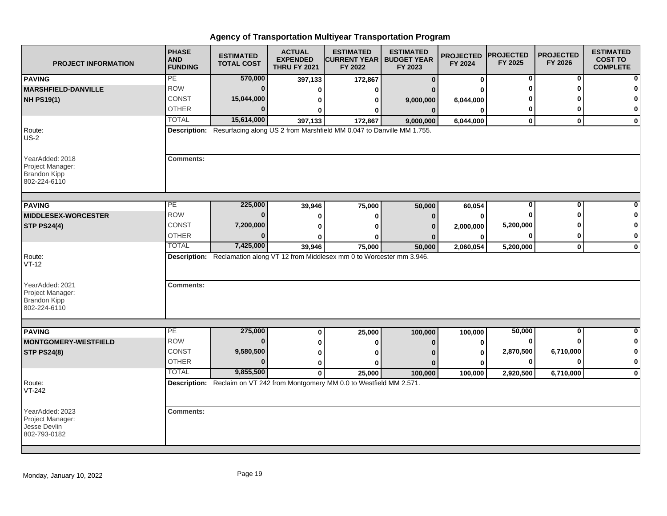| <b>PROJECT INFORMATION</b>                                                 | <b>PHASE</b><br><b>AND</b><br><b>FUNDING</b> | <b>ESTIMATED</b><br><b>TOTAL COST</b> | <b>ACTUAL</b><br><b>EXPENDED</b><br><b>THRU FY 2021</b> | <b>ESTIMATED</b><br><b>CURRENT YEAR   BUDGET YEAR</b><br>FY 2022                   | <b>ESTIMATED</b><br>FY 2023 | <b>PROJECTED</b><br>FY 2024 | <b>PROJECTED</b><br>FY 2025 | <b>PROJECTED</b><br>FY 2026 | <b>ESTIMATED</b><br><b>COST TO</b><br><b>COMPLETE</b> |
|----------------------------------------------------------------------------|----------------------------------------------|---------------------------------------|---------------------------------------------------------|------------------------------------------------------------------------------------|-----------------------------|-----------------------------|-----------------------------|-----------------------------|-------------------------------------------------------|
| <b>PAVING</b>                                                              | PE                                           | 570,000                               | 397,133                                                 | 172,867                                                                            | $\Omega$                    | 0                           | 0                           | 0                           |                                                       |
| <b>MARSHFIELD-DANVILLE</b>                                                 | <b>ROW</b>                                   | $\bf{0}$                              | 0                                                       | ŋ                                                                                  |                             |                             | Ω                           | ŋ                           |                                                       |
| <b>NH PS19(1)</b>                                                          | CONST                                        | 15,044,000                            | $\bf{0}$                                                | 0                                                                                  | 9,000,000                   | 6,044,000                   |                             |                             |                                                       |
|                                                                            | <b>OTHER</b>                                 | $\bf{0}$                              | ŋ                                                       | ŋ                                                                                  | 0                           | $\Omega$                    | 0                           | 0                           | 0                                                     |
|                                                                            | <b>TOTAL</b>                                 | 15,614,000                            | 397,133                                                 | 172,867                                                                            | 9,000,000                   | 6,044,000                   | $\mathbf{0}$                | $\bf{0}$                    | $\bf{0}$                                              |
| Route:<br>$US-2$                                                           |                                              |                                       |                                                         | Description: Resurfacing along US 2 from Marshfield MM 0.047 to Danville MM 1.755. |                             |                             |                             |                             |                                                       |
| YearAdded: 2018<br>Project Manager:<br><b>Brandon Kipp</b><br>802-224-6110 | <b>Comments:</b>                             |                                       |                                                         |                                                                                    |                             |                             |                             |                             |                                                       |
| <b>PAVING</b>                                                              | PE                                           | 225,000                               |                                                         |                                                                                    |                             |                             | 0                           | 0                           |                                                       |
| <b>MIDDLESEX-WORCESTER</b>                                                 | <b>ROW</b>                                   | $\bf{0}$                              | 39,946                                                  | 75,000                                                                             | 50,000                      | 60,054                      |                             | Λ                           |                                                       |
|                                                                            | <b>CONST</b>                                 | 7,200,000                             | 0                                                       | $\bf{0}$                                                                           | n                           | 0                           | 5,200,000                   |                             |                                                       |
| <b>STP PS24(4)</b>                                                         | <b>OTHER</b>                                 | $\bf{0}$                              | 0                                                       | ŋ                                                                                  | n                           | 2,000,000                   | $\bf{0}$                    | 0                           | $\bf{0}$                                              |
|                                                                            | <b>TOTAL</b>                                 | 7,425,000                             | 0<br>39,946                                             | ŋ<br>75,000                                                                        | 50,000                      | 0<br>2,060,054              | 5,200,000                   | $\mathbf 0$                 | 0                                                     |
| Route:<br>$VT-12$<br>YearAdded: 2021                                       | <b>Comments:</b>                             |                                       |                                                         | Description: Reclamation along VT 12 from Middlesex mm 0 to Worcester mm 3.946.    |                             |                             |                             |                             |                                                       |
| Project Manager:<br><b>Brandon Kipp</b><br>802-224-6110                    |                                              |                                       |                                                         |                                                                                    |                             |                             |                             |                             |                                                       |
| <b>PAVING</b>                                                              | PE                                           | 275,000                               | 0                                                       | 25,000                                                                             | 100,000                     | 100,000                     | 50,000                      | $\bf{0}$                    | $\Omega$                                              |
| <b>MONTGOMERY-WESTFIELD</b>                                                | <b>ROW</b>                                   | $\Omega$                              | 0                                                       | 0                                                                                  | 0                           | 0                           | $\bf{0}$                    |                             | n                                                     |
| <b>STP PS24(8)</b>                                                         | <b>CONST</b>                                 | 9,580,500                             | 0                                                       | o                                                                                  |                             | 0                           | 2,870,500                   | 6,710,000                   | 0                                                     |
|                                                                            | <b>OTHER</b>                                 | $\Omega$                              | 0                                                       |                                                                                    |                             | 0                           | 0                           | U                           | $\bf{0}$                                              |
|                                                                            | <b>TOTAL</b>                                 | 9,855,500                             | $\mathbf{0}$                                            | 25,000                                                                             | 100,000                     | 100,000                     | 2,920,500                   | 6,710,000                   | $\bf{0}$                                              |
| Route:<br>VT-242                                                           |                                              |                                       |                                                         | Description: Reclaim on VT 242 from Montgomery MM 0.0 to Westfield MM 2.571.       |                             |                             |                             |                             |                                                       |
| YearAdded: 2023<br>Project Manager:<br>Jesse Devlin<br>802-793-0182        | <b>Comments:</b>                             |                                       |                                                         |                                                                                    |                             |                             |                             |                             |                                                       |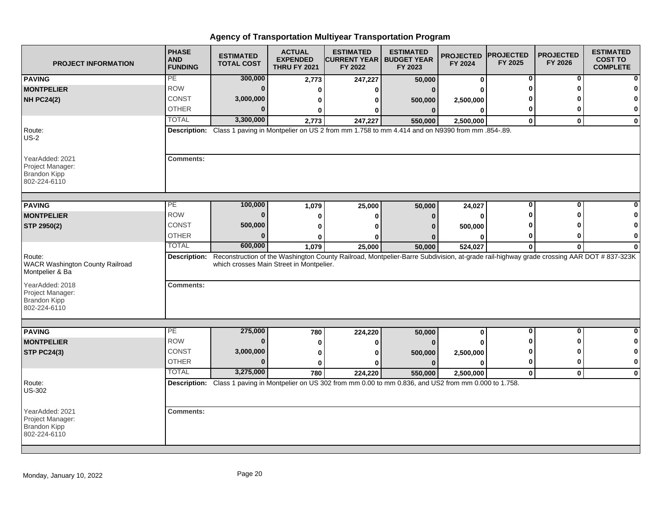| <b>PROJECT INFORMATION</b>                                                 | <b>PHASE</b><br><b>AND</b><br><b>FUNDING</b> | <b>ESTIMATED</b><br><b>TOTAL COST</b>    | <b>ACTUAL</b><br><b>EXPENDED</b><br><b>THRU FY 2021</b> | <b>ESTIMATED</b><br><b>CURRENT YEAR   BUDGET YEAR</b><br>FY 2022                                                                        | <b>ESTIMATED</b><br>FY 2023 | <b>PROJECTED</b><br>FY 2024 | <b>PROJECTED</b><br>FY 2025 | <b>PROJECTED</b><br>FY 2026 | <b>ESTIMATED</b><br><b>COST TO</b><br><b>COMPLETE</b> |
|----------------------------------------------------------------------------|----------------------------------------------|------------------------------------------|---------------------------------------------------------|-----------------------------------------------------------------------------------------------------------------------------------------|-----------------------------|-----------------------------|-----------------------------|-----------------------------|-------------------------------------------------------|
| <b>PAVING</b>                                                              | PE                                           | 300,000                                  | 2,773                                                   | 247,227                                                                                                                                 | 50,000                      | 0                           | 0                           | 0                           |                                                       |
| <b>MONTPELIER</b>                                                          | <b>ROW</b>                                   | $\bf{0}$                                 | $\Omega$                                                | O                                                                                                                                       | $\Omega$                    |                             |                             |                             |                                                       |
| <b>NH PC24(2)</b>                                                          | CONST                                        | 3,000,000                                | 0                                                       | 0                                                                                                                                       | 500,000                     | 2,500,000                   |                             |                             | 0                                                     |
|                                                                            | <b>OTHER</b>                                 | $\Omega$                                 | 0                                                       | 0                                                                                                                                       | $\bf{0}$                    | 0                           | 0                           | ŋ                           | 0                                                     |
|                                                                            | <b>TOTAL</b>                                 | 3,300,000                                | 2,773                                                   | 247,227                                                                                                                                 | 550,000                     | 2,500,000                   | $\bf{0}$                    | $\bf{0}$                    | 0                                                     |
| Route:<br>$US-2$                                                           |                                              |                                          |                                                         | Description: Class 1 paving in Montpelier on US 2 from mm 1.758 to mm 4.414 and on N9390 from mm .854-.89.                              |                             |                             |                             |                             |                                                       |
| YearAdded: 2021<br>Project Manager:<br><b>Brandon Kipp</b><br>802-224-6110 | <b>Comments:</b>                             |                                          |                                                         |                                                                                                                                         |                             |                             |                             |                             |                                                       |
| <b>PAVING</b>                                                              | PE                                           | 100,000                                  | 1,079                                                   | 25,000                                                                                                                                  | 50,000                      | 24,027                      | $\bf{0}$                    | O                           |                                                       |
| <b>MONTPELIER</b>                                                          | <b>ROW</b>                                   | $\Omega$                                 | 0                                                       | 0                                                                                                                                       | 0                           | $\bf{0}$                    |                             |                             |                                                       |
| STP 2950(2)                                                                | CONST                                        | 500,000                                  | 0                                                       | O                                                                                                                                       | n                           | 500,000                     |                             |                             |                                                       |
|                                                                            | <b>OTHER</b>                                 | $\bf{0}$                                 | 0                                                       | ŋ                                                                                                                                       |                             | $\Omega$                    | 0                           | o                           | 0                                                     |
|                                                                            | <b>TOTAL</b>                                 | 600,000                                  | 1,079                                                   | 25,000                                                                                                                                  | 50,000                      | 524,027                     | 0                           | $\mathbf{0}$                | $\bf{0}$                                              |
| Route:<br><b>WACR Washington County Railroad</b><br>Montpelier & Ba        | Description:                                 | which crosses Main Street in Montpelier. |                                                         | Reconstruction of the Washington County Railroad, Montpelier-Barre Subdivision, at-grade rail-highway grade crossing AAR DOT # 837-323K |                             |                             |                             |                             |                                                       |
| YearAdded: 2018<br>Project Manager:<br><b>Brandon Kipp</b><br>802-224-6110 | <b>Comments:</b>                             |                                          |                                                         |                                                                                                                                         |                             |                             |                             |                             |                                                       |
|                                                                            | PE                                           | 275,000                                  |                                                         |                                                                                                                                         |                             |                             | $\bf{0}$                    | O                           | 0                                                     |
| <b>PAVING</b><br><b>MONTPELIER</b>                                         | <b>ROW</b>                                   | $\bf{0}$                                 | 780                                                     | 224,220                                                                                                                                 | 50,000                      | 0                           |                             | ŋ                           | 0                                                     |
| <b>STP PC24(3)</b>                                                         | <b>CONST</b>                                 | 3,000,000                                | 0                                                       | 0                                                                                                                                       |                             |                             |                             |                             | 0                                                     |
|                                                                            | <b>OTHER</b>                                 | $\Omega$                                 | 0<br>$\bf{0}$                                           | ŋ<br>Λ                                                                                                                                  | 500,000<br>$\Omega$         | 2,500,000<br>0              | $\bf{0}$                    | $\Omega$                    | 0                                                     |
|                                                                            | <b>TOTAL</b>                                 | 3,275,000                                |                                                         |                                                                                                                                         |                             |                             |                             | $\bf{0}$                    |                                                       |
| Route:<br><b>US-302</b>                                                    |                                              |                                          | 780                                                     | 224,220<br>Description: Class 1 paving in Montpelier on US 302 from mm 0.00 to mm 0.836, and US2 from mm 0.000 to 1.758.                | 550,000                     | 2,500,000                   | $\mathbf 0$                 |                             | $\bf{0}$                                              |
| YearAdded: 2021<br>Project Manager:<br><b>Brandon Kipp</b><br>802-224-6110 | <b>Comments:</b>                             |                                          |                                                         |                                                                                                                                         |                             |                             |                             |                             |                                                       |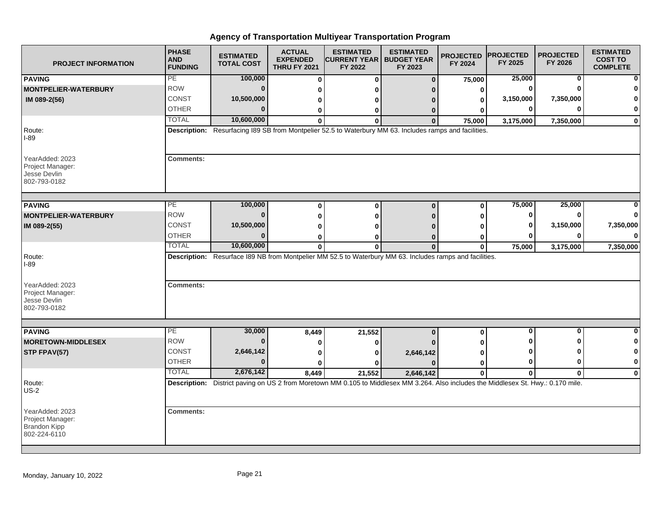| <b>PROJECT INFORMATION</b>                                                 | <b>PHASE</b><br><b>AND</b><br><b>FUNDING</b> | <b>ESTIMATED</b><br><b>TOTAL COST</b> | <b>ACTUAL</b><br><b>EXPENDED</b><br><b>THRU FY 2021</b> | <b>ESTIMATED</b><br><b>CURRENT YEAR   BUDGET YEAR</b><br>FY 2022                                                                     | <b>ESTIMATED</b><br>FY 2023 | <b>PROJECTED</b><br>FY 2024 | <b>PROJECTED</b><br>FY 2025 | <b>PROJECTED</b><br>FY 2026 | <b>ESTIMATED</b><br><b>COST TO</b><br><b>COMPLETE</b> |
|----------------------------------------------------------------------------|----------------------------------------------|---------------------------------------|---------------------------------------------------------|--------------------------------------------------------------------------------------------------------------------------------------|-----------------------------|-----------------------------|-----------------------------|-----------------------------|-------------------------------------------------------|
| <b>PAVING</b>                                                              | PE                                           | 100,000                               | $\bf{0}$                                                | $\bf{0}$                                                                                                                             | $\bf{0}$                    | 75,000                      | 25,000                      | 0                           |                                                       |
| <b>MONTPELIER-WATERBURY</b>                                                | <b>ROW</b>                                   | $\bf{0}$                              | 0                                                       | n                                                                                                                                    |                             | 0                           | $\bf{0}$                    | ŋ                           |                                                       |
| IM 089-2(56)                                                               | <b>CONST</b>                                 | 10,500,000                            | 0                                                       | o                                                                                                                                    |                             | 0                           | 3,150,000                   | 7,350,000                   |                                                       |
|                                                                            | <b>OTHER</b>                                 | $\Omega$                              | 0                                                       | 0                                                                                                                                    | 0                           | ŋ                           | 0                           | $\bf{0}$                    | $\bf{0}$                                              |
|                                                                            | <b>TOTAL</b>                                 | 10,600,000                            | $\bf{0}$                                                | $\bf{0}$                                                                                                                             | $\bf{0}$                    | 75,000                      | 3,175,000                   | 7,350,000                   | $\mathbf 0$                                           |
| Route:<br>$I-89$                                                           |                                              |                                       |                                                         | Description: Resurfacing I89 SB from Montpelier 52.5 to Waterbury MM 63. Includes ramps and facilities.                              |                             |                             |                             |                             |                                                       |
| YearAdded: 2023<br>Project Manager:<br>Jesse Devlin<br>802-793-0182        | <b>Comments:</b>                             |                                       |                                                         |                                                                                                                                      |                             |                             |                             |                             |                                                       |
|                                                                            | PЕ                                           | 100,000                               |                                                         |                                                                                                                                      |                             |                             | 75,000                      | 25,000                      |                                                       |
| <b>PAVING</b>                                                              | <b>ROW</b>                                   | $\mathbf{0}$                          | $\bf{0}$                                                | $\bf{0}$                                                                                                                             | $\bf{0}$                    | 0                           | 0                           | $\bf{0}$                    |                                                       |
| <b>MONTPELIER-WATERBURY</b>                                                |                                              |                                       | 0                                                       | 0                                                                                                                                    |                             | 0                           |                             |                             |                                                       |
| IM 089-2(55)                                                               | CONST                                        | 10,500,000<br>$\Omega$                | 0                                                       | ŋ                                                                                                                                    |                             | O                           | 0                           | 3,150,000                   | 7,350,000                                             |
|                                                                            | <b>OTHER</b>                                 |                                       | 0                                                       | 0                                                                                                                                    | $\Omega$                    | 0                           | 0                           | $\bf{0}$                    |                                                       |
|                                                                            | <b>TOTAL</b>                                 | 10,600,000                            | $\mathbf{0}$                                            | 0                                                                                                                                    | $\mathbf{0}$                | $\mathbf{0}$                | 75,000                      | 3,175,000                   | 7,350,000                                             |
| Route:<br>I-89                                                             |                                              |                                       |                                                         | Description: Resurface I89 NB from Montpelier MM 52.5 to Waterbury MM 63. Includes ramps and facilities.                             |                             |                             |                             |                             |                                                       |
| YearAdded: 2023<br>Project Manager:<br>Jesse Devlin<br>802-793-0182        | <b>Comments:</b>                             |                                       |                                                         |                                                                                                                                      |                             |                             |                             |                             |                                                       |
|                                                                            |                                              |                                       |                                                         |                                                                                                                                      |                             |                             |                             |                             |                                                       |
| <b>PAVING</b>                                                              | РE<br><b>ROW</b>                             | 30,000<br>$\bf{0}$                    | 8,449                                                   | 21,552                                                                                                                               | $\bf{0}$                    | 0                           | 0                           | 0<br>ŋ                      | $\bf{0}$                                              |
| <b>MORETOWN-MIDDLESEX</b>                                                  |                                              |                                       | 0                                                       | 0                                                                                                                                    |                             |                             |                             |                             | 0                                                     |
| STP FPAV(57)                                                               | CONST                                        | 2,646,142                             | 0                                                       | 0                                                                                                                                    | 2,646,142                   | ŋ                           | ŋ                           | ŋ                           | 0                                                     |
|                                                                            | <b>OTHER</b>                                 | $\Omega$                              | $\bf{0}$                                                | ŋ                                                                                                                                    |                             | 0                           | $\bf{0}$                    | $\bf{0}$                    | $\mathbf 0$                                           |
|                                                                            | <b>TOTAL</b>                                 | 2,676,142                             | 8,449                                                   | 21,552                                                                                                                               | 2,646,142                   | 0                           | $\bf{0}$                    | $\bf{0}$                    | $\mathbf 0$                                           |
| Route:<br>$US-2$                                                           |                                              |                                       |                                                         | Description: District paving on US 2 from Moretown MM 0.105 to Middlesex MM 3.264. Also includes the Middlesex St. Hwy.: 0.170 mile. |                             |                             |                             |                             |                                                       |
| YearAdded: 2023<br>Project Manager:<br><b>Brandon Kipp</b><br>802-224-6110 | <b>Comments:</b>                             |                                       |                                                         |                                                                                                                                      |                             |                             |                             |                             |                                                       |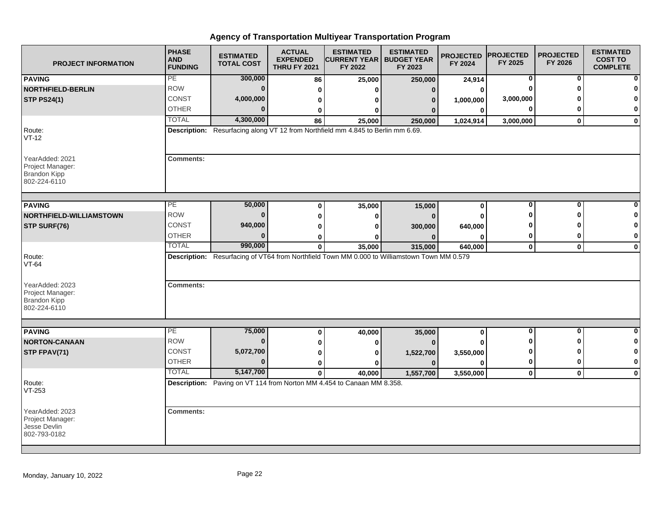| <b>PROJECT INFORMATION</b>                                                 | <b>PHASE</b><br><b>AND</b><br><b>FUNDING</b> | <b>ESTIMATED</b><br><b>TOTAL COST</b> | <b>ACTUAL</b><br><b>EXPENDED</b><br><b>THRU FY 2021</b> | <b>ESTIMATED</b><br><b>CURRENT YEAR   BUDGET YEAR</b><br>FY 2022                 | <b>ESTIMATED</b><br>FY 2023                                                                  | <b>PROJECTED</b><br>FY 2024 | <b>PROJECTED</b><br>FY 2025 | <b>PROJECTED</b><br>FY 2026 | <b>ESTIMATED</b><br><b>COST TO</b><br><b>COMPLETE</b> |
|----------------------------------------------------------------------------|----------------------------------------------|---------------------------------------|---------------------------------------------------------|----------------------------------------------------------------------------------|----------------------------------------------------------------------------------------------|-----------------------------|-----------------------------|-----------------------------|-------------------------------------------------------|
| <b>PAVING</b>                                                              | PE                                           | 300,000                               | 86                                                      | 25,000                                                                           | 250,000                                                                                      | 24,914                      | 0                           | 0                           |                                                       |
| <b>NORTHFIELD-BERLIN</b>                                                   | <b>ROW</b>                                   | $\bf{0}$                              | 0                                                       | ŋ                                                                                | $\Omega$                                                                                     | 0                           | $\Omega$                    | ŋ                           |                                                       |
| <b>STP PS24(1)</b>                                                         | <b>CONST</b>                                 | 4,000,000                             | 0                                                       | 0                                                                                | 0                                                                                            | 1,000,000                   | 3,000,000                   |                             | O                                                     |
|                                                                            | <b>OTHER</b>                                 | $\Omega$                              | 0                                                       | 0                                                                                |                                                                                              | $\bf{0}$                    | 0                           | ŋ                           | 0                                                     |
|                                                                            | <b>TOTAL</b>                                 | 4,300,000                             | 86                                                      | 25,000                                                                           | 250,000                                                                                      | 1,024,914                   | 3,000,000                   | $\mathbf{0}$                | $\mathbf 0$                                           |
| Route:<br>$VT-12$                                                          |                                              |                                       |                                                         | Description: Resurfacing along VT 12 from Northfield mm 4.845 to Berlin mm 6.69. |                                                                                              |                             |                             |                             |                                                       |
| YearAdded: 2021<br>Project Manager:<br><b>Brandon Kipp</b><br>802-224-6110 | <b>Comments:</b>                             |                                       |                                                         |                                                                                  |                                                                                              |                             |                             |                             |                                                       |
| <b>PAVING</b>                                                              | PE                                           | 50,000                                | $\bf{0}$                                                | 35,000                                                                           | 15,000                                                                                       | $\mathbf 0$                 | 0                           | 0                           |                                                       |
| NORTHFIELD-WILLIAMSTOWN                                                    | <b>ROW</b>                                   | $\bf{0}$                              | $\bf{0}$                                                | $\bf{0}$                                                                         | $\Omega$                                                                                     | O                           | Ω                           | ŋ                           |                                                       |
| STP SURF(76)                                                               | CONST                                        | 940,000                               |                                                         | U                                                                                |                                                                                              |                             |                             |                             | 0                                                     |
|                                                                            | <b>OTHER</b>                                 | 0                                     | $\bf{0}$<br>0                                           | o                                                                                | 300,000                                                                                      | 640,000<br>0                | 0                           | 0                           | 0                                                     |
|                                                                            | <b>TOTAL</b>                                 | 990,000                               | $\bf{0}$                                                | 35,000                                                                           | 315,000                                                                                      | 640,000                     | $\mathbf 0$                 | $\mathbf 0$                 | $\mathbf 0$                                           |
| Route:<br>$VT-64$                                                          |                                              |                                       |                                                         |                                                                                  | Description: Resurfacing of VT64 from Northfield Town MM 0.000 to Williamstown Town MM 0.579 |                             |                             |                             |                                                       |
| YearAdded: 2023<br>Project Manager:<br><b>Brandon Kipp</b><br>802-224-6110 | <b>Comments:</b>                             |                                       |                                                         |                                                                                  |                                                                                              |                             |                             |                             |                                                       |
|                                                                            |                                              |                                       |                                                         |                                                                                  |                                                                                              |                             |                             |                             |                                                       |
| <b>PAVING</b>                                                              | PE                                           | 75,000                                | 0                                                       | 40,000                                                                           | 35,000                                                                                       | $\bf{0}$                    | $\overline{\mathbf{0}}$     | $\overline{\mathbf{0}}$     | $\bf{0}$                                              |
| <b>NORTON-CANAAN</b>                                                       | <b>ROW</b>                                   | $\bf{0}$                              | 0                                                       | 0                                                                                |                                                                                              |                             | ŋ                           | ŋ                           | 0                                                     |
| STP FPAV(71)                                                               | <b>CONST</b>                                 | 5,072,700                             | 0                                                       | 0                                                                                | 1,522,700                                                                                    | 3,550,000                   | 0                           | O                           | 0                                                     |
|                                                                            | <b>OTHER</b>                                 | $\bf{0}$                              | $\bf{0}$                                                | $\mathbf{0}$                                                                     | $\Omega$                                                                                     | $\Omega$                    | 0                           | 0                           | $\bf{0}$                                              |
|                                                                            | <b>TOTAL</b>                                 | 5,147,700                             | $\mathbf 0$                                             | 40,000                                                                           | 1,557,700                                                                                    | 3,550,000                   | $\mathbf 0$                 | $\mathbf 0$                 | $\mathbf 0$                                           |
| Route:<br>VT-253                                                           |                                              |                                       |                                                         | Description: Paving on VT 114 from Norton MM 4.454 to Canaan MM 8.358.           |                                                                                              |                             |                             |                             |                                                       |
| YearAdded: 2023<br>Project Manager:<br>Jesse Devlin<br>802-793-0182        | <b>Comments:</b>                             |                                       |                                                         |                                                                                  |                                                                                              |                             |                             |                             |                                                       |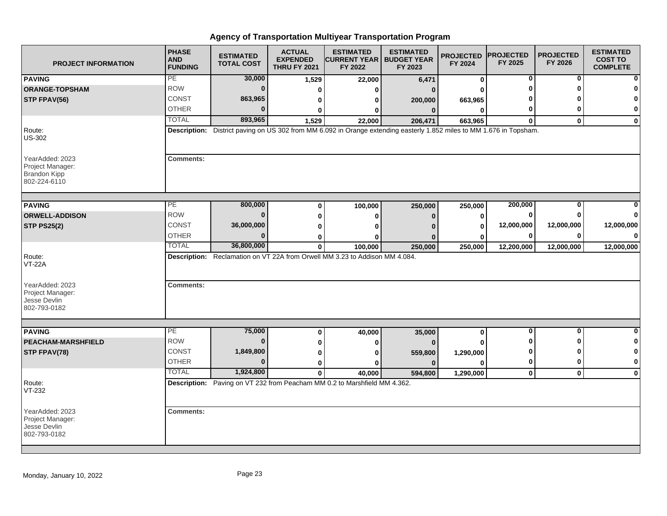| <b>PROJECT INFORMATION</b>                                                 | <b>PHASE</b><br><b>AND</b><br><b>FUNDING</b> | <b>ESTIMATED</b><br><b>TOTAL COST</b> | <b>ACTUAL</b><br><b>EXPENDED</b><br><b>THRU FY 2021</b> | <b>ESTIMATED</b><br><b>CURRENT YEAR   BUDGET YEAR</b><br>FY 2022                                                      | <b>ESTIMATED</b><br>FY 2023 | <b>PROJECTED</b><br>FY 2024 | <b>PROJECTED</b><br>FY 2025 | <b>PROJECTED</b><br>FY 2026 | <b>ESTIMATED</b><br><b>COST TO</b><br><b>COMPLETE</b> |
|----------------------------------------------------------------------------|----------------------------------------------|---------------------------------------|---------------------------------------------------------|-----------------------------------------------------------------------------------------------------------------------|-----------------------------|-----------------------------|-----------------------------|-----------------------------|-------------------------------------------------------|
| <b>PAVING</b>                                                              | PE                                           | 30,000                                | 1,529                                                   | 22,000                                                                                                                | 6,471                       | 0                           | 0                           | 0                           |                                                       |
| <b>ORANGE-TOPSHAM</b>                                                      | <b>ROW</b>                                   | $\bf{0}$                              | $\bf{0}$                                                | 0                                                                                                                     | $\Omega$                    | ŋ                           |                             | ŋ                           |                                                       |
| STP FPAV(56)                                                               | <b>CONST</b>                                 | 863,965                               | 0                                                       | 0                                                                                                                     | 200,000                     | 663,965                     |                             |                             |                                                       |
|                                                                            | <b>OTHER</b>                                 | $\Omega$                              | 0                                                       | 0                                                                                                                     | $\Omega$                    | 0                           | 0                           | O                           | 0                                                     |
|                                                                            | <b>TOTAL</b>                                 | 893,965                               | 1,529                                                   | 22,000                                                                                                                | 206,471                     | 663,965                     | $\bf{0}$                    | $\mathbf{0}$                | $\mathbf 0$                                           |
| Route:<br><b>US-302</b>                                                    |                                              |                                       |                                                         | Description: District paving on US 302 from MM 6.092 in Orange extending easterly 1.852 miles to MM 1.676 in Topsham. |                             |                             |                             |                             |                                                       |
| YearAdded: 2023<br>Project Manager:<br><b>Brandon Kipp</b><br>802-224-6110 | <b>Comments:</b>                             |                                       |                                                         |                                                                                                                       |                             |                             |                             |                             |                                                       |
|                                                                            | $\overline{PE}$                              | 800,000                               |                                                         |                                                                                                                       |                             |                             | 200,000                     | $\bf{0}$                    |                                                       |
| <b>PAVING</b>                                                              | <b>ROW</b>                                   | $\mathbf{0}$                          | 0                                                       | 100,000                                                                                                               | 250,000                     | 250,000                     | 0                           | <sup>0</sup>                |                                                       |
| <b>ORWELL-ADDISON</b>                                                      |                                              |                                       | 0                                                       | 0                                                                                                                     | 0                           | 0                           |                             |                             |                                                       |
| <b>STP PS25(2)</b>                                                         | CONST                                        | 36,000,000                            | 0                                                       | ŋ                                                                                                                     |                             | 0                           | 12,000,000                  | 12,000,000                  | 12,000,000                                            |
|                                                                            | <b>OTHER</b>                                 | $\Omega$                              | 0                                                       | ŋ                                                                                                                     |                             | 0                           | 0                           | 0                           |                                                       |
|                                                                            | <b>TOTAL</b>                                 | 36,800,000                            | $\mathbf{0}$                                            | 100.000                                                                                                               | 250,000                     | 250,000                     | 12,200,000                  | 12,000,000                  | 12,000,000                                            |
| Route:<br><b>VT-22A</b>                                                    |                                              |                                       |                                                         | Description: Reclamation on VT 22A from Orwell MM 3.23 to Addison MM 4.084.                                           |                             |                             |                             |                             |                                                       |
| YearAdded: 2023<br>Project Manager:<br>Jesse Devlin<br>802-793-0182        | <b>Comments:</b>                             |                                       |                                                         |                                                                                                                       |                             |                             |                             |                             |                                                       |
|                                                                            |                                              |                                       |                                                         |                                                                                                                       |                             |                             |                             |                             |                                                       |
| <b>PAVING</b>                                                              | РE<br><b>ROW</b>                             | 75,000<br>$\bf{0}$                    | 0                                                       | 40,000                                                                                                                | 35,000                      | 0                           | 0                           | 0                           | O                                                     |
| <b>PEACHAM-MARSHFIELD</b>                                                  |                                              |                                       | 0                                                       | 0                                                                                                                     |                             |                             | ŋ                           | ŋ                           | 0                                                     |
| STP FPAV(78)                                                               | CONST                                        | 1,849,800                             | 0                                                       | ŋ                                                                                                                     | 559,800                     | 1,290,000                   | $\bf{0}$                    | ŋ                           | 0                                                     |
|                                                                            | <b>OTHER</b>                                 | $\Omega$                              | 0                                                       | ŋ                                                                                                                     | $\Omega$                    | 0                           | $\mathbf 0$                 | $\bf{0}$                    | $\mathbf 0$                                           |
|                                                                            | <b>TOTAL</b>                                 | 1,924,800                             | $\mathbf{0}$                                            | 40,000                                                                                                                | 594,800                     | 1,290,000                   | $\mathbf 0$                 | $\mathbf 0$                 | $\mathbf 0$                                           |
| Route:<br>VT-232                                                           |                                              |                                       |                                                         | Description: Paving on VT 232 from Peacham MM 0.2 to Marshfield MM 4.362.                                             |                             |                             |                             |                             |                                                       |
| YearAdded: 2023<br>Project Manager:<br>Jesse Devlin<br>802-793-0182        | <b>Comments:</b>                             |                                       |                                                         |                                                                                                                       |                             |                             |                             |                             |                                                       |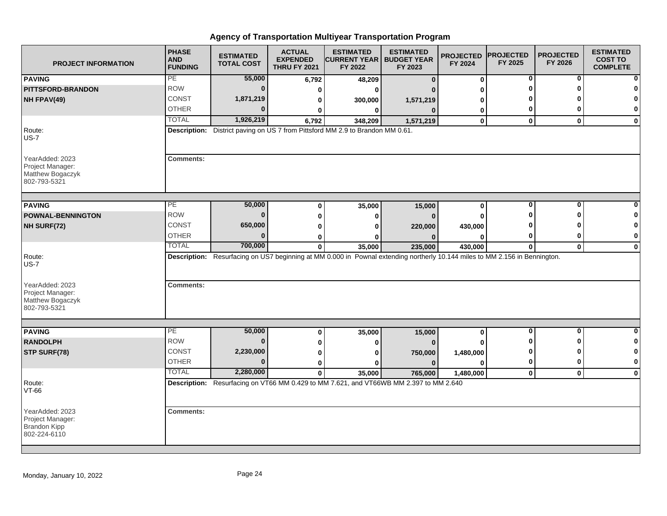| <b>PROJECT INFORMATION</b>                                                 | <b>PHASE</b><br><b>AND</b><br><b>FUNDING</b> | <b>ESTIMATED</b><br><b>TOTAL COST</b> | <b>ACTUAL</b><br><b>EXPENDED</b><br><b>THRU FY 2021</b> | <b>ESTIMATED</b><br><b>CURRENT YEAR   BUDGET YEAR</b><br>FY 2022               | <b>ESTIMATED</b><br>FY 2023                                                                                                 | <b>PROJECTED</b><br>FY 2024 | <b>PROJECTED</b><br>FY 2025 | <b>PROJECTED</b><br>FY 2026 | <b>ESTIMATED</b><br><b>COST TO</b><br><b>COMPLETE</b> |
|----------------------------------------------------------------------------|----------------------------------------------|---------------------------------------|---------------------------------------------------------|--------------------------------------------------------------------------------|-----------------------------------------------------------------------------------------------------------------------------|-----------------------------|-----------------------------|-----------------------------|-------------------------------------------------------|
| <b>PAVING</b>                                                              | PE                                           | 55,000                                | 6,792                                                   | 48,209                                                                         | $\mathbf{0}$                                                                                                                | $\bf{0}$                    | 0                           | 0                           |                                                       |
| <b>PITTSFORD-BRANDON</b>                                                   | <b>ROW</b>                                   | $\bf{0}$                              | 0                                                       | $\bf{0}$                                                                       |                                                                                                                             | ŋ                           | O                           | ŋ                           |                                                       |
| NH FPAV(49)                                                                | <b>CONST</b>                                 | 1,871,219                             | 0                                                       | 300,000                                                                        | 1,571,219                                                                                                                   | 0                           |                             |                             |                                                       |
|                                                                            | <b>OTHER</b>                                 | $\Omega$                              | 0                                                       | $\bf{0}$                                                                       | $\Omega$                                                                                                                    | 0                           | 0                           | ŋ                           | 0                                                     |
|                                                                            | <b>TOTAL</b>                                 | 1,926,219                             | 6,792                                                   | 348,209                                                                        | 1,571,219                                                                                                                   | $\mathbf 0$                 | $\mathbf 0$                 | $\mathbf{0}$                | $\mathbf 0$                                           |
| Route:<br>$US-7$                                                           |                                              |                                       |                                                         | Description: District paving on US 7 from Pittsford MM 2.9 to Brandon MM 0.61. |                                                                                                                             |                             |                             |                             |                                                       |
| YearAdded: 2023<br>Project Manager:<br>Matthew Bogaczyk<br>802-793-5321    | <b>Comments:</b>                             |                                       |                                                         |                                                                                |                                                                                                                             |                             |                             |                             |                                                       |
| <b>PAVING</b>                                                              | PE                                           | 50,000                                | $\bf{0}$                                                | 35,000                                                                         | 15,000                                                                                                                      | $\mathbf 0$                 | 0                           | 0                           |                                                       |
| <b>POWNAL-BENNINGTON</b>                                                   | <b>ROW</b>                                   | $\bf{0}$                              | $\bf{0}$                                                | $\bf{0}$                                                                       | $\Omega$                                                                                                                    | O                           |                             | ŋ                           |                                                       |
| NH SURF(72)                                                                | CONST                                        | 650,000                               | $\bf{0}$                                                | U                                                                              | 220,000                                                                                                                     | 430,000                     |                             |                             | 0                                                     |
|                                                                            | <b>OTHER</b>                                 | $\mathbf{0}$                          | 0                                                       | o                                                                              |                                                                                                                             | 0                           | 0                           | 0                           | 0                                                     |
|                                                                            | <b>TOTAL</b>                                 | 700,000                               | $\mathbf{0}$                                            | 35,000                                                                         | 235,000                                                                                                                     | 430,000                     | 0                           | $\mathbf 0$                 | $\mathbf 0$                                           |
| Route:<br>$US-7$<br>YearAdded: 2023<br>Project Manager:                    | <b>Comments:</b>                             |                                       |                                                         |                                                                                | Description: Resurfacing on US7 beginning at MM 0.000 in Pownal extending northerly 10.144 miles to MM 2.156 in Bennington. |                             |                             |                             |                                                       |
| Matthew Bogaczyk<br>802-793-5321                                           |                                              |                                       |                                                         |                                                                                |                                                                                                                             |                             |                             |                             |                                                       |
| <b>PAVING</b>                                                              | PE                                           | 50,000                                | 0                                                       | 35,000                                                                         | 15,000                                                                                                                      | $\bf{0}$                    | $\overline{\mathbf{0}}$     | $\overline{\mathbf{0}}$     | $\bf{0}$                                              |
| <b>RANDOLPH</b>                                                            | <b>ROW</b>                                   | $\bf{0}$                              | 0                                                       | 0                                                                              | $\Omega$                                                                                                                    |                             | ŋ                           | ŋ                           | 0                                                     |
| STP SURF(78)                                                               | <b>CONST</b>                                 | 2,230,000                             | 0                                                       | 0                                                                              | 750,000                                                                                                                     | 1,480,000                   | 0                           | O                           | 0                                                     |
|                                                                            | <b>OTHER</b>                                 | $\bf{0}$                              | $\bf{0}$                                                | $\bf{0}$                                                                       | $\Omega$                                                                                                                    | $\Omega$                    | 0                           | 0                           | $\bf{0}$                                              |
|                                                                            | <b>TOTAL</b>                                 | 2,280,000                             | $\mathbf 0$                                             | 35,000                                                                         | 765,000                                                                                                                     | 1,480,000                   | $\mathbf 0$                 | $\mathbf 0$                 | $\mathbf{0}$                                          |
| Route:<br>VT-66                                                            |                                              |                                       |                                                         |                                                                                | Description: Resurfacing on VT66 MM 0.429 to MM 7.621, and VT66WB MM 2.397 to MM 2.640                                      |                             |                             |                             |                                                       |
| YearAdded: 2023<br>Project Manager:<br><b>Brandon Kipp</b><br>802-224-6110 | <b>Comments:</b>                             |                                       |                                                         |                                                                                |                                                                                                                             |                             |                             |                             |                                                       |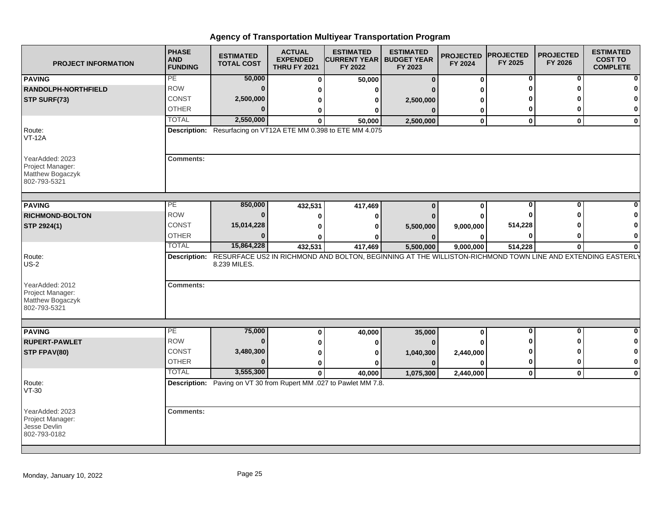| <b>PROJECT INFORMATION</b>                                              | <b>PHASE</b><br><b>AND</b><br><b>FUNDING</b> | <b>ESTIMATED</b><br><b>TOTAL COST</b> | <b>ACTUAL</b><br><b>EXPENDED</b><br><b>THRU FY 2021</b> | <b>ESTIMATED</b><br> CURRENT YEAR   BUDGET YEAR<br>FY 2022                                                              | <b>ESTIMATED</b><br>FY 2023 | <b>PROJECTED PROJECTED</b><br>FY 2024 | FY 2025      | <b>PROJECTED</b><br>FY 2026 | <b>ESTIMATED</b><br><b>COST TO</b><br><b>COMPLETE</b> |
|-------------------------------------------------------------------------|----------------------------------------------|---------------------------------------|---------------------------------------------------------|-------------------------------------------------------------------------------------------------------------------------|-----------------------------|---------------------------------------|--------------|-----------------------------|-------------------------------------------------------|
| <b>PAVING</b>                                                           | PE                                           | 50,000                                | ŋ                                                       | 50,000                                                                                                                  | $\bf{0}$                    | $\bf{0}$                              | 0            | 0                           | 0                                                     |
| <b>RANDOLPH-NORTHFIELD</b>                                              | <b>ROW</b>                                   | $\mathbf{0}$                          |                                                         | ŋ                                                                                                                       | O                           |                                       | O            | O                           | 0                                                     |
| STP SURF(73)                                                            | CONST                                        | 2,500,000                             |                                                         | 0                                                                                                                       | 2,500,000                   |                                       |              |                             | $\bf{0}$                                              |
|                                                                         | <b>OTHER</b>                                 | $\bf{0}$                              |                                                         | 0                                                                                                                       | $\Omega$                    | 0                                     | 0            | $\bf{0}$                    | 0                                                     |
|                                                                         | <b>TOTAL</b>                                 | 2,550,000                             | $\Omega$                                                | 50,000                                                                                                                  | 2,500,000                   | $\bf{0}$                              | $\mathbf{0}$ | 0                           | $\mathbf 0$                                           |
| Route:<br><b>VT-12A</b>                                                 |                                              |                                       |                                                         | Description: Resurfacing on VT12A ETE MM 0.398 to ETE MM 4.075                                                          |                             |                                       |              |                             |                                                       |
| YearAdded: 2023<br>Project Manager:<br>Matthew Bogaczyk<br>802-793-5321 | <b>Comments:</b>                             |                                       |                                                         |                                                                                                                         |                             |                                       |              |                             |                                                       |
| <b>PAVING</b>                                                           | PЕ                                           | 850,000                               | 432,531                                                 | 417,469                                                                                                                 | $\bf{0}$                    | $\bf{0}$                              | $\bf{0}$     | $\bf{0}$                    |                                                       |
| <b>RICHMOND-BOLTON</b>                                                  | <b>ROW</b>                                   | 0                                     |                                                         |                                                                                                                         |                             | ŋ                                     | ∩            | O                           | 0                                                     |
|                                                                         | <b>CONST</b>                                 | 15,014,228                            |                                                         | 0                                                                                                                       | 0                           |                                       | 514,228      |                             | 0                                                     |
| STP 2924(1)                                                             | <b>OTHER</b>                                 | 0                                     |                                                         | O                                                                                                                       | 5,500,000<br>$\bf{0}$       | 9,000,000                             | $\bf{0}$     | 0                           | 0                                                     |
|                                                                         | <b>TOTAL</b>                                 | 15,864,228                            | 432,531                                                 | 417,469                                                                                                                 | 5,500,000                   | 0<br>9,000,000                        | 514,228      | $\bf{0}$                    | 0                                                     |
| Route:<br>$US-2$                                                        |                                              | 8.239 MILES.                          |                                                         | Description: RESURFACE US2 IN RICHMOND AND BOLTON, BEGINNING AT THE WILLISTON-RICHMOND TOWN LINE AND EXTENDING EASTERLY |                             |                                       |              |                             |                                                       |
| YearAdded: 2012<br>Project Manager:<br>Matthew Bogaczyk<br>802-793-5321 | <b>Comments:</b>                             |                                       |                                                         |                                                                                                                         |                             |                                       |              |                             |                                                       |
| <b>PAVING</b>                                                           | PE                                           | 75,000                                | $\bf{0}$                                                | 40,000                                                                                                                  | 35,000                      | 0                                     | 0            | 0                           | 0                                                     |
| <b>RUPERT-PAWLET</b>                                                    | <b>ROW</b>                                   | $\mathbf{0}$                          |                                                         | O                                                                                                                       | $\Omega$                    |                                       |              | 0                           | 0                                                     |
| STP FPAV(80)                                                            | <b>CONST</b>                                 | 3,480,300                             |                                                         | O                                                                                                                       | 1,040,300                   | 2,440,000                             | ŋ            | 0                           | 0                                                     |
|                                                                         | <b>OTHER</b>                                 | $\mathbf{0}$                          | n                                                       |                                                                                                                         | $\Omega$                    | 0                                     | $\bf{0}$     | $\bf{0}$                    | $\mathbf 0$                                           |
|                                                                         | <b>TOTAL</b>                                 | 3,555,300                             | $\mathbf{0}$                                            | 40,000                                                                                                                  | 1,075,300                   | 2,440,000                             | $\mathbf 0$  | 0                           | $\mathbf{0}$                                          |
| Route:<br>VT-30                                                         |                                              |                                       |                                                         | Description: Paving on VT 30 from Rupert MM .027 to Pawlet MM 7.8.                                                      |                             |                                       |              |                             |                                                       |
| YearAdded: 2023<br>Project Manager:<br>Jesse Devlin<br>802-793-0182     | <b>Comments:</b>                             |                                       |                                                         |                                                                                                                         |                             |                                       |              |                             |                                                       |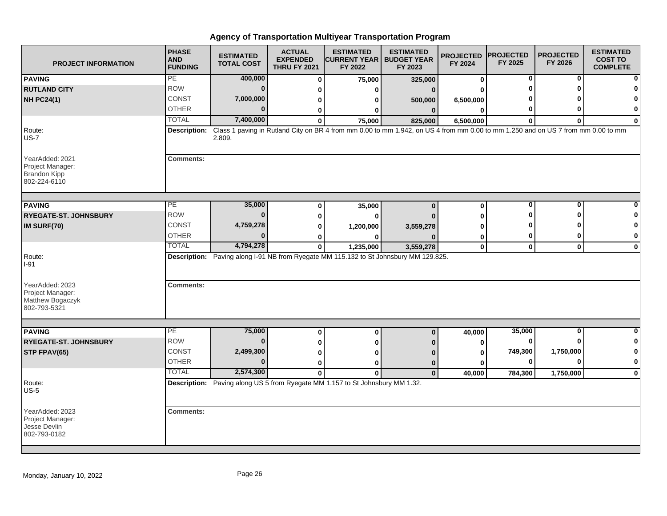| <b>PROJECT INFORMATION</b>                                                 | <b>PHASE</b><br><b>AND</b><br><b>FUNDING</b> | <b>ESTIMATED</b><br><b>TOTAL COST</b> | <b>ACTUAL</b><br><b>EXPENDED</b><br><b>THRU FY 2021</b> | <b>ESTIMATED</b><br><b>CURRENT YEAR   BUDGET YEAR</b><br>FY 2022                                                                 | <b>ESTIMATED</b><br>FY 2023 | <b>PROJECTED</b><br>FY 2024 | <b>PROJECTED</b><br>FY 2025 | <b>PROJECTED</b><br>FY 2026 | <b>ESTIMATED</b><br><b>COST TO</b><br><b>COMPLETE</b> |
|----------------------------------------------------------------------------|----------------------------------------------|---------------------------------------|---------------------------------------------------------|----------------------------------------------------------------------------------------------------------------------------------|-----------------------------|-----------------------------|-----------------------------|-----------------------------|-------------------------------------------------------|
| <b>PAVING</b>                                                              | PE                                           | 400,000                               | $\bf{0}$                                                | 75,000                                                                                                                           | 325,000                     | 0                           | 0                           | 0                           |                                                       |
| <b>RUTLAND CITY</b>                                                        | <b>ROW</b>                                   | $\bf{0}$                              | U                                                       | U                                                                                                                                |                             | U                           |                             | ŋ                           |                                                       |
| <b>NH PC24(1)</b>                                                          | CONST                                        | 7,000,000                             | 0                                                       | 0                                                                                                                                | 500,000                     | 6,500,000                   |                             |                             |                                                       |
|                                                                            | <b>OTHER</b>                                 | $\Omega$                              | 0                                                       | 0                                                                                                                                | $\mathbf{0}$                | $\bf{0}$                    | 0                           | O                           | $\bf{0}$                                              |
|                                                                            | <b>TOTAL</b>                                 | 7,400,000                             | $\bf{0}$                                                | 75,000                                                                                                                           | 825,000                     | 6,500,000                   | $\bf{0}$                    | $\bf{0}$                    | $\bf{0}$                                              |
| Route:<br>$US-7$                                                           | Description:                                 | 2.809.                                |                                                         | Class 1 paving in Rutland City on BR 4 from mm 0.00 to mm 1.942, on US 4 from mm 0.00 to mm 1.250 and on US 7 from mm 0.00 to mm |                             |                             |                             |                             |                                                       |
| YearAdded: 2021<br>Project Manager:<br><b>Brandon Kipp</b><br>802-224-6110 | <b>Comments:</b>                             |                                       |                                                         |                                                                                                                                  |                             |                             |                             |                             |                                                       |
| <b>PAVING</b>                                                              | PE                                           | 35,000                                | 0                                                       | 35,000                                                                                                                           | $\bf{0}$                    | $\bf{0}$                    | $\bf{0}$                    | $\bf{0}$                    |                                                       |
| <b>RYEGATE-ST. JOHNSBURY</b>                                               | <b>ROW</b>                                   | $\bf{0}$                              | 0                                                       | $\bf{0}$                                                                                                                         |                             | 0                           | Λ                           | ∩                           |                                                       |
| IM SURF(70)                                                                | CONST                                        | 4,759,278                             | 0                                                       | 1,200,000                                                                                                                        | 3,559,278                   |                             |                             |                             | 0                                                     |
|                                                                            | <b>OTHER</b>                                 | $\bf{0}$                              | 0                                                       | 0                                                                                                                                |                             | 0                           | 0                           | 0                           | 0                                                     |
|                                                                            | <b>TOTAL</b>                                 | 4,794,278                             | $\mathbf{0}$                                            | 1,235,000                                                                                                                        | 3,559,278                   | $\mathbf 0$                 | $\mathbf{0}$                | $\mathbf 0$                 | $\mathbf 0$                                           |
| Route:<br>I-91                                                             |                                              |                                       |                                                         | Description: Paving along I-91 NB from Ryegate MM 115.132 to St Johnsbury MM 129.825.                                            |                             |                             |                             |                             |                                                       |
| YearAdded: 2023<br>Project Manager:<br>Matthew Bogaczyk<br>802-793-5321    | <b>Comments:</b>                             |                                       |                                                         |                                                                                                                                  |                             |                             |                             |                             |                                                       |
| <b>PAVING</b>                                                              | PE                                           | 75,000                                | 0                                                       | $\bf{0}$                                                                                                                         | $\bf{0}$                    | 40,000                      | 35,000                      | 0                           | $\bf{0}$                                              |
| <b>RYEGATE-ST. JOHNSBURY</b>                                               | <b>ROW</b>                                   | $\bf{0}$                              | 0                                                       | U                                                                                                                                |                             | $\bf{0}$                    | 0                           | 0                           | 0                                                     |
| STP FPAV(65)                                                               | <b>CONST</b>                                 | 2,499,300                             | 0                                                       | ŋ                                                                                                                                |                             | 0                           | 749,300                     | 1,750,000                   | 0                                                     |
|                                                                            | <b>OTHER</b>                                 | $\Omega$                              | 0                                                       | 0                                                                                                                                | 0                           | U                           | 0                           | $\bf{0}$                    | $\mathbf{0}$                                          |
|                                                                            | <b>TOTAL</b>                                 | 2,574,300                             | $\mathbf{0}$                                            | $\bf{0}$                                                                                                                         | $\mathbf{0}$                | 40,000                      | 784,300                     | 1,750,000                   | $\mathbf 0$                                           |
| Route:<br>$US-5$                                                           |                                              |                                       |                                                         | Description: Paving along US 5 from Ryegate MM 1.157 to St Johnsbury MM 1.32.                                                    |                             |                             |                             |                             |                                                       |
| YearAdded: 2023<br>Project Manager:<br>Jesse Devlin<br>802-793-0182        | <b>Comments:</b>                             |                                       |                                                         |                                                                                                                                  |                             |                             |                             |                             |                                                       |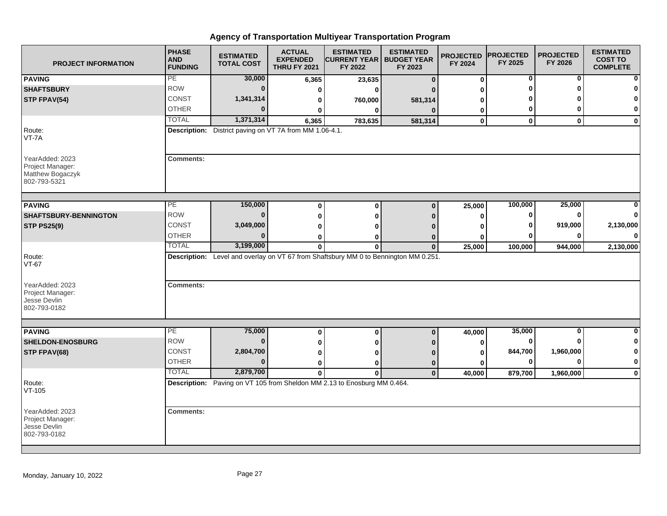| <b>PROJECT INFORMATION</b>                                              | <b>PHASE</b><br><b>AND</b><br><b>FUNDING</b> | <b>ESTIMATED</b><br><b>TOTAL COST</b>                          | <b>ACTUAL</b><br><b>EXPENDED</b><br><b>THRU FY 2021</b> | <b>ESTIMATED</b><br><b>CURRENT YEAR</b>  <br>FY 2022                                 | <b>ESTIMATED</b><br><b>BUDGET YEAR</b><br>FY 2023 | <b>PROJECTED</b><br>FY 2024 | <b>PROJECTED</b><br>FY 2025 | <b>PROJECTED</b><br>FY 2026 | <b>ESTIMATED</b><br><b>COST TO</b><br><b>COMPLETE</b> |
|-------------------------------------------------------------------------|----------------------------------------------|----------------------------------------------------------------|---------------------------------------------------------|--------------------------------------------------------------------------------------|---------------------------------------------------|-----------------------------|-----------------------------|-----------------------------|-------------------------------------------------------|
| <b>PAVING</b>                                                           | PE                                           | 30,000                                                         | 6,365                                                   | 23,635                                                                               | $\Omega$                                          | $\bf{0}$                    | 0                           | 0                           |                                                       |
| <b>SHAFTSBURY</b>                                                       | <b>ROW</b>                                   | $\Omega$                                                       | 0                                                       | ŋ                                                                                    |                                                   | O                           | 0                           | U                           |                                                       |
| STP FPAV(54)                                                            | <b>CONST</b>                                 | 1,341,314                                                      | 0                                                       | 760,000                                                                              | 581,314                                           | 0                           |                             |                             |                                                       |
|                                                                         | <b>OTHER</b>                                 |                                                                |                                                         | <sup>0</sup>                                                                         | n                                                 | 0                           | 0                           | 0                           | $\mathbf 0$                                           |
|                                                                         | <b>TOTAL</b>                                 | 1,371,314                                                      | 6,365                                                   | 783,635                                                                              | 581,314                                           | $\bf{0}$                    | $\mathbf 0$                 | $\mathbf 0$                 | 0                                                     |
| Route:<br>VT-7A                                                         |                                              | <b>Description:</b> District paving on VT 7A from MM 1.06-4.1. |                                                         |                                                                                      |                                                   |                             |                             |                             |                                                       |
| YearAdded: 2023<br>Project Manager:<br>Matthew Bogaczyk<br>802-793-5321 | <b>Comments:</b>                             |                                                                |                                                         |                                                                                      |                                                   |                             |                             |                             |                                                       |
| <b>PAVING</b>                                                           | PE                                           | 150,000                                                        | $\bf{0}$                                                | $\Omega$                                                                             | $\Omega$                                          |                             | 100,000                     | 25,000                      |                                                       |
| <b>SHAFTSBURY-BENNINGTON</b>                                            | <b>ROW</b>                                   | $\bf{0}$                                                       |                                                         |                                                                                      |                                                   | 25,000                      | 0                           | O                           |                                                       |
|                                                                         | CONST                                        | 3,049,000                                                      | $\Omega$                                                | ŋ                                                                                    |                                                   | $\bf{0}$                    | 0                           | 919,000                     | 2,130,000                                             |
| <b>STP PS25(9)</b>                                                      | <b>OTHER</b>                                 | $\Omega$                                                       | O                                                       |                                                                                      |                                                   | ŋ                           | O                           | $\bf{0}$                    | $\Omega$                                              |
|                                                                         | <b>TOTAL</b>                                 | 3,199,000                                                      | 0<br>$\bf{0}$                                           | 0                                                                                    | $\mathbf{0}$                                      | 0<br>25,000                 | 100,000                     | 944,000                     | 2,130,000                                             |
| Route:<br>$VT-67$<br>YearAdded: 2023                                    | <b>Comments:</b>                             |                                                                |                                                         | Description: Level and overlay on VT 67 from Shaftsbury MM 0 to Bennington MM 0.251. |                                                   |                             |                             |                             |                                                       |
| Project Manager:<br>Jesse Devlin<br>802-793-0182                        |                                              |                                                                |                                                         |                                                                                      |                                                   |                             |                             |                             |                                                       |
| <b>PAVING</b>                                                           | PE                                           | 75,000                                                         | $\bf{0}$                                                | $\bf{0}$                                                                             | $\mathbf 0$                                       | 40,000                      | 35,000                      | $\bf{0}$                    | $\bf{0}$                                              |
| <b>SHELDON-ENOSBURG</b>                                                 | <b>ROW</b>                                   | $\bf{0}$                                                       | 0                                                       |                                                                                      |                                                   | 0                           | $\bf{0}$                    | U                           | $\mathbf{0}$                                          |
| STP FPAV(68)                                                            | <b>CONST</b>                                 | 2,804,700                                                      | 0                                                       |                                                                                      |                                                   | 0                           | 844,700                     | 1,960,000                   | 0                                                     |
|                                                                         | <b>OTHER</b>                                 | $\Omega$                                                       | 0                                                       | 0                                                                                    | $\bf{0}$                                          | 0                           | 0                           | $\bf{0}$                    | $\bf{0}$                                              |
|                                                                         | <b>TOTAL</b>                                 | 2,879,700                                                      | $\mathbf{0}$                                            | $\bf{0}$                                                                             | $\mathbf{0}$                                      | 40,000                      | 879,700                     | 1,960,000                   | $\mathbf 0$                                           |
| Route:<br>$VT-105$                                                      |                                              |                                                                |                                                         | Description: Paving on VT 105 from Sheldon MM 2.13 to Enosburg MM 0.464.             |                                                   |                             |                             |                             |                                                       |
| YearAdded: 2023<br>Project Manager:<br>Jesse Devlin<br>802-793-0182     | <b>Comments:</b>                             |                                                                |                                                         |                                                                                      |                                                   |                             |                             |                             |                                                       |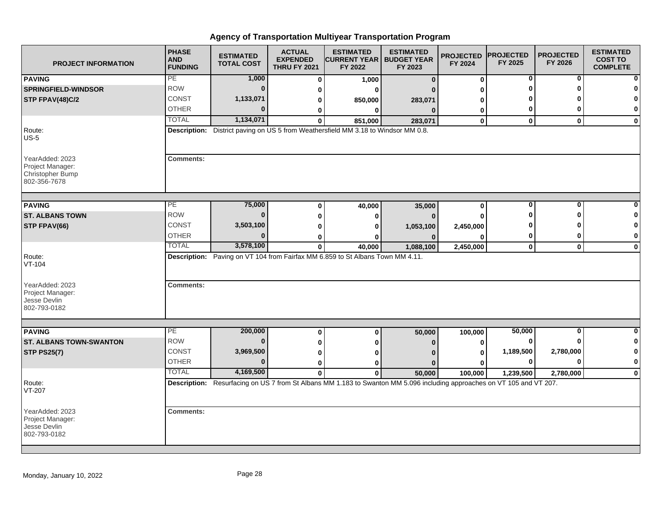| <b>PROJECT INFORMATION</b>                                                     | <b>PHASE</b><br><b>AND</b><br><b>FUNDING</b> | <b>ESTIMATED</b><br><b>TOTAL COST</b> | <b>ACTUAL</b><br><b>EXPENDED</b><br><b>THRU FY 2021</b> | <b>ESTIMATED</b><br><b>CURRENT YEAR   BUDGET YEAR</b><br>FY 2022                                                        | <b>ESTIMATED</b><br>FY 2023 | <b>PROJECTED</b><br>FY 2024 | <b>PROJECTED</b><br>FY 2025 | <b>PROJECTED</b><br>FY 2026 | <b>ESTIMATED</b><br><b>COST TO</b><br><b>COMPLETE</b> |
|--------------------------------------------------------------------------------|----------------------------------------------|---------------------------------------|---------------------------------------------------------|-------------------------------------------------------------------------------------------------------------------------|-----------------------------|-----------------------------|-----------------------------|-----------------------------|-------------------------------------------------------|
| <b>PAVING</b>                                                                  | PE                                           | 1,000                                 | $\bf{0}$                                                | 1,000                                                                                                                   | $\bf{0}$                    | 0                           | 0                           | 0                           |                                                       |
| <b>SPRINGFIELD-WINDSOR</b>                                                     | <b>ROW</b>                                   | $\mathbf{0}$                          | 0                                                       | ŋ                                                                                                                       |                             | U                           | ŋ                           | O                           |                                                       |
| STP FPAV(48)C/2                                                                | <b>CONST</b>                                 | 1,133,071                             | 0                                                       | 850,000                                                                                                                 | 283,071                     | U                           |                             |                             |                                                       |
|                                                                                | <b>OTHER</b>                                 | $\bf{0}$                              | 0                                                       | 0                                                                                                                       | $\Omega$                    | 0                           | 0                           | O                           | 0                                                     |
|                                                                                | <b>TOTAL</b>                                 | 1,134,071                             | $\mathbf{0}$                                            | 851,000                                                                                                                 | 283,071                     | $\mathbf{0}$                | $\mathbf{0}$                | $\mathbf{0}$                | $\mathbf{0}$                                          |
| Route:<br>$US-5$                                                               |                                              |                                       |                                                         | Description: District paving on US 5 from Weathersfield MM 3.18 to Windsor MM 0.8.                                      |                             |                             |                             |                             |                                                       |
| YearAdded: 2023<br>Project Manager:<br><b>Christopher Bump</b><br>802-356-7678 | <b>Comments:</b>                             |                                       |                                                         |                                                                                                                         |                             |                             |                             |                             |                                                       |
| <b>PAVING</b>                                                                  | PE                                           | 75,000                                | $\bf{0}$                                                |                                                                                                                         |                             | 0                           | $\mathbf 0$                 | $\bf{0}$                    |                                                       |
| <b>ST. ALBANS TOWN</b>                                                         | <b>ROW</b>                                   | $\bf{0}$                              |                                                         | 40,000                                                                                                                  | 35,000                      |                             | ŋ                           | ŋ                           | 0                                                     |
|                                                                                | <b>CONST</b>                                 | 3,503,100                             | 0                                                       | 0                                                                                                                       |                             | $\bf{0}$                    |                             |                             | 0                                                     |
| STP FPAV(66)                                                                   | <b>OTHER</b>                                 | $\Omega$                              | 0                                                       | 0                                                                                                                       | 1,053,100                   | 2,450,000                   | 0                           | 0                           | 0                                                     |
|                                                                                | <b>TOTAL</b>                                 | 3,578,100                             | 0<br>$\mathbf 0$                                        | ŋ<br>40,000                                                                                                             | 1,088,100                   | $\bf{0}$<br>2,450,000       | $\mathbf{0}$                | $\mathbf 0$                 | $\bf{0}$                                              |
| Route:<br>VT-104                                                               |                                              |                                       |                                                         | Description: Paving on VT 104 from Fairfax MM 6.859 to St Albans Town MM 4.11.                                          |                             |                             |                             |                             |                                                       |
| YearAdded: 2023<br>Project Manager:<br>Jesse Devlin<br>802-793-0182            | <b>Comments:</b>                             |                                       |                                                         |                                                                                                                         |                             |                             |                             |                             |                                                       |
| <b>PAVING</b>                                                                  | $\overline{PE}$                              | 200,000                               | $\bf{0}$                                                | 0                                                                                                                       | 50,000                      | 100,000                     | 50,000                      | 0                           | ŋ                                                     |
| <b>ST. ALBANS TOWN-SWANTON</b>                                                 | <b>ROW</b>                                   | $\bf{0}$                              | 0                                                       | 0                                                                                                                       | $\bf{0}$                    | 0                           | 0                           |                             | 0                                                     |
| <b>STP PS25(7)</b>                                                             | CONST                                        | 3,969,500                             | 0                                                       | ŋ                                                                                                                       |                             | 0                           | 1,189,500                   | 2,780,000                   | 0                                                     |
|                                                                                | <b>OTHER</b>                                 | $\Omega$                              | 0                                                       | ŋ                                                                                                                       |                             | U                           | 0                           | $\bf{0}$                    | $\pmb{0}$                                             |
|                                                                                | <b>TOTAL</b>                                 | 4,169,500                             | $\mathbf{0}$                                            | $\mathbf{0}$                                                                                                            | 50,000                      | 100,000                     | 1,239,500                   | 2,780,000                   | $\mathbf 0$                                           |
| Route:<br>VT-207                                                               |                                              |                                       |                                                         | Description: Resurfacing on US 7 from St Albans MM 1.183 to Swanton MM 5.096 including approaches on VT 105 and VT 207. |                             |                             |                             |                             |                                                       |
| YearAdded: 2023<br>Project Manager:<br>Jesse Devlin<br>802-793-0182            | <b>Comments:</b>                             |                                       |                                                         |                                                                                                                         |                             |                             |                             |                             |                                                       |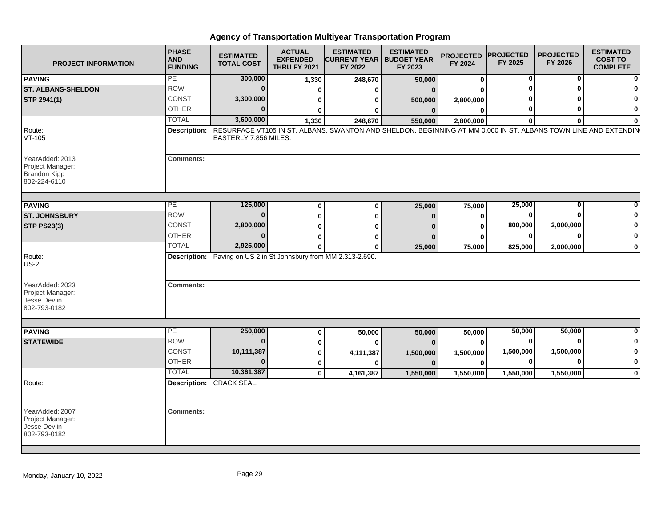| <b>PROJECT INFORMATION</b>                                                 | <b>PHASE</b><br><b>AND</b><br><b>FUNDING</b> | <b>ESTIMATED</b><br><b>TOTAL COST</b>                                                                                                                | <b>ACTUAL</b><br><b>EXPENDED</b><br><b>THRU FY 2021</b> | <b>ESTIMATED</b><br><b>CURRENT YEAR   BUDGET YEAR</b><br>FY 2022 | <b>ESTIMATED</b><br>FY 2023 | <b>PROJECTED</b><br>FY 2024 | <b>PROJECTED</b><br>FY 2025 | <b>PROJECTED</b><br>FY 2026 | <b>ESTIMATED</b><br><b>COST TO</b><br><b>COMPLETE</b> |
|----------------------------------------------------------------------------|----------------------------------------------|------------------------------------------------------------------------------------------------------------------------------------------------------|---------------------------------------------------------|------------------------------------------------------------------|-----------------------------|-----------------------------|-----------------------------|-----------------------------|-------------------------------------------------------|
| <b>PAVING</b>                                                              | PE                                           | 300,000                                                                                                                                              | 1,330                                                   | 248,670                                                          | 50,000                      | 0                           | 0                           | 0                           |                                                       |
| <b>ST. ALBANS-SHELDON</b>                                                  | <b>ROW</b>                                   |                                                                                                                                                      | $\Omega$                                                | 0                                                                | $\bf{0}$                    |                             | 0                           |                             |                                                       |
| STP 2941(1)                                                                | <b>CONST</b>                                 | 3,300,000                                                                                                                                            | $\Omega$                                                |                                                                  | 500,000                     | 2,800,000                   | 0                           |                             |                                                       |
|                                                                            | <b>OTHER</b>                                 |                                                                                                                                                      | O                                                       | n                                                                | $\mathbf{0}$                | $\Omega$                    | 0                           | O                           | 0                                                     |
|                                                                            | <b>TOTAL</b>                                 | 3,600,000                                                                                                                                            | 1,330                                                   | 248,670                                                          | 550,000                     | 2,800,000                   | $\bf{0}$                    | $\Omega$                    |                                                       |
| Route:<br>$VT-105$                                                         |                                              | Description: RESURFACE VT105 IN ST. ALBANS, SWANTON AND SHELDON, BEGINNING AT MM 0.000 IN ST. ALBANS TOWN LINE AND EXTENDIN<br>EASTERLY 7.856 MILES. |                                                         |                                                                  |                             |                             |                             |                             |                                                       |
| YearAdded: 2013<br>Project Manager:<br><b>Brandon Kipp</b><br>802-224-6110 | <b>Comments:</b>                             |                                                                                                                                                      |                                                         |                                                                  |                             |                             |                             |                             |                                                       |
| <b>PAVING</b>                                                              | PE                                           | 125,000                                                                                                                                              | $\bf{0}$                                                | 0                                                                | 25,000                      | 75,000                      | 25,000                      | 0                           |                                                       |
| <b>ST. JOHNSBURY</b>                                                       | <b>ROW</b>                                   |                                                                                                                                                      | $\bf{0}$                                                | 0                                                                | $\bf{0}$                    | 0                           | 0                           |                             |                                                       |
| <b>STP PS23(3)</b>                                                         | <b>CONST</b>                                 | 2,800,000                                                                                                                                            | O                                                       | ŋ                                                                |                             | $\bf{0}$                    | 800,000                     | 2,000,000                   |                                                       |
|                                                                            | <b>OTHER</b>                                 |                                                                                                                                                      | $\bf{0}$                                                | 0                                                                | O                           | 0                           | 0                           | O                           | 0                                                     |
|                                                                            | <b>TOTAL</b>                                 | 2,925,000                                                                                                                                            | $\bf{0}$                                                | $\mathbf 0$                                                      | 25,000                      | 75,000                      | 825,000                     | 2,000,000                   | $\mathbf{0}$                                          |
| Route:<br>$US-2$                                                           |                                              | Description: Paving on US 2 in St Johnsbury from MM 2.313-2.690.                                                                                     |                                                         |                                                                  |                             |                             |                             |                             |                                                       |
| YearAdded: 2023<br>Project Manager:<br>Jesse Devlin<br>802-793-0182        | <b>Comments:</b>                             |                                                                                                                                                      |                                                         |                                                                  |                             |                             |                             |                             |                                                       |
|                                                                            | PE                                           | 250,000                                                                                                                                              |                                                         |                                                                  |                             |                             | 50,000                      | 50,000                      | 0                                                     |
| <b>PAVING</b><br><b>STATEWIDE</b>                                          | <b>ROW</b>                                   |                                                                                                                                                      | 0<br>0                                                  | 50,000<br>$\bf{0}$                                               | 50,000<br>$\bf{0}$          | 50,000<br>$\bf{0}$          | 0                           |                             |                                                       |
|                                                                            | <b>CONST</b>                                 | 10,111,387                                                                                                                                           | 0                                                       |                                                                  |                             |                             | 1,500,000                   | 1,500,000                   | 0                                                     |
|                                                                            | <b>OTHER</b>                                 |                                                                                                                                                      | $\mathbf 0$                                             | 4,111,387<br>0                                                   | 1,500,000<br>$\mathbf{0}$   | 1,500,000<br>$\bf{0}$       | 0                           | O                           | 0                                                     |
|                                                                            | <b>TOTAL</b>                                 | 10,361,387                                                                                                                                           | $\mathbf 0$                                             | 4,161,387                                                        | 1,550,000                   | 1,550,000                   | 1,550,000                   | 1,550,000                   | $\Omega$                                              |
| Route:                                                                     |                                              | Description: CRACK SEAL.                                                                                                                             |                                                         |                                                                  |                             |                             |                             |                             |                                                       |
|                                                                            |                                              |                                                                                                                                                      |                                                         |                                                                  |                             |                             |                             |                             |                                                       |
| YearAdded: 2007<br>Project Manager:<br>Jesse Devlin<br>802-793-0182        | <b>Comments:</b>                             |                                                                                                                                                      |                                                         |                                                                  |                             |                             |                             |                             |                                                       |
|                                                                            |                                              |                                                                                                                                                      |                                                         |                                                                  |                             |                             |                             |                             |                                                       |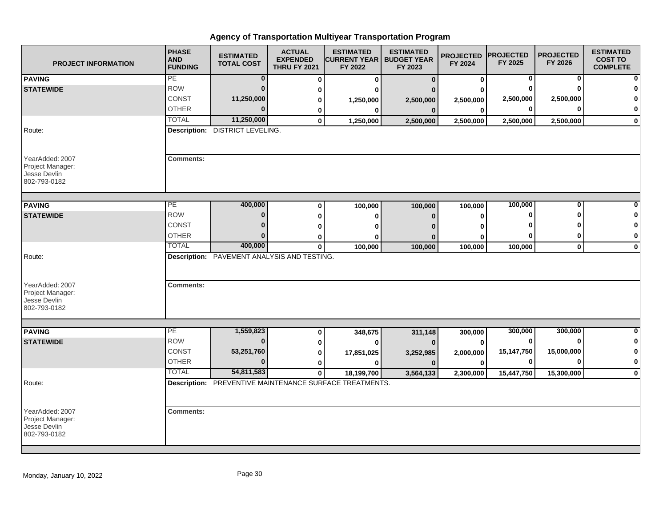| <b>PROJECT INFORMATION</b>                                          | <b>PHASE</b><br><b>AND</b><br><b>FUNDING</b> | <b>ESTIMATED</b><br><b>TOTAL COST</b>       | <b>ACTUAL</b><br><b>EXPENDED</b><br><b>THRU FY 2021</b> | <b>ESTIMATED</b><br><b>CURRENT YEAR   BUDGET YEAR</b><br>FY 2022 | <b>ESTIMATED</b><br>FY 2023 | <b>PROJECTED</b><br>FY 2024 | <b>PROJECTED</b><br>FY 2025 | <b>PROJECTED</b><br>FY 2026 | <b>ESTIMATED</b><br><b>COST TO</b><br><b>COMPLETE</b> |
|---------------------------------------------------------------------|----------------------------------------------|---------------------------------------------|---------------------------------------------------------|------------------------------------------------------------------|-----------------------------|-----------------------------|-----------------------------|-----------------------------|-------------------------------------------------------|
| <b>PAVING</b>                                                       | PE                                           | $\bf{0}$                                    | 0                                                       | $\bf{0}$                                                         | $\mathbf{0}$                | 0                           | 0                           | 0                           | $\mathbf{0}$                                          |
| <b>STATEWIDE</b>                                                    | <b>ROW</b>                                   | $\bf{0}$                                    | 0                                                       | n                                                                |                             |                             |                             |                             | 0                                                     |
|                                                                     | CONST                                        | 11,250,000                                  | 0                                                       | 1,250,000                                                        | 2,500,000                   | 2,500,000                   | 2,500,000                   | 2,500,000                   | $\bf{0}$                                              |
|                                                                     | <b>OTHER</b>                                 | $\Omega$                                    | 0                                                       | 0                                                                | $\bf{0}$                    | 0                           | $\bf{0}$                    |                             | $\mathbf{0}$                                          |
|                                                                     | <b>TOTAL</b>                                 | 11,250,000                                  | $\mathbf{0}$                                            | 1,250,000                                                        | 2,500,000                   | 2,500,000                   | 2,500,000                   | 2,500,000                   | $\mathbf{0}$                                          |
| Route:                                                              |                                              | <b>Description: DISTRICT LEVELING.</b>      |                                                         |                                                                  |                             |                             |                             |                             |                                                       |
| YearAdded: 2007<br>Project Manager:<br>Jesse Devlin<br>802-793-0182 | <b>Comments:</b>                             |                                             |                                                         |                                                                  |                             |                             |                             |                             |                                                       |
| <b>PAVING</b>                                                       | PE                                           | 400,000                                     | 0                                                       | 100,000                                                          | 100,000                     | 100,000                     | 100,000                     | $\Omega$                    | 0                                                     |
| <b>STATEWIDE</b>                                                    | <b>ROW</b>                                   | $\Omega$                                    | 0                                                       | 0                                                                | $\bf{0}$                    | 0                           | ŋ                           |                             | 0                                                     |
|                                                                     | CONST                                        | $\Omega$                                    | 0                                                       | o                                                                | n                           |                             |                             |                             | $\mathbf 0$                                           |
|                                                                     | <b>OTHER</b>                                 | $\Omega$                                    | 0                                                       |                                                                  | 0                           | O                           |                             |                             | $\mathbf{0}$                                          |
|                                                                     | <b>TOTAL</b>                                 | 400,000                                     | $\bf{0}$                                                | 100,000                                                          | 100,000                     | 100,000                     | 100,000                     | $\mathbf{0}$                | $\mathbf{0}$                                          |
| Route:<br>YearAdded: 2007<br>Project Manager:                       | <b>Comments:</b>                             | Description: PAVEMENT ANALYSIS AND TESTING. |                                                         |                                                                  |                             |                             |                             |                             |                                                       |
| Jesse Devlin<br>802-793-0182                                        |                                              |                                             |                                                         |                                                                  |                             |                             |                             |                             |                                                       |
| <b>PAVING</b>                                                       | PE                                           | 1,559,823                                   | 0                                                       | 348,675                                                          | 311,148                     | 300,000                     | 300,000                     | 300,000                     | $\mathbf{0}$                                          |
| <b>STATEWIDE</b>                                                    | <b>ROW</b>                                   | $\bf{0}$                                    | 0                                                       | $\bf{0}$                                                         | $\bf{0}$                    | O                           | 0                           | ŋ                           | $\mathbf{0}$                                          |
|                                                                     | <b>CONST</b>                                 | 53,251,760                                  | 0                                                       | 17,851,025                                                       | 3,252,985                   | 2,000,000                   | 15,147,750                  | 15,000,000                  | $\mathbf{0}$                                          |
|                                                                     | <b>OTHER</b>                                 | $\Omega$                                    | 0                                                       | 0                                                                | $\bf{0}$                    | ŋ                           | $\bf{0}$                    |                             | $\mathbf{0}$                                          |
|                                                                     | <b>TOTAL</b>                                 | 54,811,583                                  | $\mathbf 0$                                             | 18,199,700                                                       | 3,564,133                   | 2,300,000                   | 15,447,750                  | 15,300,000                  | $\mathbf{0}$                                          |
| Route:                                                              |                                              |                                             |                                                         | <b>Description:</b> PREVENTIVE MAINTENANCE SURFACE TREATMENTS.   |                             |                             |                             |                             |                                                       |
| YearAdded: 2007<br>Project Manager:<br>Jesse Devlin<br>802-793-0182 | <b>Comments:</b>                             |                                             |                                                         |                                                                  |                             |                             |                             |                             |                                                       |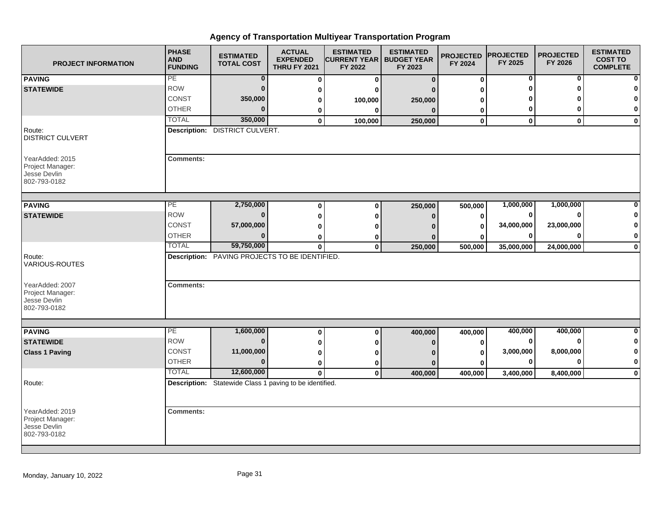| <b>PROJECT INFORMATION</b>                                          | <b>PHASE</b><br><b>AND</b><br><b>FUNDING</b> | <b>ESTIMATED</b><br><b>TOTAL COST</b>                   | <b>ACTUAL</b><br><b>EXPENDED</b><br><b>THRU FY 2021</b> | <b>ESTIMATED</b><br><b>CURRENT YEAR   BUDGET YEAR</b><br>FY 2022 | <b>ESTIMATED</b><br>FY 2023 | <b>PROJECTED</b><br>FY 2024 | <b>PROJECTED</b><br>FY 2025 | <b>PROJECTED</b><br>FY 2026 | <b>ESTIMATED</b><br><b>COST TO</b><br><b>COMPLETE</b> |
|---------------------------------------------------------------------|----------------------------------------------|---------------------------------------------------------|---------------------------------------------------------|------------------------------------------------------------------|-----------------------------|-----------------------------|-----------------------------|-----------------------------|-------------------------------------------------------|
| <b>PAVING</b>                                                       | PE                                           | $\bf{0}$                                                | $\bf{0}$                                                | $\bf{0}$                                                         | $\bf{0}$                    | $\mathbf 0$                 | 0                           | 0                           | $\bf{0}$                                              |
| <b>STATEWIDE</b>                                                    | <b>ROW</b>                                   | $\mathbf 0$                                             | 0                                                       | ŋ                                                                |                             | ŋ                           | Λ                           |                             | 0                                                     |
|                                                                     | CONST                                        | 350,000                                                 | 0                                                       | 100,000                                                          | 250,000                     |                             |                             |                             | $\mathbf{0}$                                          |
|                                                                     | <b>OTHER</b>                                 | $\Omega$                                                | 0                                                       | 0                                                                | $\mathbf{0}$                | 0                           | 0                           |                             | $\mathbf{0}$                                          |
|                                                                     | <b>TOTAL</b>                                 | 350,000                                                 | $\mathbf 0$                                             | 100,000                                                          | 250,000                     | $\mathbf 0$                 | $\mathbf 0$                 | $\mathbf{0}$                | $\mathbf{0}$                                          |
| Route:<br><b>DISTRICT CULVERT</b>                                   |                                              | <b>Description: DISTRICT CULVERT.</b>                   |                                                         |                                                                  |                             |                             |                             |                             |                                                       |
| YearAdded: 2015<br>Project Manager:<br>Jesse Devlin<br>802-793-0182 | <b>Comments:</b>                             |                                                         |                                                         |                                                                  |                             |                             |                             |                             |                                                       |
| <b>PAVING</b>                                                       | PE                                           | 2,750,000                                               | 0                                                       | $\Omega$                                                         | 250,000                     | 500,000                     | 1,000,000                   | 1,000,000                   | 0                                                     |
| <b>STATEWIDE</b>                                                    | <b>ROW</b>                                   | $\bf{0}$                                                | 0                                                       | $\bf{0}$                                                         | $\bf{0}$                    | $\mathbf{0}$                | 0                           |                             | 0                                                     |
|                                                                     | CONST                                        | 57,000,000                                              | 0                                                       |                                                                  | n                           | $\mathbf{0}$                | 34,000,000                  | 23,000,000                  | 0                                                     |
|                                                                     | <b>OTHER</b>                                 | $\mathbf{0}$                                            |                                                         |                                                                  |                             |                             | $\bf{0}$                    |                             | $\mathbf{0}$                                          |
|                                                                     | <b>TOTAL</b>                                 | 59,750,000                                              | 0<br>$\bf{0}$                                           | 0<br>$\bf{0}$                                                    | 0<br>250,000                | 0<br>500,000                | 35,000,000                  | 24,000,000                  | $\mathbf{0}$                                          |
| Route:<br>VARIOUS-ROUTES                                            |                                              | Description: PAVING PROJECTS TO BE IDENTIFIED.          |                                                         |                                                                  |                             |                             |                             |                             |                                                       |
| YearAdded: 2007<br>Project Manager:<br>Jesse Devlin<br>802-793-0182 | <b>Comments:</b>                             |                                                         |                                                         |                                                                  |                             |                             |                             |                             |                                                       |
|                                                                     | $\overline{PE}$                              | 1,600,000                                               |                                                         |                                                                  |                             |                             | 400,000                     | 400,000                     | $\mathbf{0}$                                          |
| <b>PAVING</b><br><b>STATEWIDE</b>                                   | <b>ROW</b>                                   | $\mathbf 0$                                             | 0                                                       | $\mathbf 0$                                                      | 400,000                     | 400,000                     | 0                           | ∩                           | $\mathbf{0}$                                          |
| <b>Class 1 Paving</b>                                               | <b>CONST</b>                                 | 11,000,000                                              | 0                                                       | 0                                                                | $\Omega$                    | 0                           | 3,000,000                   | 8,000,000                   | $\mathbf{0}$                                          |
|                                                                     | <b>OTHER</b>                                 | $\bf{0}$                                                | 0<br>$\bf{0}$                                           |                                                                  |                             | 0<br>O                      | $\bf{0}$                    |                             | $\mathbf{0}$                                          |
|                                                                     | <b>TOTAL</b>                                 | 12,600,000                                              | $\mathbf{0}$                                            | 0<br>$\bf{0}$                                                    | $\bf{0}$<br>400,000         | 400,000                     | 3,400,000                   | 8,400,000                   | $\mathbf{0}$                                          |
| Route:                                                              |                                              | Description: Statewide Class 1 paving to be identified. |                                                         |                                                                  |                             |                             |                             |                             |                                                       |
|                                                                     |                                              |                                                         |                                                         |                                                                  |                             |                             |                             |                             |                                                       |
| YearAdded: 2019<br>Project Manager:<br>Jesse Devlin<br>802-793-0182 | <b>Comments:</b>                             |                                                         |                                                         |                                                                  |                             |                             |                             |                             |                                                       |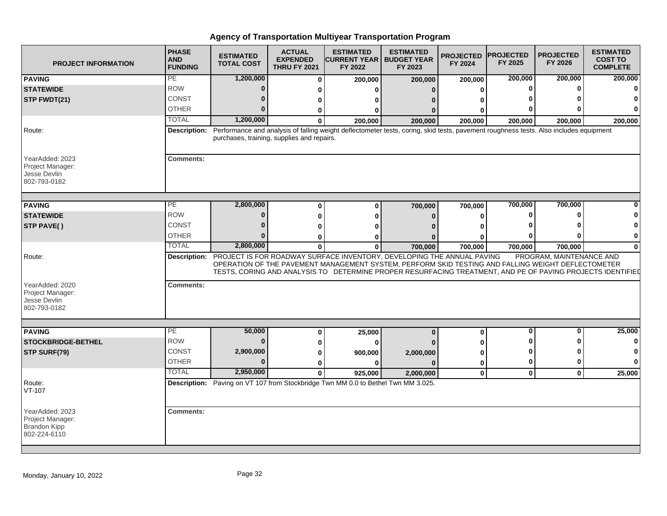| <b>PROJECT INFORMATION</b>                                                 | <b>PHASE</b><br><b>AND</b><br><b>FUNDING</b> | <b>ESTIMATED</b><br><b>TOTAL COST</b>      | <b>ACTUAL</b><br><b>EXPENDED</b><br><b>THRU FY 2021</b> | <b>ESTIMATED</b><br><b>CURRENT YEAR  </b><br>FY 2022                                                                                                                                                                                                                                                    | <b>ESTIMATED</b><br><b>BUDGET YEAR</b><br>FY 2023 | <b>PROJECTED PROJECTED</b><br>FY 2024 | FY 2025  | <b>PROJECTED</b><br>FY 2026 | <b>ESTIMATED</b><br><b>COST TO</b><br><b>COMPLETE</b> |
|----------------------------------------------------------------------------|----------------------------------------------|--------------------------------------------|---------------------------------------------------------|---------------------------------------------------------------------------------------------------------------------------------------------------------------------------------------------------------------------------------------------------------------------------------------------------------|---------------------------------------------------|---------------------------------------|----------|-----------------------------|-------------------------------------------------------|
| <b>PAVING</b>                                                              | PE                                           | 1,200,000                                  | O                                                       | 200,000                                                                                                                                                                                                                                                                                                 | 200,000                                           | 200,000                               | 200,000  | 200,000                     | 200,000                                               |
| <b>STATEWIDE</b>                                                           | <b>ROW</b>                                   | 0                                          |                                                         |                                                                                                                                                                                                                                                                                                         | $\Omega$                                          |                                       | n        | $\bf{0}$                    |                                                       |
| STP FWDT(21)                                                               | CONST                                        | 0                                          |                                                         |                                                                                                                                                                                                                                                                                                         |                                                   |                                       |          |                             |                                                       |
|                                                                            | <b>OTHER</b>                                 | U                                          |                                                         |                                                                                                                                                                                                                                                                                                         |                                                   |                                       |          | ŋ                           |                                                       |
|                                                                            | <b>TOTAL</b>                                 | 1,200,000                                  |                                                         | 200.000                                                                                                                                                                                                                                                                                                 | 200,000                                           | 200,000                               | 200,000  | 200,000                     | 200,000                                               |
| Route:                                                                     |                                              | purchases, training, supplies and repairs. |                                                         | Description: Performance and analysis of falling weight deflectometer tests, coring, skid tests, pavement roughness tests. Also includes equipment                                                                                                                                                      |                                                   |                                       |          |                             |                                                       |
| YearAdded: 2023<br>Project Manager:<br>Jesse Devlin<br>802-793-0182        | <b>Comments:</b>                             |                                            |                                                         |                                                                                                                                                                                                                                                                                                         |                                                   |                                       |          |                             |                                                       |
| <b>PAVING</b>                                                              | PЕ                                           | 2,800,000                                  |                                                         | $\mathbf{0}$                                                                                                                                                                                                                                                                                            | 700,000                                           | 700,000                               | 700,000  | 700,000                     |                                                       |
| <b>STATEWIDE</b>                                                           | <b>ROW</b>                                   | 0                                          |                                                         |                                                                                                                                                                                                                                                                                                         | $\Omega$                                          |                                       |          | 0                           |                                                       |
| STP PAVE()                                                                 | <b>CONST</b>                                 | U                                          |                                                         |                                                                                                                                                                                                                                                                                                         |                                                   |                                       |          | Λ                           |                                                       |
|                                                                            | <b>OTHER</b>                                 | U                                          |                                                         |                                                                                                                                                                                                                                                                                                         | ŋ                                                 |                                       |          | ŋ                           | 0                                                     |
|                                                                            | <b>TOTAL</b>                                 | 2,800,000                                  | 0                                                       | $\mathbf 0$                                                                                                                                                                                                                                                                                             | 700,000                                           | 700,000                               | 700,000  | 700,000                     | 0                                                     |
| Route:                                                                     |                                              |                                            |                                                         | Description: PROJECT IS FOR ROADWAY SURFACE INVENTORY, DEVELOPING THE ANNUAL PAVING<br>OPERATION OF THE PAVEMENT MANAGEMENT SYSTEM, PERFORM SKID TESTING AND FALLING WEIGHT DEFLECTOMETER<br>TESTS, CORING AND ANALYSIS TO DETERMINE PROPER RESURFACING TREATMENT, AND PE OF PAVING PROJECTS IDENTIFIED |                                                   |                                       |          | PROGRAM, MAINTENANCE AND    |                                                       |
| YearAdded: 2020<br>Project Manager:<br>Jesse Devlin<br>802-793-0182        | <b>Comments:</b>                             |                                            |                                                         |                                                                                                                                                                                                                                                                                                         |                                                   |                                       |          |                             |                                                       |
|                                                                            | $\overline{PE}$                              | 50,000                                     |                                                         |                                                                                                                                                                                                                                                                                                         |                                                   |                                       | ŋ        | 0                           | 25,000                                                |
| <b>PAVING</b><br><b>STOCKBRIDGE-BETHEL</b>                                 | <b>ROW</b>                                   | $\bf{0}$                                   | O                                                       | 25,000                                                                                                                                                                                                                                                                                                  | $\bf{0}$                                          | $\bf{0}$                              |          | 0                           |                                                       |
| STP SURF(79)                                                               | CONST                                        | 2,900,000                                  |                                                         | -0                                                                                                                                                                                                                                                                                                      |                                                   |                                       |          | 0                           |                                                       |
|                                                                            | <b>OTHER</b>                                 | $\mathbf{0}$                               |                                                         | 900,000<br>n                                                                                                                                                                                                                                                                                            | 2,000,000<br>$\Omega$                             | 0                                     | O        | $\bf{0}$                    |                                                       |
|                                                                            | <b>TOTAL</b>                                 | 2,950,000                                  | 0                                                       | 925,000                                                                                                                                                                                                                                                                                                 | 2,000,000                                         | $\mathbf 0$                           | $\bf{0}$ | $\mathbf 0$                 | 25,000                                                |
| Route:<br>VT-107                                                           |                                              |                                            |                                                         | Description: Paving on VT 107 from Stockbridge Twn MM 0.0 to Bethel Twn MM 3.025.                                                                                                                                                                                                                       |                                                   |                                       |          |                             |                                                       |
| YearAdded: 2023<br>Project Manager:<br><b>Brandon Kipp</b><br>802-224-6110 | <b>Comments:</b>                             |                                            |                                                         |                                                                                                                                                                                                                                                                                                         |                                                   |                                       |          |                             |                                                       |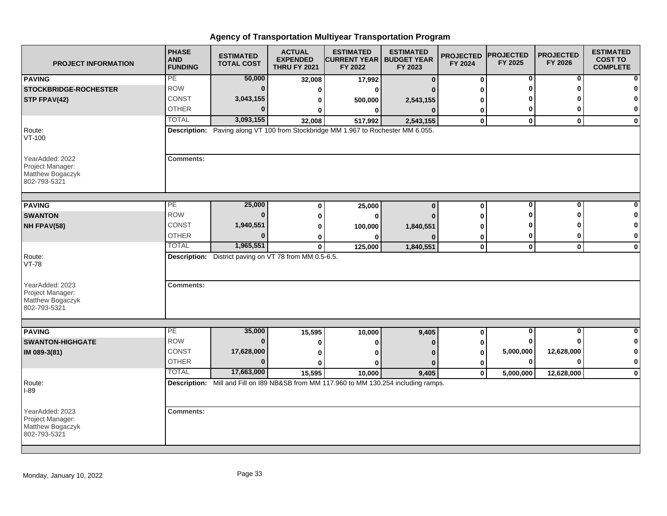| <b>PROJECT INFORMATION</b>                                              | <b>PHASE</b><br><b>AND</b><br><b>FUNDING</b> | <b>ESTIMATED</b><br><b>TOTAL COST</b>                  | <b>ACTUAL</b><br><b>EXPENDED</b><br><b>THRU FY 2021</b> | <b>ESTIMATED</b><br><b>CURRENT YEAR   BUDGET YEAR</b><br>FY 2022                       | <b>ESTIMATED</b><br>FY 2023 | <b>PROJECTED</b><br>FY 2024 | <b>PROJECTED</b><br>FY 2025 | <b>PROJECTED</b><br>FY 2026 | <b>ESTIMATED</b><br><b>COST TO</b><br><b>COMPLETE</b> |
|-------------------------------------------------------------------------|----------------------------------------------|--------------------------------------------------------|---------------------------------------------------------|----------------------------------------------------------------------------------------|-----------------------------|-----------------------------|-----------------------------|-----------------------------|-------------------------------------------------------|
| <b>PAVING</b>                                                           | PE                                           | 50,000                                                 | 32,008                                                  | 17,992                                                                                 | $\Omega$                    | 0                           | 0                           | 0                           | $\mathbf{0}$                                          |
| <b>STOCKBRIDGE-ROCHESTER</b>                                            | <b>ROW</b>                                   | $\bf{0}$                                               | O                                                       |                                                                                        |                             |                             |                             |                             | $\mathbf{0}$                                          |
| STP FPAV(42)                                                            | <b>CONST</b>                                 | 3,043,155                                              |                                                         | 500,000                                                                                | 2,543,155                   |                             |                             |                             | $\mathbf{0}$                                          |
|                                                                         | <b>OTHER</b>                                 | $\Omega$                                               |                                                         | ŋ                                                                                      |                             | 0                           | 0                           |                             | $\mathbf{0}$                                          |
|                                                                         | <b>TOTAL</b>                                 | 3,093,155                                              | 32,008                                                  | 517,992                                                                                | 2,543,155                   | 0                           | $\mathbf 0$                 | $\mathbf{0}$                | $\mathbf{0}$                                          |
| Route:<br>VT-100                                                        |                                              |                                                        |                                                         | Description: Paving along VT 100 from Stockbridge MM 1.967 to Rochester MM 6.055.      |                             |                             |                             |                             |                                                       |
| YearAdded: 2022<br>Project Manager:<br>Matthew Bogaczyk<br>802-793-5321 | <b>Comments:</b>                             |                                                        |                                                         |                                                                                        |                             |                             |                             |                             |                                                       |
| <b>PAVING</b>                                                           | PE                                           | 25,000                                                 | $\bf{0}$                                                | 25,000                                                                                 | $\Omega$                    | $\mathbf 0$                 | 0                           | $\Omega$                    |                                                       |
| <b>SWANTON</b>                                                          | <b>ROW</b>                                   | $\bf{0}$                                               | Ω                                                       |                                                                                        |                             |                             |                             |                             | $\bf{0}$                                              |
| NH FPAV(58)                                                             | CONST                                        | 1,940,551                                              | ŋ                                                       |                                                                                        |                             |                             |                             |                             | $\mathbf{0}$                                          |
|                                                                         | <b>OTHER</b>                                 | $\Omega$                                               |                                                         | 100,000                                                                                | 1,840,551                   |                             | 0                           |                             | $\mathbf{0}$                                          |
|                                                                         | <b>TOTAL</b>                                 | 1,965,551                                              | 0<br>$\bf{0}$                                           | 125,000                                                                                | 1,840,551                   | 0<br>$\mathbf 0$            | $\mathbf 0$                 | $\mathbf 0$                 | $\mathbf{0}$                                          |
| Route:<br><b>VT-78</b>                                                  |                                              | Description: District paving on VT 78 from MM 0.5-6.5. |                                                         |                                                                                        |                             |                             |                             |                             |                                                       |
| YearAdded: 2023<br>Project Manager:<br>Matthew Bogaczyk<br>802-793-5321 | <b>Comments:</b>                             |                                                        |                                                         |                                                                                        |                             |                             |                             |                             |                                                       |
|                                                                         |                                              |                                                        |                                                         |                                                                                        |                             |                             |                             |                             |                                                       |
| <b>PAVING</b>                                                           | PE<br><b>ROW</b>                             | 35,000<br>$\bf{0}$                                     | 15,595                                                  | 10,000                                                                                 | 9,405                       | 0                           | $\bf{0}$                    | $\bf{0}$                    | $\mathbf{0}$                                          |
| <b>SWANTON-HIGHGATE</b>                                                 |                                              |                                                        | Ω                                                       |                                                                                        |                             |                             |                             |                             | $\mathbf{0}$                                          |
| IM 089-3(81)                                                            | <b>CONST</b>                                 | 17,628,000                                             | 0                                                       |                                                                                        |                             | 0                           | 5,000,000                   | 12,628,000                  | $\mathbf{0}$                                          |
|                                                                         | <b>OTHER</b>                                 | $\Omega$                                               |                                                         |                                                                                        | $\Omega$                    | 0                           | 0                           |                             | $\mathbf{0}$                                          |
|                                                                         | <b>TOTAL</b>                                 | 17,663,000                                             | 15,595                                                  | 10,000                                                                                 | 9,405                       | $\mathbf{0}$                | 5,000,000                   | 12,628,000                  | $\mathbf{0}$                                          |
| Route:<br>$I-89$                                                        |                                              |                                                        |                                                         | Description: Mill and Fill on 189 NB&SB from MM 117.960 to MM 130.254 including ramps. |                             |                             |                             |                             |                                                       |
| YearAdded: 2023<br>Project Manager:<br>Matthew Bogaczyk<br>802-793-5321 | <b>Comments:</b>                             |                                                        |                                                         |                                                                                        |                             |                             |                             |                             |                                                       |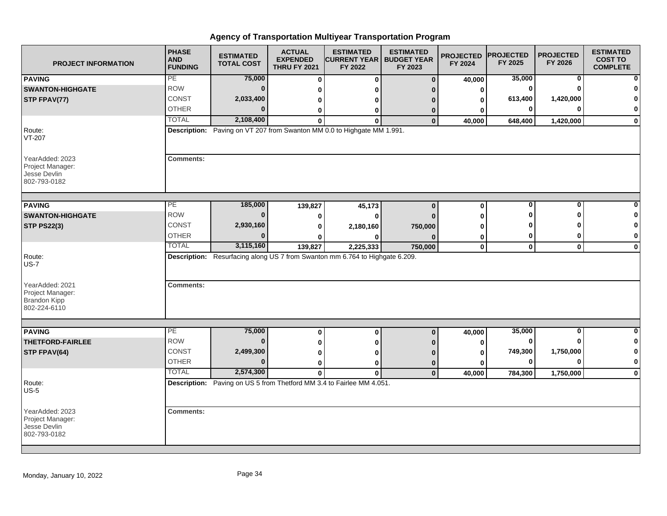| <b>PROJECT INFORMATION</b>                                                 | <b>PHASE</b><br><b>AND</b><br><b>FUNDING</b> | <b>ESTIMATED</b><br><b>TOTAL COST</b> | <b>ACTUAL</b><br><b>EXPENDED</b><br><b>THRU FY 2021</b> | <b>ESTIMATED</b><br><b>CURRENT YEAR   BUDGET YEAR</b><br>FY 2022             | <b>ESTIMATED</b><br>FY 2023 | <b>PROJECTED</b><br>FY 2024 | <b>PROJECTED</b><br>FY 2025 | <b>PROJECTED</b><br>FY 2026 | <b>ESTIMATED</b><br><b>COST TO</b><br><b>COMPLETE</b> |
|----------------------------------------------------------------------------|----------------------------------------------|---------------------------------------|---------------------------------------------------------|------------------------------------------------------------------------------|-----------------------------|-----------------------------|-----------------------------|-----------------------------|-------------------------------------------------------|
| <b>PAVING</b>                                                              | PE                                           | 75,000                                | 0                                                       | 0                                                                            | $\mathbf{0}$                | 40,000                      | 35,000                      | 0                           | $\mathbf{0}$                                          |
| <b>SWANTON-HIGHGATE</b>                                                    | <b>ROW</b>                                   | $\Omega$                              | 0                                                       |                                                                              |                             | 0                           | $\bf{0}$                    |                             | $\bf{0}$                                              |
| STP FPAV(77)                                                               | CONST                                        | 2,033,400                             | 0                                                       |                                                                              |                             | o                           | 613,400                     | 1,420,000                   | $\bf{0}$                                              |
|                                                                            | <b>OTHER</b>                                 |                                       | 0                                                       | 0                                                                            | 0                           | ŋ                           | $\bf{0}$                    |                             | $\mathbf{0}$                                          |
|                                                                            | <b>TOTAL</b>                                 | 2,108,400                             | O                                                       | $\Omega$                                                                     | $\mathbf 0$                 | 40,000                      | 648,400                     | 1,420,000                   | $\mathbf{0}$                                          |
| Route:<br>VT-207                                                           |                                              |                                       |                                                         | Description: Paving on VT 207 from Swanton MM 0.0 to Highgate MM 1.991.      |                             |                             |                             |                             |                                                       |
| YearAdded: 2023<br>Project Manager:<br>Jesse Devlin<br>802-793-0182        | <b>Comments:</b>                             |                                       |                                                         |                                                                              |                             |                             |                             |                             |                                                       |
| <b>PAVING</b>                                                              | PE                                           | 185,000                               | 139,827                                                 | 45,173                                                                       | $\bf{0}$                    | $\bf{0}$                    | 0                           | $\Omega$                    | 0                                                     |
| <b>SWANTON-HIGHGATE</b>                                                    | <b>ROW</b>                                   | $\Omega$                              | 0                                                       | O                                                                            |                             | n                           |                             |                             | $\mathbf 0$                                           |
| <b>STP PS22(3)</b>                                                         | CONST                                        | 2,930,160                             | 0                                                       | 2,180,160                                                                    | 750,000                     |                             |                             |                             | 0                                                     |
|                                                                            | <b>OTHER</b>                                 | n                                     | 0                                                       |                                                                              |                             | 0                           | 0                           |                             | $\mathbf{0}$                                          |
|                                                                            | <b>TOTAL</b>                                 | 3,115,160                             | 139,827                                                 | 2,225,333                                                                    | 750,000                     | $\mathbf 0$                 | $\mathbf 0$                 | $\mathbf{0}$                | $\mathbf{0}$                                          |
| Route:<br><b>US-7</b>                                                      |                                              |                                       |                                                         | Description: Resurfacing along US 7 from Swanton mm 6.764 to Highgate 6.209. |                             |                             |                             |                             |                                                       |
| YearAdded: 2021<br>Project Manager:<br><b>Brandon Kipp</b><br>802-224-6110 | <b>Comments:</b>                             |                                       |                                                         |                                                                              |                             |                             |                             |                             |                                                       |
|                                                                            |                                              |                                       |                                                         |                                                                              |                             |                             |                             |                             |                                                       |
| <b>PAVING</b>                                                              | PE<br><b>ROW</b>                             | 75,000<br>$\bf{0}$                    | 0                                                       | $\bf{0}$                                                                     | $\bf{0}$                    | 40,000                      | 35,000<br>$\bf{0}$          | 0                           | $\mathbf{0}$                                          |
| <b>THETFORD-FAIRLEE</b>                                                    |                                              |                                       | 0                                                       |                                                                              |                             | 0                           |                             |                             | $\mathbf{0}$                                          |
| STP FPAV(64)                                                               | <b>CONST</b>                                 | 2,499,300                             | 0                                                       |                                                                              |                             |                             | 749,300                     | 1,750,000                   | $\mathbf{0}$                                          |
|                                                                            | <b>OTHER</b>                                 | $\Omega$                              | 0                                                       | ŋ                                                                            | 0                           | O                           | $\bf{0}$                    |                             | $\mathbf{0}$                                          |
|                                                                            | <b>TOTAL</b>                                 | 2,574,300                             | $\bf{0}$                                                | $\bf{0}$                                                                     | $\mathbf{0}$                | 40,000                      | 784,300                     | 1,750,000                   | $\mathbf{0}$                                          |
| Route:<br>$US-5$                                                           |                                              |                                       |                                                         | Description: Paving on US 5 from Thetford MM 3.4 to Fairlee MM 4.051.        |                             |                             |                             |                             |                                                       |
| YearAdded: 2023<br>Project Manager:<br>Jesse Devlin<br>802-793-0182        | <b>Comments:</b>                             |                                       |                                                         |                                                                              |                             |                             |                             |                             |                                                       |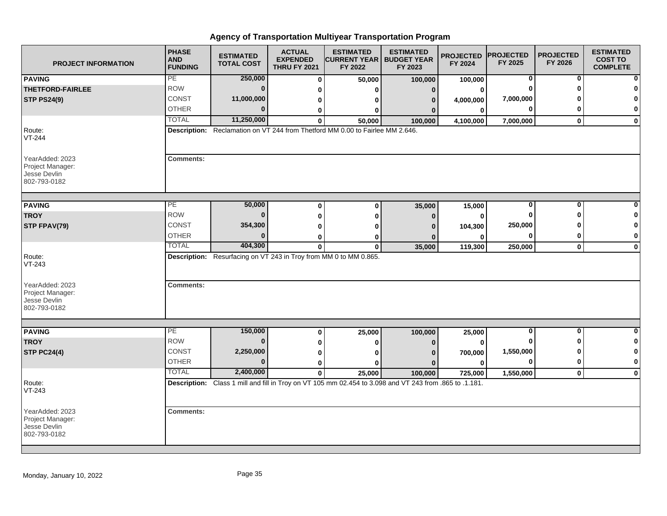| <b>PROJECT INFORMATION</b>                                          | <b>PHASE</b><br><b>AND</b><br><b>FUNDING</b> | <b>ESTIMATED</b><br><b>TOTAL COST</b>                             | <b>ACTUAL</b><br><b>EXPENDED</b><br><b>THRU FY 2021</b> | <b>ESTIMATED</b><br><b>CURRENT YEAR   BUDGET YEAR</b><br>FY 2022                                                  | <b>ESTIMATED</b><br>FY 2023 | <b>PROJECTED</b><br>FY 2024 | <b>PROJECTED</b><br>FY 2025 | <b>PROJECTED</b><br>FY 2026 | <b>ESTIMATED</b><br><b>COST TO</b><br><b>COMPLETE</b> |
|---------------------------------------------------------------------|----------------------------------------------|-------------------------------------------------------------------|---------------------------------------------------------|-------------------------------------------------------------------------------------------------------------------|-----------------------------|-----------------------------|-----------------------------|-----------------------------|-------------------------------------------------------|
| <b>PAVING</b>                                                       | PE                                           | 250,000                                                           | $\bf{0}$                                                | 50,000                                                                                                            | 100,000                     | 100,000                     | 0                           | 0                           |                                                       |
| <b>THETFORD-FAIRLEE</b>                                             | <b>ROW</b>                                   | $\bf{0}$                                                          | 0                                                       | U                                                                                                                 | $\mathbf{0}$                | 0                           | O                           | O                           |                                                       |
| <b>STP PS24(9)</b>                                                  | CONST                                        | 11,000,000                                                        | 0                                                       | 0                                                                                                                 | 0                           | 4,000,000                   | 7,000,000                   |                             | 0                                                     |
|                                                                     | <b>OTHER</b>                                 | $\bf{0}$                                                          | 0                                                       | $\bf{0}$                                                                                                          |                             | $\bf{0}$                    | 0                           | 0                           | 0                                                     |
|                                                                     | <b>TOTAL</b>                                 | 11,250,000                                                        | $\bf{0}$                                                | 50,000                                                                                                            | 100,000                     | 4,100,000                   | 7,000,000                   | $\mathbf{0}$                | $\mathbf{0}$                                          |
| Route:<br>VT-244                                                    |                                              |                                                                   |                                                         | Description: Reclamation on VT 244 from Thetford MM 0.00 to Fairlee MM 2.646.                                     |                             |                             |                             |                             |                                                       |
| YearAdded: 2023<br>Project Manager:<br>Jesse Devlin<br>802-793-0182 | <b>Comments:</b>                             |                                                                   |                                                         |                                                                                                                   |                             |                             |                             |                             |                                                       |
| <b>PAVING</b>                                                       | PE                                           | 50,000                                                            |                                                         | $\bf{0}$                                                                                                          |                             |                             | 0                           | 0                           |                                                       |
| <b>TROY</b>                                                         | <b>ROW</b>                                   | $\bf{0}$                                                          | $\bf{0}$                                                |                                                                                                                   | 35,000                      | 15,000                      | 0                           | ∩                           | 0                                                     |
| STP FPAV(79)                                                        | <b>CONST</b>                                 | 354,300                                                           | $\bf{0}$                                                | $\bf{0}$                                                                                                          | $\Omega$                    | $\bf{0}$                    | 250,000                     |                             | 0                                                     |
|                                                                     | <b>OTHER</b>                                 | $\bf{0}$                                                          | 0                                                       | 0                                                                                                                 |                             | 104,300                     | 0                           | 0                           | 0                                                     |
|                                                                     | <b>TOTAL</b>                                 | 404,300                                                           | $\bf{0}$<br>$\bf{0}$                                    | 0<br>$\bf{0}$                                                                                                     | 35,000                      | $\bf{0}$<br>119,300         | 250,000                     | $\mathbf 0$                 | $\mathbf 0$                                           |
| Route:<br>$VT-243$                                                  |                                              | Description: Resurfacing on VT 243 in Troy from MM 0 to MM 0.865. |                                                         |                                                                                                                   |                             |                             |                             |                             |                                                       |
| YearAdded: 2023<br>Project Manager:<br>Jesse Devlin<br>802-793-0182 | <b>Comments:</b>                             |                                                                   |                                                         |                                                                                                                   |                             |                             |                             |                             |                                                       |
|                                                                     | PE                                           | 150,000                                                           |                                                         |                                                                                                                   |                             |                             | 0                           | 0                           | ŋ                                                     |
| <b>PAVING</b><br><b>TROY</b>                                        | <b>ROW</b>                                   | $\bf{0}$                                                          | 0                                                       | 25,000                                                                                                            | 100,000                     | 25,000                      |                             |                             | 0                                                     |
| <b>STP PC24(4)</b>                                                  | <b>CONST</b>                                 | 2,250,000                                                         | 0                                                       | 0                                                                                                                 | $\Omega$                    | $\bf{0}$                    | 1,550,000                   | ŋ                           | 0                                                     |
|                                                                     | <b>OTHER</b>                                 | $\bf{0}$                                                          | 0                                                       | 0                                                                                                                 |                             | 700,000                     | $\bf{0}$                    | 0                           | $\bf{0}$                                              |
|                                                                     | <b>TOTAL</b>                                 | 2,400,000                                                         | $\bf{0}$                                                | U                                                                                                                 |                             | $\bf{0}$                    |                             |                             |                                                       |
|                                                                     |                                              |                                                                   | $\mathbf{0}$                                            | 25,000<br>Description: Class 1 mill and fill in Troy on VT 105 mm 02.454 to 3.098 and VT 243 from .865 to .1.181. | 100,000                     | 725,000                     | 1,550,000                   | $\mathbf{0}$                | $\mathbf 0$                                           |
| Route:<br>$VT-243$                                                  |                                              |                                                                   |                                                         |                                                                                                                   |                             |                             |                             |                             |                                                       |
| YearAdded: 2023<br>Project Manager:<br>Jesse Devlin<br>802-793-0182 | <b>Comments:</b>                             |                                                                   |                                                         |                                                                                                                   |                             |                             |                             |                             |                                                       |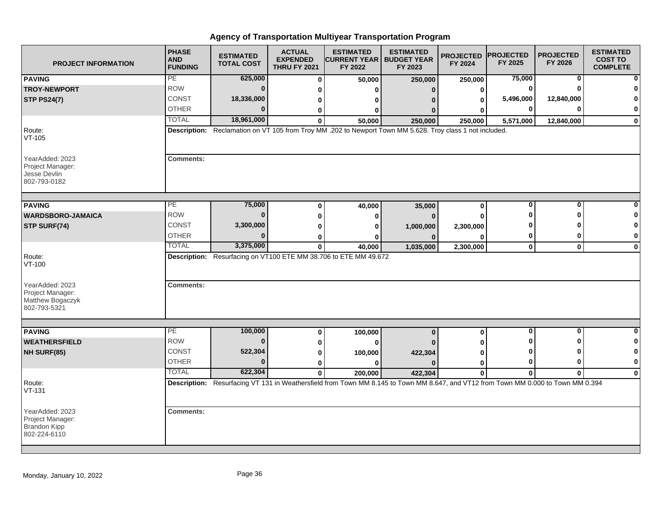| <b>PROJECT INFORMATION</b>                                                 | <b>PHASE</b><br><b>AND</b><br><b>FUNDING</b> | <b>ESTIMATED</b><br><b>TOTAL COST</b> | <b>ACTUAL</b><br><b>EXPENDED</b><br><b>THRU FY 2021</b> | <b>ESTIMATED</b><br><b>CURRENT YEAR   BUDGET YEAR</b><br>FY 2022                                                                   | <b>ESTIMATED</b><br>FY 2023 | <b>PROJECTED</b><br>FY 2024 | <b>PROJECTED</b><br>FY 2025 | <b>PROJECTED</b><br>FY 2026 | <b>ESTIMATED</b><br><b>COST TO</b><br><b>COMPLETE</b> |
|----------------------------------------------------------------------------|----------------------------------------------|---------------------------------------|---------------------------------------------------------|------------------------------------------------------------------------------------------------------------------------------------|-----------------------------|-----------------------------|-----------------------------|-----------------------------|-------------------------------------------------------|
| <b>PAVING</b>                                                              | PE                                           | 625,000                               | $\bf{0}$                                                | 50,000                                                                                                                             | 250,000                     | 250,000                     | 75,000                      | 0                           |                                                       |
| <b>TROY-NEWPORT</b>                                                        | <b>ROW</b>                                   | $\bf{0}$                              | ŋ                                                       | n                                                                                                                                  | $\Omega$                    | ŋ                           |                             |                             |                                                       |
| <b>STP PS24(7)</b>                                                         | <b>CONST</b>                                 | 18,336,000                            | 0                                                       | n                                                                                                                                  |                             |                             | 5,496,000                   | 12,840,000                  |                                                       |
|                                                                            | <b>OTHER</b>                                 | $\Omega$                              | 0                                                       | 0                                                                                                                                  |                             |                             |                             | ŋ                           | 0                                                     |
|                                                                            | <b>TOTAL</b>                                 | 18,961,000                            | $\mathbf{0}$                                            | 50,000                                                                                                                             | 250,000                     | 250,000                     | 5,571,000                   | 12,840,000                  | $\bf{0}$                                              |
| Route:<br>$VT-105$                                                         |                                              |                                       |                                                         | Description: Reclamation on VT 105 from Troy MM .202 to Newport Town MM 5.628. Troy class 1 not included.                          |                             |                             |                             |                             |                                                       |
| YearAdded: 2023<br>Project Manager:<br>Jesse Devlin<br>802-793-0182        | <b>Comments:</b>                             |                                       |                                                         |                                                                                                                                    |                             |                             |                             |                             |                                                       |
| <b>PAVING</b>                                                              | PE                                           | 75,000                                | $\mathbf 0$                                             | 40,000                                                                                                                             | 35,000                      | $\bf{0}$                    | $\bf{0}$                    | 0                           |                                                       |
| <b>WARDSBORO-JAMAICA</b>                                                   | <b>ROW</b>                                   | $\bf{0}$                              | $\mathbf{0}$                                            | $\bf{0}$                                                                                                                           | $\mathbf{0}$                |                             |                             | n                           |                                                       |
| STP SURF(74)                                                               | <b>CONST</b>                                 | 3,300,000                             | O                                                       | O                                                                                                                                  |                             |                             |                             |                             |                                                       |
|                                                                            | <b>OTHER</b>                                 | $\bf{0}$                              | ŋ                                                       | n                                                                                                                                  | 1,000,000<br>$\bf{0}$       | 2,300,000<br>ŋ              |                             | 0                           | 0                                                     |
|                                                                            | <b>TOTAL</b>                                 | 3,375,000                             | 0                                                       | 40,000                                                                                                                             | 1,035,000                   | 2,300,000                   | $\mathbf 0$                 | $\mathbf 0$                 | $\mathbf 0$                                           |
| Route:<br>VT-100                                                           |                                              |                                       |                                                         | Description: Resurfacing on VT100 ETE MM 38.706 to ETE MM 49.672                                                                   |                             |                             |                             |                             |                                                       |
| YearAdded: 2023<br>Project Manager:<br>Matthew Bogaczyk<br>802-793-5321    | <b>Comments:</b>                             |                                       |                                                         |                                                                                                                                    |                             |                             |                             |                             |                                                       |
|                                                                            |                                              |                                       |                                                         |                                                                                                                                    |                             |                             |                             |                             |                                                       |
| <b>PAVING</b>                                                              | PE<br><b>ROW</b>                             | 100,000                               | $\mathbf 0$                                             | 100,000                                                                                                                            | $\bf{0}$                    | $\bf{0}$                    | $\bf{0}$                    | $\mathbf 0$                 | Û                                                     |
| <b>WEATHERSFIELD</b>                                                       |                                              | $\bf{0}$                              | 0                                                       | $\bf{0}$                                                                                                                           |                             |                             |                             | ŋ                           | 0                                                     |
| NH SURF(85)                                                                | <b>CONST</b>                                 | 522,304                               | 0                                                       | 100,000                                                                                                                            | 422,304                     |                             |                             | ŋ                           |                                                       |
|                                                                            | <b>OTHER</b>                                 | $\Omega$                              | $\bf{0}$                                                | $\bf{0}$                                                                                                                           | $\Omega$                    | 0                           |                             | 0                           | $\mathbf 0$                                           |
|                                                                            | <b>TOTAL</b>                                 | 622,304                               | $\mathbf 0$                                             | 200,000                                                                                                                            | 422,304                     | $\mathbf 0$                 | 0                           | $\bf{0}$                    | $\Omega$                                              |
| Route:<br>$VT-131$                                                         |                                              |                                       |                                                         | Description: Resurfacing VT 131 in Weathersfield from Town MM 8.145 to Town MM 8.647, and VT12 from Town MM 0.000 to Town MM 0.394 |                             |                             |                             |                             |                                                       |
| YearAdded: 2023<br>Project Manager:<br><b>Brandon Kipp</b><br>802-224-6110 | <b>Comments:</b>                             |                                       |                                                         |                                                                                                                                    |                             |                             |                             |                             |                                                       |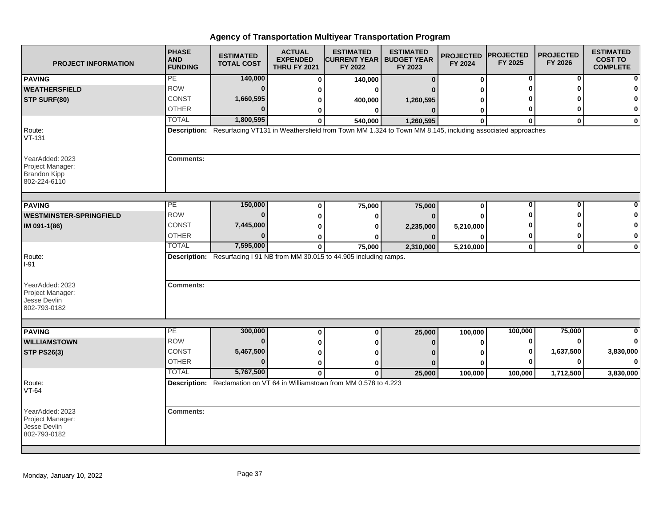| <b>PROJECT INFORMATION</b>                                                 | <b>PHASE</b><br><b>AND</b><br><b>FUNDING</b> | <b>ESTIMATED</b><br><b>TOTAL COST</b> | <b>ACTUAL</b><br><b>EXPENDED</b><br><b>THRU FY 2021</b> | <b>ESTIMATED</b><br><b>CURRENT YEAR   BUDGET YEAR</b><br>FY 2022                                                     | <b>ESTIMATED</b><br>FY 2023 | <b>PROJECTED</b><br>FY 2024 | <b>PROJECTED</b><br>FY 2025 | <b>PROJECTED</b><br>FY 2026 | <b>ESTIMATED</b><br><b>COST TO</b><br><b>COMPLETE</b> |
|----------------------------------------------------------------------------|----------------------------------------------|---------------------------------------|---------------------------------------------------------|----------------------------------------------------------------------------------------------------------------------|-----------------------------|-----------------------------|-----------------------------|-----------------------------|-------------------------------------------------------|
| <b>PAVING</b>                                                              | PE                                           | 140,000                               | $\bf{0}$                                                | 140,000                                                                                                              | $\bf{0}$                    | 0                           | 0                           | 0                           |                                                       |
| <b>WEATHERSFIELD</b>                                                       | <b>ROW</b>                                   | $\bf{0}$                              | 0                                                       | $\Omega$                                                                                                             |                             | U                           | O                           | O                           |                                                       |
| STP SURF(80)                                                               | CONST                                        | 1,660,595                             | 0                                                       | 400,000                                                                                                              | 1,260,595                   | o                           |                             |                             |                                                       |
|                                                                            | <b>OTHER</b>                                 | $\Omega$                              | 0                                                       | 0                                                                                                                    | $\Omega$                    | 0                           | 0                           | O                           | 0                                                     |
|                                                                            | <b>TOTAL</b>                                 | 1,800,595                             | $\bf{0}$                                                | 540,000                                                                                                              | 1,260,595                   | $\bf{0}$                    | $\bf{0}$                    | $\mathbf{0}$                | $\mathbf 0$                                           |
| Route:<br>$VT-131$                                                         |                                              |                                       |                                                         | Description: Resurfacing VT131 in Weathersfield from Town MM 1.324 to Town MM 8.145, including associated approaches |                             |                             |                             |                             |                                                       |
| YearAdded: 2023<br>Project Manager:<br><b>Brandon Kipp</b><br>802-224-6110 | <b>Comments:</b>                             |                                       |                                                         |                                                                                                                      |                             |                             |                             |                             |                                                       |
| <b>PAVING</b>                                                              | PE                                           | 150,000                               | $\bf{0}$                                                | 75,000                                                                                                               | 75,000                      | 0                           | $\bf{0}$                    | $\bf{0}$                    |                                                       |
| <b>WESTMINSTER-SPRINGFIELD</b>                                             | <b>ROW</b>                                   | $\bf{0}$                              | $\bf{0}$                                                | 0                                                                                                                    | n                           | 0                           | ŋ                           | ŋ                           | O                                                     |
| IM 091-1(86)                                                               | CONST                                        | 7,445,000                             | 0                                                       | 0                                                                                                                    | 2,235,000                   | 5,210,000                   |                             |                             | O                                                     |
|                                                                            | <b>OTHER</b>                                 | $\Omega$                              | 0                                                       | 0                                                                                                                    |                             | 0                           | 0                           | 0                           | $\mathbf 0$                                           |
|                                                                            | <b>TOTAL</b>                                 | 7,595,000                             | $\mathbf 0$                                             | 75,000                                                                                                               | 2,310,000                   | 5,210,000                   | $\mathbf 0$                 | $\mathbf 0$                 | $\bf{0}$                                              |
| Route:<br>$I-91$                                                           |                                              |                                       |                                                         | Description: Resurfacing I 91 NB from MM 30.015 to 44.905 including ramps.                                           |                             |                             |                             |                             |                                                       |
| YearAdded: 2023<br>Project Manager:<br>Jesse Devlin<br>802-793-0182        | <b>Comments:</b>                             |                                       |                                                         |                                                                                                                      |                             |                             |                             |                             |                                                       |
|                                                                            | $\overline{PE}$                              | 300,000                               |                                                         |                                                                                                                      |                             |                             | 100,000                     | 75,000                      | ŋ                                                     |
| <b>PAVING</b><br><b>WILLIAMSTOWN</b>                                       | <b>ROW</b>                                   | $\bf{0}$                              | 0                                                       | 0                                                                                                                    | 25,000                      | 100,000                     | $\bf{0}$                    | $\bf{0}$                    | $\bf{0}$                                              |
| <b>STP PS26(3)</b>                                                         | <b>CONST</b>                                 | 5,467,500                             | 0                                                       | 0                                                                                                                    | 0                           | 0                           | 0                           | 1,637,500                   | 3,830,000                                             |
|                                                                            | <b>OTHER</b>                                 | $\Omega$                              | 0                                                       | 0                                                                                                                    |                             | 0                           | 0                           | 0                           | $\bf{0}$                                              |
|                                                                            | <b>TOTAL</b>                                 | 5,767,500                             | 0                                                       | 0                                                                                                                    |                             | 0                           |                             |                             |                                                       |
| Route:<br>VT-64                                                            |                                              |                                       | $\mathbf{0}$                                            | $\bf{0}$<br>Description: Reclamation on VT 64 in Williamstown from MM 0.578 to 4.223                                 | 25,000                      | 100,000                     | 100,000                     | 1,712,500                   | 3,830,000                                             |
| YearAdded: 2023<br>Project Manager:<br>Jesse Devlin<br>802-793-0182        | <b>Comments:</b>                             |                                       |                                                         |                                                                                                                      |                             |                             |                             |                             |                                                       |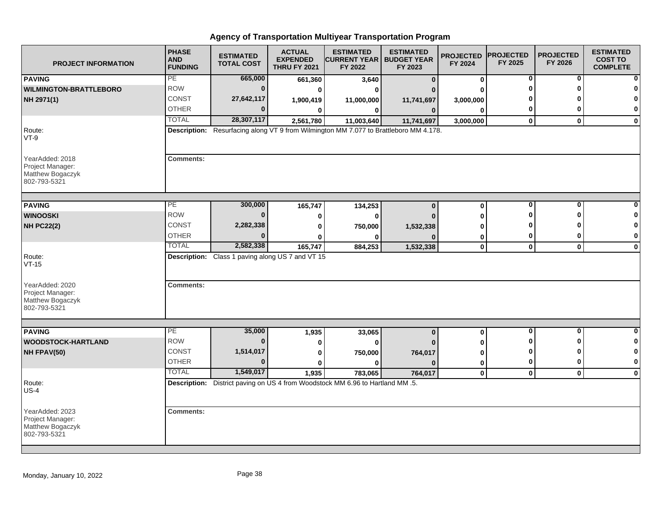| <b>PROJECT INFORMATION</b>                                              | <b>PHASE</b><br><b>AND</b><br><b>FUNDING</b> | <b>ESTIMATED</b><br><b>TOTAL COST</b>            | <b>ACTUAL</b><br><b>EXPENDED</b><br><b>THRU FY 2021</b> | <b>ESTIMATED</b><br><b>CURRENT YEAR   BUDGET YEAR</b><br>FY 2022                      | <b>ESTIMATED</b><br>FY 2023 | <b>PROJECTED</b><br>FY 2024 | <b>PROJECTED</b><br>FY 2025 | <b>PROJECTED</b><br>FY 2026 | <b>ESTIMATED</b><br><b>COST TO</b><br><b>COMPLETE</b> |
|-------------------------------------------------------------------------|----------------------------------------------|--------------------------------------------------|---------------------------------------------------------|---------------------------------------------------------------------------------------|-----------------------------|-----------------------------|-----------------------------|-----------------------------|-------------------------------------------------------|
| <b>PAVING</b>                                                           | PE                                           | 665,000                                          | 661,360                                                 | 3,640                                                                                 | $\bf{0}$                    | 0                           | 0                           | 0                           |                                                       |
| <b>WILMINGTON-BRATTLEBORO</b>                                           | <b>ROW</b>                                   | $\bf{0}$                                         | 0                                                       | $\bf{0}$                                                                              |                             | ŋ                           | O                           | ŋ                           |                                                       |
| NH 2971(1)                                                              | <b>CONST</b>                                 | 27,642,117                                       | 1,900,419                                               | 11,000,000                                                                            | 11,741,697                  | 3,000,000                   |                             |                             | O                                                     |
|                                                                         | <b>OTHER</b>                                 | $\Omega$                                         | 0                                                       | 0                                                                                     | $\bf{0}$                    | 0                           | 0                           | 0                           | 0                                                     |
|                                                                         | <b>TOTAL</b>                                 | 28,307,117                                       | 2,561,780                                               | 11,003,640                                                                            | 11,741,697                  | 3,000,000                   | $\mathbf 0$                 | $\mathbf{0}$                | $\mathbf 0$                                           |
| Route:<br>$VT-9$                                                        |                                              |                                                  |                                                         | Description: Resurfacing along VT 9 from Wilmington MM 7.077 to Brattleboro MM 4.178. |                             |                             |                             |                             |                                                       |
| YearAdded: 2018<br>Project Manager:<br>Matthew Bogaczyk<br>802-793-5321 | <b>Comments:</b>                             |                                                  |                                                         |                                                                                       |                             |                             |                             |                             |                                                       |
| <b>PAVING</b>                                                           | PE                                           | 300,000                                          | 165,747                                                 | 134,253                                                                               | $\bf{0}$                    | 0                           | 0                           | 0                           |                                                       |
| <b>WINOOSKI</b>                                                         | <b>ROW</b>                                   | $\Omega$                                         | 0                                                       | 0                                                                                     |                             | ŋ                           | ŋ                           | ŋ                           |                                                       |
| <b>NH PC22(2)</b>                                                       | <b>CONST</b>                                 | 2,282,338                                        | 0                                                       | 750,000                                                                               | 1,532,338                   | ŋ                           |                             |                             | 0                                                     |
|                                                                         | <b>OTHER</b>                                 |                                                  | ŋ                                                       | ŋ                                                                                     |                             | 0                           | 0                           | 0                           | $\mathbf 0$                                           |
|                                                                         | <b>TOTAL</b>                                 | 2,582,338                                        | 165,747                                                 | 884,253                                                                               | 1,532,338                   | 0                           | $\mathbf 0$                 | $\mathbf 0$                 | $\mathbf 0$                                           |
| Route:<br>$VT-15$                                                       |                                              | Description: Class 1 paving along US 7 and VT 15 |                                                         |                                                                                       |                             |                             |                             |                             |                                                       |
| YearAdded: 2020<br>Project Manager:<br>Matthew Bogaczyk<br>802-793-5321 | <b>Comments:</b>                             |                                                  |                                                         |                                                                                       |                             |                             |                             |                             |                                                       |
|                                                                         |                                              |                                                  |                                                         |                                                                                       |                             |                             |                             |                             |                                                       |
| <b>PAVING</b>                                                           | PE                                           | 35,000                                           | 1,935                                                   | 33,065                                                                                | $\bf{0}$                    | 0                           | 0                           | $\mathbf{0}$                | 0                                                     |
| <b>WOODSTOCK-HARTLAND</b>                                               | <b>ROW</b>                                   | $\bf{0}$                                         | 0                                                       | 0                                                                                     |                             | 0                           | ŋ                           | ŋ                           | 0                                                     |
| NH FPAV(50)                                                             | CONST                                        | 1,514,017                                        | 0                                                       | 750,000                                                                               | 764,017                     | 0                           | ŋ                           | ŋ                           | 0                                                     |
|                                                                         | <b>OTHER</b>                                 | $\bf{0}$                                         | $\bf{0}$                                                | $\bf{0}$                                                                              | n                           | 0                           | 0                           | $\bf{0}$                    | $\mathbf 0$                                           |
|                                                                         | <b>TOTAL</b>                                 | 1,549,017                                        | 1,935                                                   | 783,065                                                                               | 764,017                     | $\mathbf 0$                 | $\mathbf 0$                 | $\mathbf{0}$                | $\mathbf 0$                                           |
| Route:<br>$US-4$                                                        |                                              |                                                  |                                                         | Description: District paving on US 4 from Woodstock MM 6.96 to Hartland MM .5.        |                             |                             |                             |                             |                                                       |
| YearAdded: 2023<br>Project Manager:<br>Matthew Bogaczyk<br>802-793-5321 | <b>Comments:</b>                             |                                                  |                                                         |                                                                                       |                             |                             |                             |                             |                                                       |